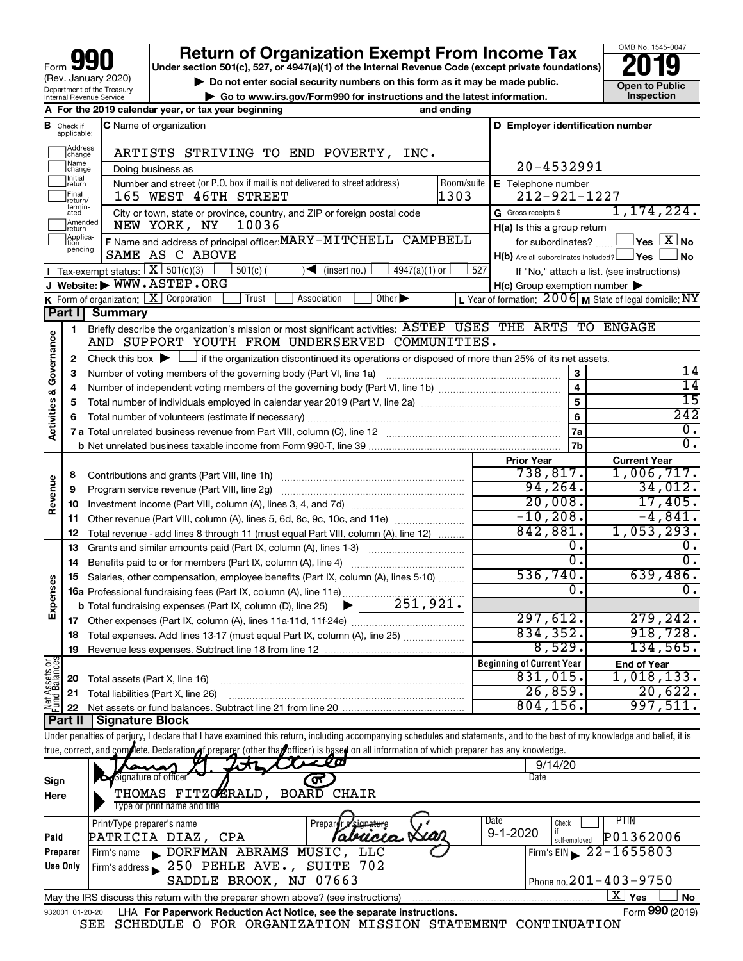# **Return of Organization Exempt From Income Tax**<br>r section 501(c), 527, or 4947(a)(1) of the Internal Revenue Code (except private foundations)<br>**2019**

**Under section 501(c), 527, or 4947(a)(1) of the Internal Revenue Code (except private foundations)**



▶ Do not enter social security numbers on this form as it may be made public. <br>
<br> **Open to Public**  Open to Public **and the latest information | Go to www.irs.gov/Form990 for instructions and the latest information. Inspection**

|                                    |                             | <b>Production</b> www.ins.gov/romisso.for misulactions and the fatest imormation.                                                                                          |                    |                                                                              |                                                           |
|------------------------------------|-----------------------------|----------------------------------------------------------------------------------------------------------------------------------------------------------------------------|--------------------|------------------------------------------------------------------------------|-----------------------------------------------------------|
|                                    |                             | A For the 2019 calendar year, or tax year beginning                                                                                                                        | and ending         |                                                                              |                                                           |
| в                                  | Check if<br>applicable:     | <b>C</b> Name of organization                                                                                                                                              |                    | D Employer identification number                                             |                                                           |
|                                    | ]Address<br>]change         | ARTISTS STRIVING TO END POVERTY, INC.                                                                                                                                      |                    |                                                                              |                                                           |
|                                    | ]Name<br>]change<br>Initial | Doing business as                                                                                                                                                          |                    | 20-4532991                                                                   |                                                           |
|                                    | return<br>Final<br>!return/ | Number and street (or P.O. box if mail is not delivered to street address)<br>165 WEST 46TH STREET                                                                         | Room/suite<br>1303 | E Telephone number<br>$212 - 921 - 1227$                                     |                                                           |
|                                    | termin-<br>ated             | City or town, state or province, country, and ZIP or foreign postal code                                                                                                   |                    | G Gross receipts \$                                                          | 1, 174, 224.                                              |
|                                    | Amended<br>Ireturn          | NEW YORK, NY<br>10036                                                                                                                                                      |                    | H(a) Is this a group return                                                  |                                                           |
|                                    | Applica-<br>tion<br>pending | F Name and address of principal officer: MARY-MITCHELL CAMPBELL<br>SAME AS C ABOVE                                                                                         |                    | for subordinates?<br>$H(b)$ Are all subordinates included? $\Box$ Yes $\Box$ | $\sqrt{\ }$ Yes $\sqrt{\ \text{X}}$ No<br>∫No             |
|                                    |                             | Tax-exempt status: $X \over 301(c)(3)$<br>$4947(a)(1)$ or<br>$501(c)$ (<br>$\sqrt{\frac{1}{1}}$ (insert no.)                                                               | 527                |                                                                              |                                                           |
|                                    |                             | J Website: WWW.ASTEP.ORG                                                                                                                                                   |                    | $H(c)$ Group exemption number $\blacktriangleright$                          | If "No," attach a list. (see instructions)                |
|                                    |                             | K Form of organization: X Corporation<br>Other $\blacktriangleright$<br>Trust<br>Association                                                                               |                    |                                                                              | L Year of formation: $2006$ M State of legal domicile: NY |
|                                    |                             | Part I Summary                                                                                                                                                             |                    |                                                                              |                                                           |
|                                    | 1                           | Briefly describe the organization's mission or most significant activities: ASTEP USES THE ARTS TO ENGAGE                                                                  |                    |                                                                              |                                                           |
| <b>Activities &amp; Governance</b> |                             | AND SUPPORT YOUTH FROM UNDERSERVED COMMUNITIES.                                                                                                                            |                    |                                                                              |                                                           |
|                                    | 2                           | Check this box $\blacktriangleright$ $\Box$ if the organization discontinued its operations or disposed of more than 25% of its net assets.                                |                    |                                                                              |                                                           |
|                                    | 3                           | Number of voting members of the governing body (Part VI, line 1a)                                                                                                          |                    | $\bf 3$                                                                      | 14                                                        |
|                                    | 4                           |                                                                                                                                                                            |                    | $\overline{\mathbf{4}}$                                                      | $\overline{14}$                                           |
|                                    | 5                           |                                                                                                                                                                            |                    | 5                                                                            | $\overline{15}$                                           |
|                                    | 6                           |                                                                                                                                                                            |                    | 6                                                                            | 242                                                       |
|                                    |                             |                                                                                                                                                                            |                    | 7a                                                                           | 0.                                                        |
|                                    |                             |                                                                                                                                                                            |                    | 7b                                                                           | $\overline{0}$ .                                          |
|                                    |                             |                                                                                                                                                                            |                    | <b>Prior Year</b>                                                            | <b>Current Year</b>                                       |
|                                    | 8                           |                                                                                                                                                                            |                    | 738,817.                                                                     | 1,006,717.                                                |
| Revenue                            | 9                           |                                                                                                                                                                            |                    | 94, 264.                                                                     | 34,012.                                                   |
|                                    | 10                          |                                                                                                                                                                            |                    | 20,008.                                                                      | 17,405.                                                   |
|                                    | 11                          | Other revenue (Part VIII, column (A), lines 5, 6d, 8c, 9c, 10c, and 11e)                                                                                                   |                    | $-10, 208.$                                                                  | $-4,841.$                                                 |
|                                    | 12                          | Total revenue - add lines 8 through 11 (must equal Part VIII, column (A), line 12)                                                                                         |                    | 842,881.                                                                     | 1,053,293.                                                |
|                                    | 13                          | Grants and similar amounts paid (Part IX, column (A), lines 1-3)                                                                                                           |                    | 0.                                                                           | 0.                                                        |
|                                    | 14                          |                                                                                                                                                                            |                    | $\overline{0}$ .                                                             | $\overline{0}$ .                                          |
|                                    | 15                          | Salaries, other compensation, employee benefits (Part IX, column (A), lines 5-10)                                                                                          |                    | 536,740.                                                                     | 639,486.                                                  |
| Expenses                           |                             |                                                                                                                                                                            |                    | 0.                                                                           | Ο.                                                        |
|                                    |                             |                                                                                                                                                                            |                    |                                                                              |                                                           |
|                                    |                             |                                                                                                                                                                            |                    | 297,612.                                                                     | 279, 242.                                                 |
|                                    |                             | 18 Total expenses. Add lines 13-17 (must equal Part IX, column (A), line 25)                                                                                               |                    | 834, 352.                                                                    | 918, 728.                                                 |
|                                    | 19                          |                                                                                                                                                                            |                    | 8,529.                                                                       | 134,565.                                                  |
| Net Assets or                      |                             |                                                                                                                                                                            |                    | <b>Beginning of Current Year</b>                                             | <b>End of Year</b>                                        |
|                                    | 20                          | Total assets (Part X, line 16)                                                                                                                                             |                    | 831,015.                                                                     | 1,018,133.                                                |
|                                    | 21                          | Total liabilities (Part X, line 26)                                                                                                                                        |                    | 26,859.                                                                      | 20,622.                                                   |
|                                    | 22                          |                                                                                                                                                                            |                    | 804, 156.                                                                    | 997,511.                                                  |
|                                    | Part II                     | Signature Block                                                                                                                                                            |                    |                                                                              |                                                           |
|                                    |                             | Under penalties of perjury, I declare that I have examined this return, including accompanying schedules and statements, and to the best of my knowledge and belief, it is |                    |                                                                              |                                                           |
|                                    |                             | true, correct, and complete. Declaration of preparer (other than officer) is based on all information of which preparer has any knowledge.                                 |                    |                                                                              |                                                           |
|                                    |                             | فالمعد                                                                                                                                                                     |                    | 9/14/20                                                                      |                                                           |
| Sign                               |                             | Signature of officer<br>$\sigma$ ୍                                                                                                                                         |                    | Date                                                                         |                                                           |
| Here                               |                             | THOMAS FITZGERALD,<br><b>BOARD CHAIR</b>                                                                                                                                   |                    |                                                                              |                                                           |
|                                    |                             | Type or print name and title                                                                                                                                               |                    |                                                                              |                                                           |
|                                    |                             | Print/Type preparer's name<br>Prepard                                                                                                                                      |                    | Date<br>Check                                                                | <b>PTIN</b>                                               |
| Paid                               |                             | Tabionina Liaz<br>PATRICIA DIAZ, CPA                                                                                                                                       |                    | 9-1-2020<br>self-employed                                                    | P01362006                                                 |

|                 |                                                                                   | <b>OUIL UILLUIU FUU</b>            |
|-----------------|-----------------------------------------------------------------------------------|------------------------------------|
| Preparer        | Firm's name DORFMAN ABRAMS MUSIC, LLC                                             | $I$ Firm's EIN $\geq 22 - 1655803$ |
| Use Only        | Firm's address 250 PEHLE AVE., SUITE 702                                          |                                    |
|                 | SADDLE BROOK, NJ 07663                                                            | $1$ Phone no. $201 - 403 - 9750$   |
|                 | May the IRS discuss this return with the preparer shown above? (see instructions) | . No<br>Yes                        |
| 932001 01-20-20 | LHA For Paperwork Reduction Act Notice, see the separate instructions.            | Form 990 (2019)                    |
|                 | COUPDIILE O POD ODCANTZATION MICCION CTATEMENT CONTINUATION<br><b>CPP</b>         |                                    |

SEE SCHEDULE O FOR ORGANIZATION MISSION STATEMENT CONTINUATION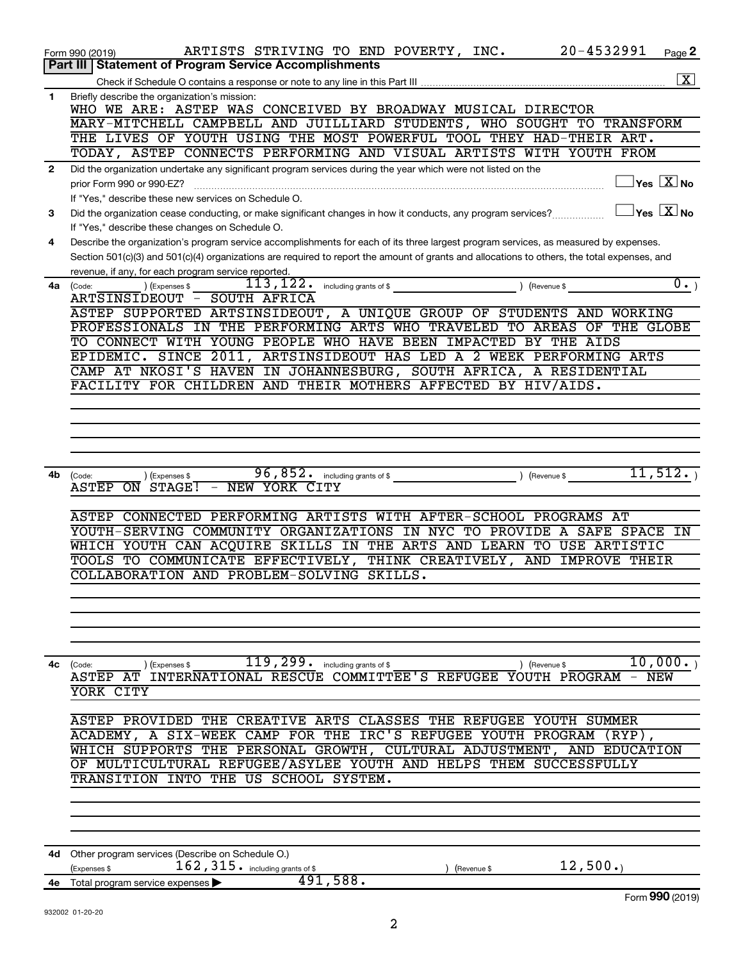|              | 20-4532991<br>ARTISTS STRIVING TO END POVERTY, INC.<br>Page 2<br>Form 990 (2019)                                                                                                                                                                                                     |
|--------------|--------------------------------------------------------------------------------------------------------------------------------------------------------------------------------------------------------------------------------------------------------------------------------------|
|              | Part III   Statement of Program Service Accomplishments                                                                                                                                                                                                                              |
|              | $\overline{\mathbf{x}}$                                                                                                                                                                                                                                                              |
| 1            | Briefly describe the organization's mission:<br>WHO WE ARE: ASTEP WAS CONCEIVED BY BROADWAY MUSICAL DIRECTOR                                                                                                                                                                         |
|              | MARY-MITCHELL CAMPBELL AND JUILLIARD STUDENTS, WHO SOUGHT TO TRANSFORM                                                                                                                                                                                                               |
|              | THE LIVES OF YOUTH USING THE MOST POWERFUL TOOL THEY HAD-THEIR ART.                                                                                                                                                                                                                  |
|              | TODAY, ASTEP CONNECTS PERFORMING AND VISUAL ARTISTS WITH YOUTH FROM                                                                                                                                                                                                                  |
| $\mathbf{2}$ | Did the organization undertake any significant program services during the year which were not listed on the                                                                                                                                                                         |
|              | $\exists$ Yes $\boxed{\text{X}}$ No<br>prior Form 990 or 990-EZ?                                                                                                                                                                                                                     |
|              | If "Yes," describe these new services on Schedule O.                                                                                                                                                                                                                                 |
| 3            | $\Box$ Yes $\Box X$ No<br>Did the organization cease conducting, or make significant changes in how it conducts, any program services?                                                                                                                                               |
|              | If "Yes," describe these changes on Schedule O.                                                                                                                                                                                                                                      |
| 4            | Describe the organization's program service accomplishments for each of its three largest program services, as measured by expenses.<br>Section 501(c)(3) and 501(c)(4) organizations are required to report the amount of grants and allocations to others, the total expenses, and |
|              | revenue, if any, for each program service reported.                                                                                                                                                                                                                                  |
| 4a           | $\overline{0}$ .)<br>(Expenses \$<br>(Code:                                                                                                                                                                                                                                          |
|              | ARTSINSIDEOUT - SOUTH AFRICA                                                                                                                                                                                                                                                         |
|              | ASTEP SUPPORTED ARTSINSIDEOUT, A UNIQUE GROUP OF STUDENTS AND WORKING                                                                                                                                                                                                                |
|              | PROFESSIONALS IN THE PERFORMING ARTS WHO TRAVELED TO AREAS OF THE GLOBE                                                                                                                                                                                                              |
|              | TO CONNECT WITH YOUNG PEOPLE WHO HAVE BEEN IMPACTED BY THE AIDS                                                                                                                                                                                                                      |
|              | EPIDEMIC. SINCE 2011, ARTSINSIDEOUT HAS LED A 2 WEEK PERFORMING ARTS                                                                                                                                                                                                                 |
|              | CAMP AT NKOSI'S HAVEN IN JOHANNESBURG, SOUTH AFRICA, A RESIDENTIAL                                                                                                                                                                                                                   |
|              | FACILITY FOR CHILDREN AND THEIR MOTHERS AFFECTED BY HIV/AIDS.                                                                                                                                                                                                                        |
|              |                                                                                                                                                                                                                                                                                      |
|              |                                                                                                                                                                                                                                                                                      |
|              |                                                                                                                                                                                                                                                                                      |
|              |                                                                                                                                                                                                                                                                                      |
| 4b           | 11, 512.<br>96,852. including grants of \$<br>(Code:<br>(Expenses \$                                                                                                                                                                                                                 |
|              | - NEW YORK CITY<br>ASTEP ON STAGE!                                                                                                                                                                                                                                                   |
|              |                                                                                                                                                                                                                                                                                      |
|              | ASTEP CONNECTED PERFORMING ARTISTS WITH AFTER-SCHOOL PROGRAMS AT<br>YOUTH-SERVING COMMUNITY ORGANIZATIONS IN NYC TO PROVIDE A SAFE SPACE<br>IN                                                                                                                                       |
|              | WHICH YOUTH CAN ACQUIRE SKILLS IN THE ARTS AND LEARN TO USE ARTISTIC                                                                                                                                                                                                                 |
|              | TOOLS TO COMMUNICATE EFFECTIVELY, THINK CREATIVELY, AND IMPROVE THEIR                                                                                                                                                                                                                |
|              | COLLABORATION AND PROBLEM-SOLVING SKILLS.                                                                                                                                                                                                                                            |
|              |                                                                                                                                                                                                                                                                                      |
|              |                                                                                                                                                                                                                                                                                      |
|              |                                                                                                                                                                                                                                                                                      |
|              |                                                                                                                                                                                                                                                                                      |
|              |                                                                                                                                                                                                                                                                                      |
| 4с           | 119, 299 . including grants of \$<br>10,000.<br>) (Expenses \$<br>) (Revenue \$<br>(Code:<br>ASTEP AT INTERNATIONAL RESCUE COMMITTEE'S REFUGEE YOUTH PROGRAM - NEW                                                                                                                   |
|              | YORK CITY                                                                                                                                                                                                                                                                            |
|              |                                                                                                                                                                                                                                                                                      |
|              | ASTEP PROVIDED THE CREATIVE ARTS CLASSES THE REFUGEE YOUTH SUMMER                                                                                                                                                                                                                    |
|              | ACADEMY, A SIX-WEEK CAMP FOR THE IRC'S REFUGEE YOUTH PROGRAM (RYP),                                                                                                                                                                                                                  |
|              | WHICH SUPPORTS THE PERSONAL GROWTH, CULTURAL ADJUSTMENT, AND EDUCATION                                                                                                                                                                                                               |
|              | OF MULTICULTURAL REFUGEE/ASYLEE YOUTH AND HELPS THEM SUCCESSFULLY                                                                                                                                                                                                                    |
|              | TRANSITION INTO THE US SCHOOL SYSTEM.                                                                                                                                                                                                                                                |
|              |                                                                                                                                                                                                                                                                                      |
|              |                                                                                                                                                                                                                                                                                      |
|              |                                                                                                                                                                                                                                                                                      |
|              | 4d Other program services (Describe on Schedule O.)                                                                                                                                                                                                                                  |
|              | 12,500.<br>$162$ , $315$ $\cdot$ including grants of \$<br>(Expenses \$<br>(Revenue \$                                                                                                                                                                                               |
|              | 491,588.<br>4e Total program service expenses                                                                                                                                                                                                                                        |
|              | Form 990 (2019)                                                                                                                                                                                                                                                                      |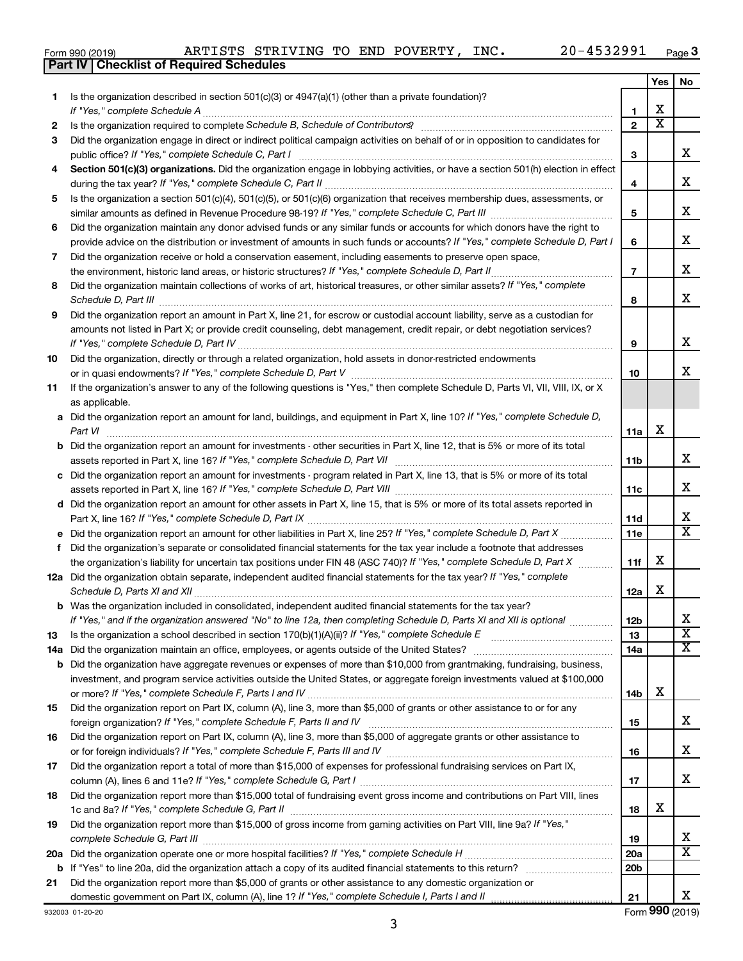| Form 990 (201 |
|---------------|
|---------------|

**Part IV Checklist of Required Schedules**

|     |                                                                                                                                                                                                    |                 | Yes                   | No                          |
|-----|----------------------------------------------------------------------------------------------------------------------------------------------------------------------------------------------------|-----------------|-----------------------|-----------------------------|
| 1.  | Is the organization described in section $501(c)(3)$ or $4947(a)(1)$ (other than a private foundation)?                                                                                            |                 |                       |                             |
|     | If "Yes," complete Schedule A                                                                                                                                                                      | 1               | х                     |                             |
| 2   | Is the organization required to complete Schedule B, Schedule of Contributors? [11] the organization required to complete Schedule B, Schedule of Contributors?                                    | $\overline{2}$  | $\overline{\text{x}}$ |                             |
| 3   | Did the organization engage in direct or indirect political campaign activities on behalf of or in opposition to candidates for                                                                    |                 |                       |                             |
|     | public office? If "Yes," complete Schedule C, Part I                                                                                                                                               | 3               |                       | х                           |
| 4   | Section 501(c)(3) organizations. Did the organization engage in lobbying activities, or have a section 501(h) election in effect                                                                   |                 |                       |                             |
|     |                                                                                                                                                                                                    | 4               |                       | х                           |
| 5   | Is the organization a section 501(c)(4), 501(c)(5), or 501(c)(6) organization that receives membership dues, assessments, or                                                                       |                 |                       | х                           |
|     |                                                                                                                                                                                                    | 5               |                       |                             |
| 6   | Did the organization maintain any donor advised funds or any similar funds or accounts for which donors have the right to                                                                          |                 |                       | х                           |
|     | provide advice on the distribution or investment of amounts in such funds or accounts? If "Yes," complete Schedule D, Part I                                                                       | 6               |                       |                             |
| 7   | Did the organization receive or hold a conservation easement, including easements to preserve open space,                                                                                          | $\overline{7}$  |                       | х                           |
| 8   | .<br>Did the organization maintain collections of works of art, historical treasures, or other similar assets? If "Yes," complete                                                                  |                 |                       |                             |
|     |                                                                                                                                                                                                    | 8               |                       | х                           |
| 9   | Did the organization report an amount in Part X, line 21, for escrow or custodial account liability, serve as a custodian for                                                                      |                 |                       |                             |
|     | amounts not listed in Part X; or provide credit counseling, debt management, credit repair, or debt negotiation services?                                                                          |                 |                       |                             |
|     | If "Yes," complete Schedule D, Part IV                                                                                                                                                             | 9               |                       | х                           |
| 10  | Did the organization, directly or through a related organization, hold assets in donor-restricted endowments                                                                                       |                 |                       |                             |
|     |                                                                                                                                                                                                    | 10              |                       | x                           |
| 11  | If the organization's answer to any of the following questions is "Yes," then complete Schedule D, Parts VI, VII, VIII, IX, or X                                                                   |                 |                       |                             |
|     | as applicable.                                                                                                                                                                                     |                 |                       |                             |
|     | a Did the organization report an amount for land, buildings, and equipment in Part X, line 10? If "Yes," complete Schedule D,                                                                      |                 |                       |                             |
|     | Part VI                                                                                                                                                                                            | 11a             | х                     |                             |
|     | Did the organization report an amount for investments - other securities in Part X, line 12, that is 5% or more of its total                                                                       |                 |                       |                             |
|     |                                                                                                                                                                                                    | 11 <sub>b</sub> |                       | х                           |
|     | c Did the organization report an amount for investments - program related in Part X, line 13, that is 5% or more of its total                                                                      |                 |                       |                             |
|     |                                                                                                                                                                                                    | 11c             |                       | х                           |
|     | d Did the organization report an amount for other assets in Part X, line 15, that is 5% or more of its total assets reported in                                                                    |                 |                       |                             |
|     |                                                                                                                                                                                                    | 11d             |                       | х                           |
|     |                                                                                                                                                                                                    | 11e             |                       | $\overline{\textbf{X}}$     |
| f   | Did the organization's separate or consolidated financial statements for the tax year include a footnote that addresses                                                                            |                 |                       |                             |
|     | the organization's liability for uncertain tax positions under FIN 48 (ASC 740)? If "Yes," complete Schedule D, Part X                                                                             | 11f             | x                     |                             |
|     | 12a Did the organization obtain separate, independent audited financial statements for the tax year? If "Yes," complete                                                                            |                 |                       |                             |
|     | Schedule D, Parts XI and XII                                                                                                                                                                       | 12a             | x                     |                             |
|     | <b>b</b> Was the organization included in consolidated, independent audited financial statements for the tax year?                                                                                 |                 |                       |                             |
|     | If "Yes," and if the organization answered "No" to line 12a, then completing Schedule D, Parts XI and XII is optional                                                                              | 12 <sub>b</sub> |                       | ∡⊾<br>$\overline{\text{x}}$ |
| 13  | Is the organization a school described in section $170(b)(1)(A)(ii)?$ If "Yes," complete Schedule E<br>Did the organization maintain an office, employees, or agents outside of the United States? | 13<br>14a       |                       | $\overline{\text{X}}$       |
| 14a | <b>b</b> Did the organization have aggregate revenues or expenses of more than \$10,000 from grantmaking, fundraising, business,                                                                   |                 |                       |                             |
|     | investment, and program service activities outside the United States, or aggregate foreign investments valued at \$100,000                                                                         |                 |                       |                             |
|     |                                                                                                                                                                                                    | 14b             | х                     |                             |
| 15  | Did the organization report on Part IX, column (A), line 3, more than \$5,000 of grants or other assistance to or for any                                                                          |                 |                       |                             |
|     |                                                                                                                                                                                                    | 15              |                       | x                           |
| 16  | Did the organization report on Part IX, column (A), line 3, more than \$5,000 of aggregate grants or other assistance to                                                                           |                 |                       |                             |
|     |                                                                                                                                                                                                    | 16              |                       | x                           |
| 17  | Did the organization report a total of more than \$15,000 of expenses for professional fundraising services on Part IX,                                                                            |                 |                       |                             |
|     |                                                                                                                                                                                                    | 17              |                       | x                           |
| 18  | Did the organization report more than \$15,000 total of fundraising event gross income and contributions on Part VIII, lines                                                                       |                 |                       |                             |
|     |                                                                                                                                                                                                    | 18              | х                     |                             |
| 19  | Did the organization report more than \$15,000 of gross income from gaming activities on Part VIII, line 9a? If "Yes,"                                                                             |                 |                       |                             |
|     |                                                                                                                                                                                                    | 19              |                       | x                           |
| 20a |                                                                                                                                                                                                    | 20a             |                       | $\overline{\texttt{x}}$     |
|     |                                                                                                                                                                                                    | 20 <sub>b</sub> |                       |                             |
| 21  | Did the organization report more than \$5,000 of grants or other assistance to any domestic organization or                                                                                        |                 |                       |                             |
|     |                                                                                                                                                                                                    | 21              |                       | x                           |

932003 01-20-20

3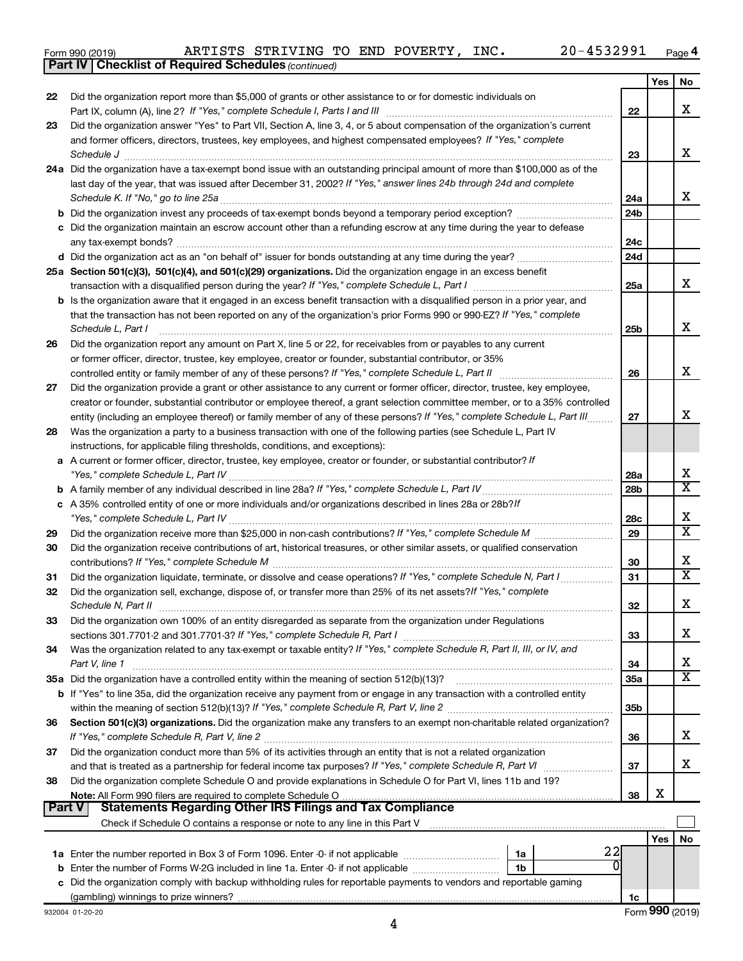|  | Form 990 (2019) |
|--|-----------------|
|  |                 |

*(continued)* **Part IV Checklist of Required Schedules**

|               |                                                                                                                                                                                                                                               |                 | Yes | No                      |
|---------------|-----------------------------------------------------------------------------------------------------------------------------------------------------------------------------------------------------------------------------------------------|-----------------|-----|-------------------------|
| 22            | Did the organization report more than \$5,000 of grants or other assistance to or for domestic individuals on                                                                                                                                 |                 |     |                         |
|               |                                                                                                                                                                                                                                               | 22              |     | x                       |
| 23            | Did the organization answer "Yes" to Part VII, Section A, line 3, 4, or 5 about compensation of the organization's current                                                                                                                    |                 |     |                         |
|               | and former officers, directors, trustees, key employees, and highest compensated employees? If "Yes," complete                                                                                                                                |                 |     |                         |
|               |                                                                                                                                                                                                                                               | 23              |     | X                       |
|               | 24a Did the organization have a tax-exempt bond issue with an outstanding principal amount of more than \$100,000 as of the                                                                                                                   |                 |     |                         |
|               | last day of the year, that was issued after December 31, 2002? If "Yes," answer lines 24b through 24d and complete                                                                                                                            |                 |     |                         |
|               |                                                                                                                                                                                                                                               | 24a             |     | X                       |
|               |                                                                                                                                                                                                                                               | 24 <sub>b</sub> |     |                         |
|               | c Did the organization maintain an escrow account other than a refunding escrow at any time during the year to defease                                                                                                                        |                 |     |                         |
|               |                                                                                                                                                                                                                                               | 24c             |     |                         |
|               |                                                                                                                                                                                                                                               | 24 <sub>d</sub> |     |                         |
|               | 25a Section 501(c)(3), 501(c)(4), and 501(c)(29) organizations. Did the organization engage in an excess benefit                                                                                                                              |                 |     | X                       |
|               |                                                                                                                                                                                                                                               | 25a             |     |                         |
|               | b Is the organization aware that it engaged in an excess benefit transaction with a disqualified person in a prior year, and                                                                                                                  |                 |     |                         |
|               | that the transaction has not been reported on any of the organization's prior Forms 990 or 990-EZ? If "Yes," complete                                                                                                                         |                 |     | X                       |
|               | Schedule L, Part I                                                                                                                                                                                                                            | 25b             |     |                         |
| 26            | Did the organization report any amount on Part X, line 5 or 22, for receivables from or payables to any current                                                                                                                               |                 |     |                         |
|               | or former officer, director, trustee, key employee, creator or founder, substantial contributor, or 35%                                                                                                                                       |                 |     | X                       |
|               | Did the organization provide a grant or other assistance to any current or former officer, director, trustee, key employee,                                                                                                                   | 26              |     |                         |
| 27            | creator or founder, substantial contributor or employee thereof, a grant selection committee member, or to a 35% controlled                                                                                                                   |                 |     |                         |
|               |                                                                                                                                                                                                                                               |                 |     | x                       |
| 28            | entity (including an employee thereof) or family member of any of these persons? If "Yes," complete Schedule L, Part III<br>Was the organization a party to a business transaction with one of the following parties (see Schedule L, Part IV | 27              |     |                         |
|               | instructions, for applicable filing thresholds, conditions, and exceptions):                                                                                                                                                                  |                 |     |                         |
|               | a A current or former officer, director, trustee, key employee, creator or founder, or substantial contributor? If                                                                                                                            |                 |     |                         |
|               |                                                                                                                                                                                                                                               | 28a             |     | x                       |
|               |                                                                                                                                                                                                                                               | 28 <sub>b</sub> |     | $\overline{\mathtt{x}}$ |
|               | c A 35% controlled entity of one or more individuals and/or organizations described in lines 28a or 28b?If                                                                                                                                    |                 |     |                         |
|               |                                                                                                                                                                                                                                               | 28c             |     | х                       |
| 29            |                                                                                                                                                                                                                                               | 29              |     | $\overline{\mathtt{x}}$ |
| 30            | Did the organization receive contributions of art, historical treasures, or other similar assets, or qualified conservation                                                                                                                   |                 |     |                         |
|               |                                                                                                                                                                                                                                               | 30              |     | х                       |
| 31            | Did the organization liquidate, terminate, or dissolve and cease operations? If "Yes," complete Schedule N, Part I                                                                                                                            | 31              |     | $\overline{\mathtt{x}}$ |
| 32            | Did the organization sell, exchange, dispose of, or transfer more than 25% of its net assets? If "Yes," complete                                                                                                                              |                 |     |                         |
|               | Schedule N, Part II                                                                                                                                                                                                                           | 32              |     | х                       |
| 33            | Did the organization own 100% of an entity disregarded as separate from the organization under Regulations                                                                                                                                    |                 |     |                         |
|               |                                                                                                                                                                                                                                               | 33              |     | х                       |
| 34            | Was the organization related to any tax-exempt or taxable entity? If "Yes," complete Schedule R, Part II, III, or IV, and                                                                                                                     |                 |     |                         |
|               | Part V, line 1                                                                                                                                                                                                                                | 34              |     | х                       |
|               | 35a Did the organization have a controlled entity within the meaning of section 512(b)(13)?                                                                                                                                                   | 35a             |     | $\overline{\mathtt{x}}$ |
|               | <b>b</b> If "Yes" to line 35a, did the organization receive any payment from or engage in any transaction with a controlled entity                                                                                                            |                 |     |                         |
|               |                                                                                                                                                                                                                                               | 35b             |     |                         |
| 36            | Section 501(c)(3) organizations. Did the organization make any transfers to an exempt non-charitable related organization?                                                                                                                    |                 |     |                         |
|               |                                                                                                                                                                                                                                               | 36              |     | x                       |
| 37            | Did the organization conduct more than 5% of its activities through an entity that is not a related organization                                                                                                                              |                 |     |                         |
|               |                                                                                                                                                                                                                                               | 37              |     | x                       |
| 38            | Did the organization complete Schedule O and provide explanations in Schedule O for Part VI, lines 11b and 19?                                                                                                                                |                 |     |                         |
|               |                                                                                                                                                                                                                                               | 38              | х   |                         |
| <b>Part V</b> | Statements Regarding Other IRS Filings and Tax Compliance                                                                                                                                                                                     |                 |     |                         |
|               |                                                                                                                                                                                                                                               |                 |     |                         |
|               |                                                                                                                                                                                                                                               |                 | Yes | <b>No</b>               |
|               | 22<br>1a                                                                                                                                                                                                                                      |                 |     |                         |
|               | <b>b</b> Enter the number of Forms W-2G included in line 1a. Enter -0- if not applicable <i>manumanomous</i><br>1b                                                                                                                            |                 |     |                         |
|               | c Did the organization comply with backup withholding rules for reportable payments to vendors and reportable gaming                                                                                                                          |                 |     |                         |
|               |                                                                                                                                                                                                                                               | 1c              |     |                         |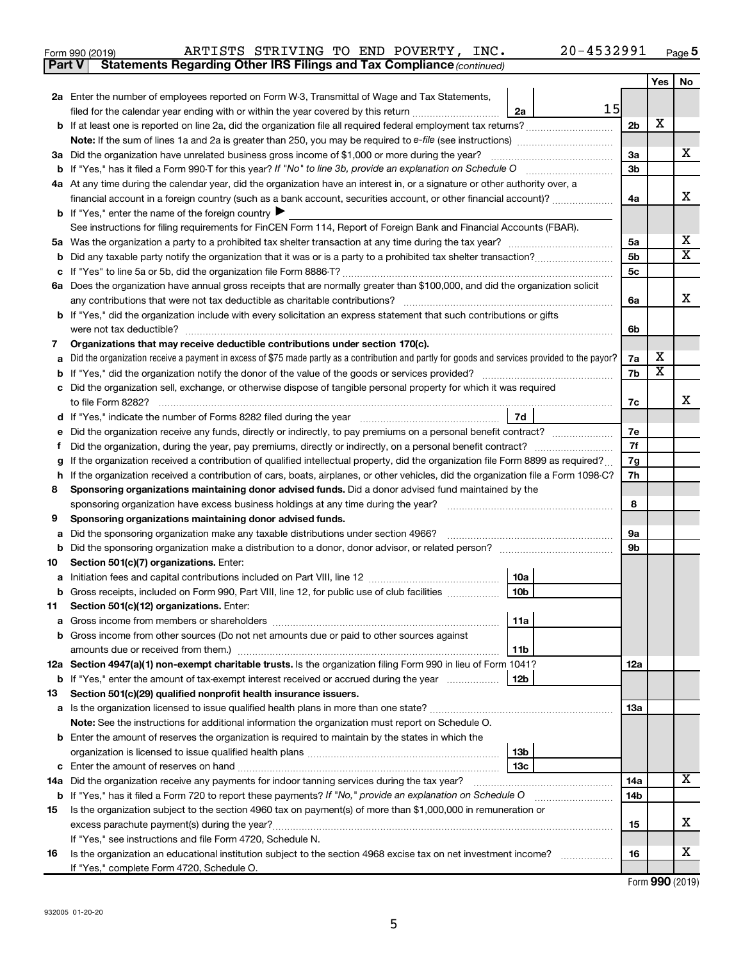| 4532991 | d ane |
|---------|-------|
|         |       |

**6a**

X

~~~~~~~~~~~~~~~~~~~~~~~~

| ARTISTS STRIVING TO END POVERTY, INC.<br>Form 990 (2019)                                                                     |    | 20-4532991 |                |     | Page      |
|------------------------------------------------------------------------------------------------------------------------------|----|------------|----------------|-----|-----------|
| <b>Statements Regarding Other IRS Filings and Tax Compliance (continued)</b><br><b>Part V</b>                                |    |            |                |     |           |
|                                                                                                                              |    |            |                | Yes | <b>No</b> |
| 2a Enter the number of employees reported on Form W-3, Transmittal of Wage and Tax Statements,                               |    |            |                |     |           |
| filed for the calendar year ending with or within the year covered by this return                                            | 2a | 15I        |                |     |           |
| <b>b</b> If at least one is reported on line 2a, did the organization file all required federal employment tax returns?      |    |            | 2 <sub>b</sub> | x   |           |
|                                                                                                                              |    |            |                |     |           |
| 3a Did the organization have unrelated business gross income of \$1,000 or more during the year?                             |    |            | За             |     | х         |
| <b>b</b> If "Yes," has it filed a Form 990-T for this year? If "No" to line 3b, provide an explanation on Schedule O         |    |            | 3b             |     |           |
| 4a At any time during the calendar year, did the organization have an interest in, or a signature or other authority over, a |    |            |                |     |           |
| financial account in a foreign country (such as a bank account, securities account, or other financial account)?             |    |            | 4a             |     | X         |
| <b>b</b> If "Yes," enter the name of the foreign country $\blacktriangleright$                                               |    |            |                |     |           |
| See instructions for filing requirements for FinCEN Form 114, Report of Foreign Bank and Financial Accounts (FBAR).          |    |            |                |     |           |
| 5a Was the organization a party to a prohibited tax shelter transaction at any time during the tax year?                     |    |            | 5a             |     | X         |
|                                                                                                                              |    |            | 5b             |     | х         |
| c If "Yes" to line 5a or 5b, did the organization file Form 8886-T?                                                          |    |            | 5с             |     |           |
|                                                                                                                              |    |            |                |     |           |

**6 a** Does the organization have annual gross receipts that are normally greater than \$100,000, and did the organization solicit

any contributions that were not tax deductible as charitable contributions?

|    | <b>b</b> If "Yes," did the organization include with every solicitation an express statement that such contributions or gifts<br>were not tax deductible? |                 | 6b        |                       |   |
|----|-----------------------------------------------------------------------------------------------------------------------------------------------------------|-----------------|-----------|-----------------------|---|
| 7  | Organizations that may receive deductible contributions under section 170(c).                                                                             |                 |           |                       |   |
| a  | Did the organization receive a payment in excess of \$75 made partly as a contribution and partly for goods and services provided to the payor?           |                 | 7a        | х                     |   |
| b  | If "Yes," did the organization notify the donor of the value of the goods or services provided?                                                           |                 | 7b        | $\overline{\text{x}}$ |   |
|    | c Did the organization sell, exchange, or otherwise dispose of tangible personal property for which it was required                                       |                 |           |                       |   |
|    | to file Form 8282?                                                                                                                                        |                 | 7c        |                       | X |
| d  | If "Yes," indicate the number of Forms 8282 filed during the year                                                                                         | 7d              |           |                       |   |
| е  | Did the organization receive any funds, directly or indirectly, to pay premiums on a personal benefit contract?                                           |                 | 7e        |                       |   |
| f  | Did the organization, during the year, pay premiums, directly or indirectly, on a personal benefit contract? <i>manageretion</i>                          |                 | 7f        |                       |   |
| g  | If the organization received a contribution of qualified intellectual property, did the organization file Form 8899 as required?                          |                 | 7g        |                       |   |
| h. | If the organization received a contribution of cars, boats, airplanes, or other vehicles, did the organization file a Form 1098-C?                        |                 | 7h        |                       |   |
| 8  | Sponsoring organizations maintaining donor advised funds. Did a donor advised fund maintained by the                                                      |                 |           |                       |   |
|    | sponsoring organization have excess business holdings at any time during the year?                                                                        |                 | 8         |                       |   |
| 9  | Sponsoring organizations maintaining donor advised funds.                                                                                                 |                 |           |                       |   |
| a  |                                                                                                                                                           |                 | <b>9a</b> |                       |   |
| b  |                                                                                                                                                           |                 | 9b        |                       |   |
| 10 | Section 501(c)(7) organizations. Enter:                                                                                                                   |                 |           |                       |   |
|    |                                                                                                                                                           | 10a             |           |                       |   |
|    | <b>b</b> Gross receipts, included on Form 990, Part VIII, line 12, for public use of club facilities                                                      | 10 <sub>b</sub> |           |                       |   |
| 11 | Section 501(c)(12) organizations. Enter:                                                                                                                  |                 |           |                       |   |
|    |                                                                                                                                                           | 11a             |           |                       |   |
| b  | Gross income from other sources (Do not net amounts due or paid to other sources against                                                                  |                 |           |                       |   |
|    |                                                                                                                                                           | 11b             |           |                       |   |
|    | 12a Section 4947(a)(1) non-exempt charitable trusts. Is the organization filing Form 990 in lieu of Form 1041?                                            |                 | 12a       |                       |   |
|    | <b>b</b> If "Yes," enter the amount of tax-exempt interest received or accrued during the year                                                            | 12 <sub>b</sub> |           |                       |   |
| 13 | Section 501(c)(29) qualified nonprofit health insurance issuers.                                                                                          |                 |           |                       |   |
|    |                                                                                                                                                           |                 | 13a       |                       |   |
|    | Note: See the instructions for additional information the organization must report on Schedule O.                                                         |                 |           |                       |   |
|    | <b>b</b> Enter the amount of reserves the organization is required to maintain by the states in which the                                                 |                 |           |                       |   |
|    |                                                                                                                                                           | 13 <sub>b</sub> |           |                       |   |
|    |                                                                                                                                                           | 13 <sub>c</sub> |           |                       |   |
|    | <b>14a</b> Did the organization receive any payments for indoor tanning services during the tax year?                                                     |                 | 14a       |                       | X |
|    | b If "Yes," has it filed a Form 720 to report these payments? If "No," provide an explanation on Schedule O                                               |                 | 14b       |                       |   |
| 15 | Is the organization subject to the section 4960 tax on payment(s) of more than \$1,000,000 in remuneration or                                             |                 |           |                       |   |
|    | excess parachute payment(s) during the year?                                                                                                              |                 | 15        |                       | х |
|    | If "Yes," see instructions and file Form 4720, Schedule N.                                                                                                |                 |           |                       |   |
| 16 | Is the organization an educational institution subject to the section 4968 excise tax on net investment income?                                           |                 | 16        |                       | x |
|    | If "Yes," complete Form 4720, Schedule O.                                                                                                                 |                 |           |                       |   |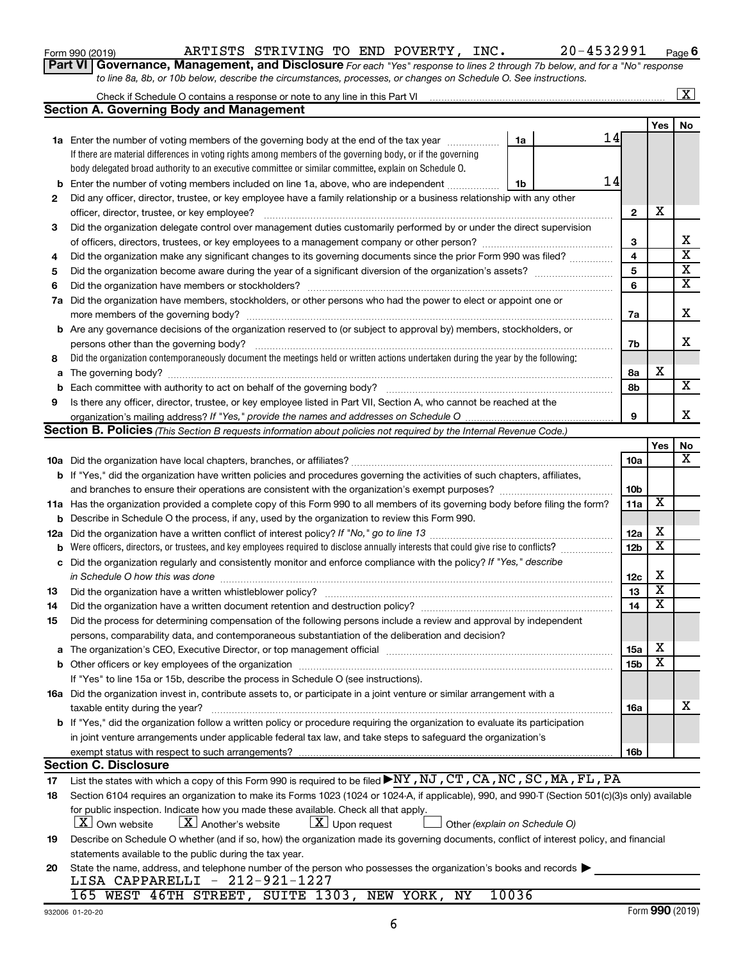## Form 990 (2019) ARTISTS STRIVING TO END POVERTY, INC. 20-4532991 Page

**6**

| Part VI   Governance, Management, and Disclosure For each "Yes" response to lines 2 through 7b below, and for a "No" response |
|-------------------------------------------------------------------------------------------------------------------------------|
| to line 8a, 8b, or 10b below, describe the circumstances, processes, or changes on Schedule O. See instructions.              |

|     |                                                                                                                                                                               |                 |                         | X                       |
|-----|-------------------------------------------------------------------------------------------------------------------------------------------------------------------------------|-----------------|-------------------------|-------------------------|
|     | <b>Section A. Governing Body and Management</b>                                                                                                                               |                 |                         |                         |
|     |                                                                                                                                                                               |                 | Yes                     | No                      |
|     | 14<br><b>1a</b> Enter the number of voting members of the governing body at the end of the tax year<br>1a                                                                     |                 |                         |                         |
|     | If there are material differences in voting rights among members of the governing body, or if the governing                                                                   |                 |                         |                         |
|     | body delegated broad authority to an executive committee or similar committee, explain on Schedule O.                                                                         |                 |                         |                         |
| b   | 14<br>Enter the number of voting members included on line 1a, above, who are independent<br>1b                                                                                |                 |                         |                         |
| 2   | Did any officer, director, trustee, or key employee have a family relationship or a business relationship with any other                                                      |                 |                         |                         |
|     | officer, director, trustee, or key employee?                                                                                                                                  | $\mathbf{2}$    | х                       |                         |
| 3   | Did the organization delegate control over management duties customarily performed by or under the direct supervision                                                         |                 |                         |                         |
|     |                                                                                                                                                                               | 3               |                         | х                       |
| 4   | Did the organization make any significant changes to its governing documents since the prior Form 990 was filed?                                                              | $\overline{4}$  |                         | $\overline{\mathtt{x}}$ |
| 5   |                                                                                                                                                                               | 5               |                         | $\overline{\textbf{x}}$ |
| 6   |                                                                                                                                                                               | 6               |                         | $\overline{\mathtt{x}}$ |
| 7a  | Did the organization have members, stockholders, or other persons who had the power to elect or appoint one or                                                                |                 |                         |                         |
|     |                                                                                                                                                                               | 7a              |                         | X                       |
|     | <b>b</b> Are any governance decisions of the organization reserved to (or subject to approval by) members, stockholders, or                                                   |                 |                         |                         |
|     | persons other than the governing body?                                                                                                                                        | 7b              |                         | X                       |
| 8   | Did the organization contemporaneously document the meetings held or written actions undertaken during the year by the following:                                             |                 |                         |                         |
| a   |                                                                                                                                                                               | 8а              | х                       |                         |
| b   |                                                                                                                                                                               | 8b              |                         | $\overline{\mathbf{X}}$ |
| 9   | Is there any officer, director, trustee, or key employee listed in Part VII, Section A, who cannot be reached at the                                                          |                 |                         |                         |
|     |                                                                                                                                                                               | 9               |                         | x                       |
|     | <b>Section B. Policies</b> (This Section B requests information about policies not required by the Internal Revenue Code.)                                                    |                 |                         |                         |
|     |                                                                                                                                                                               |                 | Yes                     | No                      |
|     |                                                                                                                                                                               | 10a             |                         | $\overline{\mathbf{X}}$ |
|     | <b>b</b> If "Yes," did the organization have written policies and procedures governing the activities of such chapters, affiliates,                                           |                 |                         |                         |
|     |                                                                                                                                                                               | 10 <sub>b</sub> |                         |                         |
|     | 11a Has the organization provided a complete copy of this Form 990 to all members of its governing body before filing the form?                                               | 11a             | $\overline{\mathbf{X}}$ |                         |
| b   | Describe in Schedule O the process, if any, used by the organization to review this Form 990.                                                                                 |                 |                         |                         |
| 12a | Did the organization have a written conflict of interest policy? If "No," go to line 13                                                                                       | 12a             | х                       |                         |
| b   | Were officers, directors, or trustees, and key employees required to disclose annually interests that could give rise to conflicts?                                           | 12 <sub>b</sub> | $\overline{\textbf{x}}$ |                         |
| с   | Did the organization regularly and consistently monitor and enforce compliance with the policy? If "Yes," describe                                                            |                 |                         |                         |
|     | in Schedule O how this was done                                                                                                                                               | 12c             | х                       |                         |
| 13  | Did the organization have a written whistleblower policy?                                                                                                                     | 13              | $\overline{\textbf{x}}$ |                         |
| 14  | Did the organization have a written document retention and destruction policy? [11] manufaction in the organization have a written document retention and destruction policy? | 14              | $\overline{\mathbf{x}}$ |                         |
| 15  | Did the process for determining compensation of the following persons include a review and approval by independent                                                            |                 |                         |                         |
|     | persons, comparability data, and contemporaneous substantiation of the deliberation and decision?                                                                             |                 |                         |                         |
| a   |                                                                                                                                                                               | 15a             | Χ                       |                         |
|     | <b>b</b> Other officers or key employees of the organization                                                                                                                  | 15 <sub>b</sub> | $\overline{\texttt{x}}$ |                         |
|     | If "Yes" to line 15a or 15b, describe the process in Schedule O (see instructions).                                                                                           |                 |                         |                         |
|     | 16a Did the organization invest in, contribute assets to, or participate in a joint venture or similar arrangement with a                                                     |                 |                         |                         |
|     | taxable entity during the year?                                                                                                                                               | 16a             |                         | х                       |
|     | b If "Yes," did the organization follow a written policy or procedure requiring the organization to evaluate its participation                                                |                 |                         |                         |
|     | in joint venture arrangements under applicable federal tax law, and take steps to safequard the organization's                                                                |                 |                         |                         |
|     | exempt status with respect to such arrangements?                                                                                                                              | 16b             |                         |                         |
|     | <b>Section C. Disclosure</b>                                                                                                                                                  |                 |                         |                         |
| 17  | List the states with which a copy of this Form 990 is required to be filed ▶NY, NJ, CT, CA, NC, SC, MA, FL, PA                                                                |                 |                         |                         |
| 18  | Section 6104 requires an organization to make its Forms 1023 (1024 or 1024-A, if applicable), 990, and 990-T (Section 501(c)(3)s only) available                              |                 |                         |                         |
|     | for public inspection. Indicate how you made these available. Check all that apply.                                                                                           |                 |                         |                         |
|     | $ \underline{X} $ Own website<br>$\lfloor X \rfloor$ Another's website<br>$\lfloor x \rfloor$ Upon request<br>Other (explain on Schedule O)                                   |                 |                         |                         |
| 19  | Describe on Schedule O whether (and if so, how) the organization made its governing documents, conflict of interest policy, and financial                                     |                 |                         |                         |
|     | statements available to the public during the tax year.                                                                                                                       |                 |                         |                         |
| 20  | State the name, address, and telephone number of the person who possesses the organization's books and records<br>010,001,1007                                                |                 |                         |                         |

LISA CAPPARELLI - 212-921-1227 165 WEST 46TH STREET, SUITE 1303, NEW YORK, NY 10036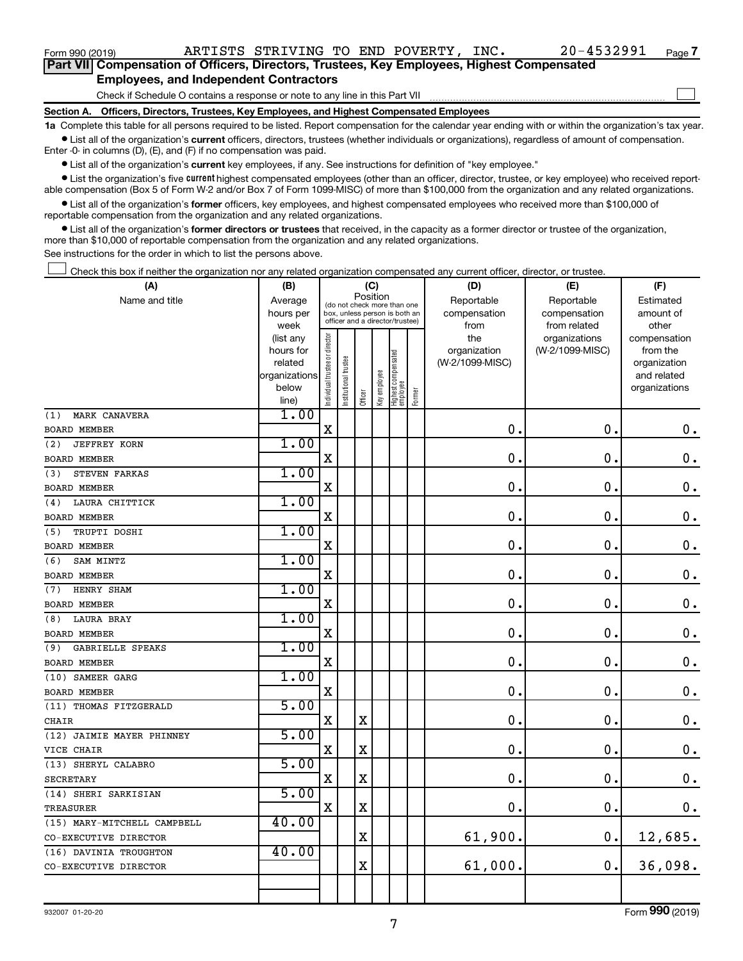| Form 990 (2019)                                                                                   |                                               | ARTISTS STRIVING TO END POVERTY, INC. |  |  | 20-4532991 | Page |
|---------------------------------------------------------------------------------------------------|-----------------------------------------------|---------------------------------------|--|--|------------|------|
| <b>Part VII</b> Compensation of Officers, Directors, Trustees, Key Employees, Highest Compensated |                                               |                                       |  |  |            |      |
|                                                                                                   | <b>Employees, and Independent Contractors</b> |                                       |  |  |            |      |

#### Check if Schedule O contains a response or note to any line in this Part VII **Employees, and Independent Contractors**

**Section A. Officers, Directors, Trustees, Key Employees, and Highest Compensated Employees**

**1a**  Complete this table for all persons required to be listed. Report compensation for the calendar year ending with or within the organization's tax year.

 $\bullet$  List all of the organization's current officers, directors, trustees (whether individuals or organizations), regardless of amount of compensation. Enter -0- in columns (D), (E), and (F) if no compensation was paid.

**•** List all of the organization's current key employees, if any. See instructions for definition of "key employee."

• List the organization's five *current* highest compensated employees (other than an officer, director, trustee, or key employee) who received reportable compensation (Box 5 of Form W-2 and/or Box 7 of Form 1099-MISC) of more than \$100,000 from the organization and any related organizations.

 $\bullet$  List all of the organization's former officers, key employees, and highest compensated employees who received more than \$100,000 of reportable compensation from the organization and any related organizations.

**•** List all of the organization's former directors or trustees that received, in the capacity as a former director or trustee of the organization, more than \$10,000 of reportable compensation from the organization and any related organizations.

See instructions for the order in which to list the persons above.

Check this box if neither the organization nor any related organization compensated any current officer, director, or trustee.  $\overline{a}$ 

| (A)                            | (B)                    |                                |                                                                  |             | (C)          |                                 |        | (D)             | (E)             | (F)                          |
|--------------------------------|------------------------|--------------------------------|------------------------------------------------------------------|-------------|--------------|---------------------------------|--------|-----------------|-----------------|------------------------------|
| Name and title                 | Average                |                                | (do not check more than one                                      | Position    |              |                                 |        | Reportable      | Reportable      | Estimated                    |
|                                | hours per              |                                | box, unless person is both an<br>officer and a director/trustee) |             |              |                                 |        | compensation    | compensation    | amount of                    |
|                                | week                   |                                |                                                                  |             |              |                                 |        | from            | from related    | other                        |
|                                | (list any              |                                |                                                                  |             |              |                                 |        | the             | organizations   | compensation                 |
|                                | hours for              |                                |                                                                  |             |              |                                 |        | organization    | (W-2/1099-MISC) | from the                     |
|                                | related                |                                |                                                                  |             |              |                                 |        | (W-2/1099-MISC) |                 | organization                 |
|                                | organizations<br>below |                                |                                                                  |             |              |                                 |        |                 |                 | and related<br>organizations |
|                                | line)                  | Individual trustee or director | Institutional trustee                                            | Officer     | Key employee | Highest compensated<br>employee | Former |                 |                 |                              |
| MARK CANAVERA<br>(1)           | 1.00                   |                                |                                                                  |             |              |                                 |        |                 |                 |                              |
| <b>BOARD MEMBER</b>            |                        | X                              |                                                                  |             |              |                                 |        | $\mathbf 0$ .   | $\mathbf 0$ .   | $\boldsymbol{0}$ .           |
| (2)<br><b>JEFFREY KORN</b>     | 1.00                   |                                |                                                                  |             |              |                                 |        |                 |                 |                              |
| <b>BOARD MEMBER</b>            |                        | $\mathbf X$                    |                                                                  |             |              |                                 |        | 0.              | $\mathbf 0$ .   | $\mathbf 0$ .                |
| (3)<br>STEVEN FARKAS           | 1.00                   |                                |                                                                  |             |              |                                 |        |                 |                 |                              |
| <b>BOARD MEMBER</b>            |                        | $\mathbf X$                    |                                                                  |             |              |                                 |        | $\mathbf 0$     | $\mathbf 0$ .   | $\mathbf 0$ .                |
| LAURA CHITTICK<br>(4)          | 1.00                   |                                |                                                                  |             |              |                                 |        |                 |                 |                              |
| <b>BOARD MEMBER</b>            |                        | $\mathbf X$                    |                                                                  |             |              |                                 |        | 0.              | $\mathbf 0$ .   | $\mathbf 0$ .                |
| (5)<br>TRUPTI DOSHI            | 1.00                   |                                |                                                                  |             |              |                                 |        |                 |                 |                              |
| <b>BOARD MEMBER</b>            |                        | $\mathbf X$                    |                                                                  |             |              |                                 |        | 0.              | $\mathbf 0$ .   | $\mathbf 0$ .                |
| (6)<br>SAM MINTZ               | 1.00                   |                                |                                                                  |             |              |                                 |        |                 |                 |                              |
| <b>BOARD MEMBER</b>            |                        | X                              |                                                                  |             |              |                                 |        | $\mathbf 0$     | $\mathbf 0$ .   | $\mathbf 0$ .                |
| HENRY SHAM<br>(7)              | 1.00                   |                                |                                                                  |             |              |                                 |        |                 |                 |                              |
| BOARD MEMBER                   |                        | $\mathbf X$                    |                                                                  |             |              |                                 |        | $\mathbf 0$ .   | $\mathbf 0$ .   | 0.                           |
| <b>LAURA BRAY</b><br>(8)       | 1.00                   |                                |                                                                  |             |              |                                 |        |                 |                 |                              |
| <b>BOARD MEMBER</b>            |                        | $\mathbf X$                    |                                                                  |             |              |                                 |        | 0               | $\mathbf 0$ .   | $\mathbf 0$ .                |
| <b>GABRIELLE SPEAKS</b><br>(9) | 1.00                   |                                |                                                                  |             |              |                                 |        |                 |                 |                              |
| <b>BOARD MEMBER</b>            |                        | $\mathbf X$                    |                                                                  |             |              |                                 |        | 0.              | $\mathbf 0$ .   | $\mathbf 0$ .                |
| (10) SAMEER GARG               | 1.00                   |                                |                                                                  |             |              |                                 |        |                 |                 |                              |
| <b>BOARD MEMBER</b>            |                        | X                              |                                                                  |             |              |                                 |        | 0               | 0.              | $\mathbf 0$ .                |
| (11) THOMAS FITZGERALD         | 5.00                   |                                |                                                                  |             |              |                                 |        |                 |                 |                              |
| <b>CHAIR</b>                   |                        | $\mathbf X$                    |                                                                  | $\mathbf X$ |              |                                 |        | $\mathbf 0$     | $\mathbf 0$ .   | $0$ .                        |
| (12) JAIMIE MAYER PHINNEY      | 5.00                   |                                |                                                                  |             |              |                                 |        |                 |                 |                              |
| VICE CHAIR                     |                        | X                              |                                                                  | $\mathbf X$ |              |                                 |        | 0               | $\mathbf 0$ .   | $\mathbf 0$ .                |
| (13) SHERYL CALABRO            | 5.00                   |                                |                                                                  |             |              |                                 |        |                 |                 |                              |
| <b>SECRETARY</b>               |                        | $\mathbf X$                    |                                                                  | $\mathbf X$ |              |                                 |        | $\mathbf 0$     | $\mathbf 0$ .   | $\mathbf 0$ .                |
| (14) SHERI SARKISIAN           | 5.00                   |                                |                                                                  |             |              |                                 |        |                 |                 |                              |
| <b>TREASURER</b>               |                        | X                              |                                                                  | X           |              |                                 |        | $\mathbf 0$     | $\mathbf 0$ .   | $0$ .                        |
| (15) MARY-MITCHELL CAMPBELL    | 40.00                  |                                |                                                                  |             |              |                                 |        |                 |                 |                              |
| CO-EXECUTIVE DIRECTOR          |                        |                                |                                                                  | $\mathbf X$ |              |                                 |        | 61,900.         | 0.              | 12,685.                      |
| (16) DAVINIA TROUGHTON         | 40.00                  |                                |                                                                  |             |              |                                 |        |                 |                 |                              |
| CO-EXECUTIVE DIRECTOR          |                        |                                |                                                                  | $\mathbf X$ |              |                                 |        | 61,000.         | 0.              | 36,098.                      |
|                                |                        |                                |                                                                  |             |              |                                 |        |                 |                 |                              |
|                                |                        |                                |                                                                  |             |              |                                 |        |                 |                 |                              |

Form (2019) **990**

**7**

 $\Box$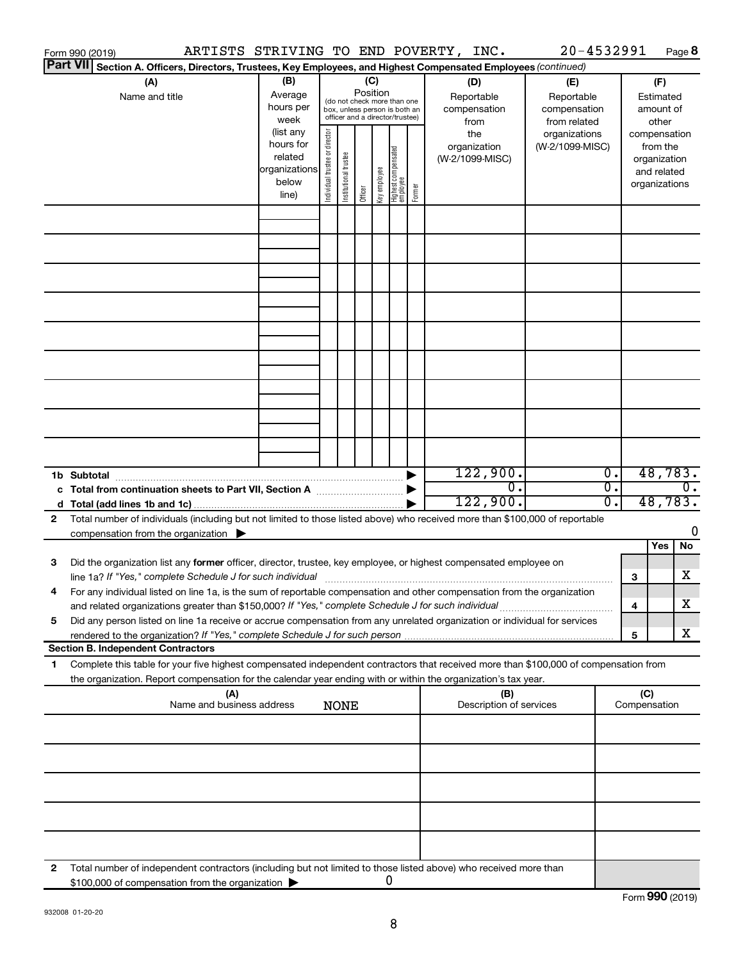|    | ARTISTS STRIVING TO END POVERTY, INC.<br>Form 990 (2019)                                                                                                                                                                                               |                                                                      |                                |                       |                 |              |                                                                                                 |        |                                                | 20-4532991                                       |                           |                     |                                                                                   | Page 8           |
|----|--------------------------------------------------------------------------------------------------------------------------------------------------------------------------------------------------------------------------------------------------------|----------------------------------------------------------------------|--------------------------------|-----------------------|-----------------|--------------|-------------------------------------------------------------------------------------------------|--------|------------------------------------------------|--------------------------------------------------|---------------------------|---------------------|-----------------------------------------------------------------------------------|------------------|
|    | Part VII Section A. Officers, Directors, Trustees, Key Employees, and Highest Compensated Employees (continued)                                                                                                                                        |                                                                      |                                |                       |                 |              |                                                                                                 |        |                                                |                                                  |                           |                     |                                                                                   |                  |
|    | (A)<br>Name and title                                                                                                                                                                                                                                  | (B)<br>Average<br>hours per<br>week                                  |                                |                       | (C)<br>Position |              | (do not check more than one<br>box, unless person is both an<br>officer and a director/trustee) |        | (D)<br>Reportable<br>compensation              | (E)<br>Reportable<br>compensation                |                           |                     | (F)<br>Estimated<br>amount of                                                     |                  |
|    |                                                                                                                                                                                                                                                        | (list any<br>hours for<br>related<br>organizations<br>below<br>line) | Individual trustee or director | Institutional trustee | Officer         | Key employee | Highest compensated<br>  employee                                                               | Former | from<br>the<br>organization<br>(W-2/1099-MISC) | from related<br>organizations<br>(W-2/1099-MISC) |                           |                     | other<br>compensation<br>from the<br>organization<br>and related<br>organizations |                  |
|    |                                                                                                                                                                                                                                                        |                                                                      |                                |                       |                 |              |                                                                                                 |        |                                                |                                                  |                           |                     |                                                                                   |                  |
|    |                                                                                                                                                                                                                                                        |                                                                      |                                |                       |                 |              |                                                                                                 |        |                                                |                                                  |                           |                     |                                                                                   |                  |
|    |                                                                                                                                                                                                                                                        |                                                                      |                                |                       |                 |              |                                                                                                 |        |                                                |                                                  |                           |                     |                                                                                   |                  |
|    |                                                                                                                                                                                                                                                        |                                                                      |                                |                       |                 |              |                                                                                                 |        |                                                |                                                  |                           |                     |                                                                                   |                  |
|    |                                                                                                                                                                                                                                                        |                                                                      |                                |                       |                 |              |                                                                                                 |        |                                                |                                                  |                           |                     |                                                                                   |                  |
|    |                                                                                                                                                                                                                                                        |                                                                      |                                |                       |                 |              |                                                                                                 |        |                                                |                                                  |                           |                     |                                                                                   |                  |
|    |                                                                                                                                                                                                                                                        |                                                                      |                                |                       |                 |              |                                                                                                 |        |                                                |                                                  |                           |                     |                                                                                   |                  |
|    |                                                                                                                                                                                                                                                        |                                                                      |                                |                       |                 |              |                                                                                                 |        |                                                |                                                  |                           |                     |                                                                                   |                  |
|    | 1b Subtotal                                                                                                                                                                                                                                            |                                                                      |                                |                       |                 |              |                                                                                                 |        | 122,900.                                       |                                                  | $\overline{0}$ .          |                     | 48,783.                                                                           |                  |
|    |                                                                                                                                                                                                                                                        |                                                                      |                                |                       |                 |              |                                                                                                 |        | $\overline{0}$ .<br>122,900.                   |                                                  | $\overline{0}$ .<br>$0$ . |                     | 48,783.                                                                           | $\overline{0}$ . |
| 2  | Total number of individuals (including but not limited to those listed above) who received more than \$100,000 of reportable                                                                                                                           |                                                                      |                                |                       |                 |              |                                                                                                 |        |                                                |                                                  |                           |                     |                                                                                   |                  |
|    | compensation from the organization $\blacktriangleright$                                                                                                                                                                                               |                                                                      |                                |                       |                 |              |                                                                                                 |        |                                                |                                                  |                           |                     |                                                                                   | 0                |
|    |                                                                                                                                                                                                                                                        |                                                                      |                                |                       |                 |              |                                                                                                 |        |                                                |                                                  |                           |                     | Yes                                                                               | No               |
| 3  | Did the organization list any former officer, director, trustee, key employee, or highest compensated employee on<br>line 1a? If "Yes," complete Schedule J for such individual [11] manufacture manufacture in the set of the set o                   |                                                                      |                                |                       |                 |              |                                                                                                 |        |                                                |                                                  |                           | 3                   |                                                                                   | х                |
|    | For any individual listed on line 1a, is the sum of reportable compensation and other compensation from the organization<br>and related organizations greater than \$150,000? If "Yes," complete Schedule J for such individual                        |                                                                      |                                |                       |                 |              |                                                                                                 |        |                                                |                                                  |                           | 4                   |                                                                                   | x                |
| 5  | Did any person listed on line 1a receive or accrue compensation from any unrelated organization or individual for services                                                                                                                             |                                                                      |                                |                       |                 |              |                                                                                                 |        |                                                |                                                  |                           | 5                   |                                                                                   | х                |
|    | <b>Section B. Independent Contractors</b>                                                                                                                                                                                                              |                                                                      |                                |                       |                 |              |                                                                                                 |        |                                                |                                                  |                           |                     |                                                                                   |                  |
| 1. | Complete this table for your five highest compensated independent contractors that received more than \$100,000 of compensation from<br>the organization. Report compensation for the calendar year ending with or within the organization's tax year. |                                                                      |                                |                       |                 |              |                                                                                                 |        |                                                |                                                  |                           |                     |                                                                                   |                  |
|    | (A)<br>Name and business address                                                                                                                                                                                                                       |                                                                      |                                | <b>NONE</b>           |                 |              |                                                                                                 |        | (B)<br>Description of services                 |                                                  |                           | (C)<br>Compensation |                                                                                   |                  |
|    |                                                                                                                                                                                                                                                        |                                                                      |                                |                       |                 |              |                                                                                                 |        |                                                |                                                  |                           |                     |                                                                                   |                  |
|    |                                                                                                                                                                                                                                                        |                                                                      |                                |                       |                 |              |                                                                                                 |        |                                                |                                                  |                           |                     |                                                                                   |                  |
|    |                                                                                                                                                                                                                                                        |                                                                      |                                |                       |                 |              |                                                                                                 |        |                                                |                                                  |                           |                     |                                                                                   |                  |
|    |                                                                                                                                                                                                                                                        |                                                                      |                                |                       |                 |              |                                                                                                 |        |                                                |                                                  |                           |                     |                                                                                   |                  |
| 2  | Total number of independent contractors (including but not limited to those listed above) who received more than<br>\$100,000 of compensation from the organization                                                                                    |                                                                      |                                |                       |                 | 0            |                                                                                                 |        |                                                |                                                  |                           |                     |                                                                                   |                  |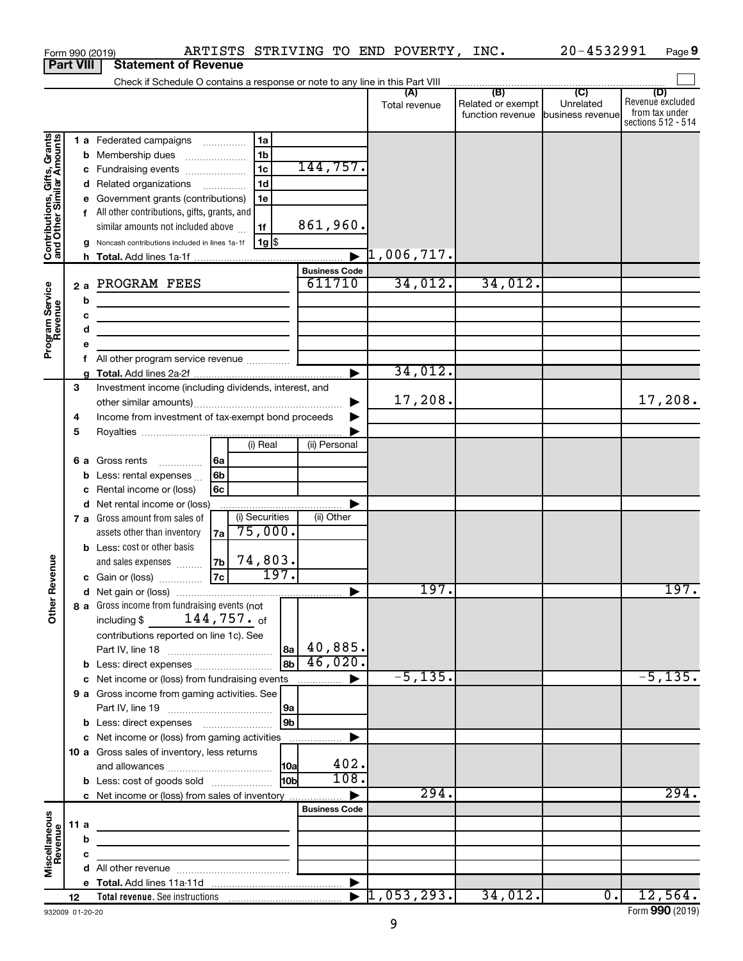|                                                           |                  |                                                    | Form 990 (2019)                                                                                                      |                |                |      |                                | ARTISTS STRIVING TO END POVERTY, | INC.                                         | 20-4532991                                      | Page 9                                                          |
|-----------------------------------------------------------|------------------|----------------------------------------------------|----------------------------------------------------------------------------------------------------------------------|----------------|----------------|------|--------------------------------|----------------------------------|----------------------------------------------|-------------------------------------------------|-----------------------------------------------------------------|
|                                                           | <b>Part VIII</b> |                                                    | <b>Statement of Revenue</b>                                                                                          |                |                |      |                                |                                  |                                              |                                                 |                                                                 |
|                                                           |                  |                                                    |                                                                                                                      |                |                |      |                                |                                  |                                              |                                                 |                                                                 |
|                                                           |                  |                                                    |                                                                                                                      |                |                |      |                                | (A)<br>Total revenue             | (B)<br>Related or exempt<br>function revenue | $\overline{C}$<br>Unrelated<br>business revenue | (D)<br>Revenue excluded<br>from tax under<br>sections 512 - 514 |
|                                                           |                  |                                                    | 1 a Federated campaigns                                                                                              |                | 1a             |      |                                |                                  |                                              |                                                 |                                                                 |
| Contributions, Gifts, Grants<br>and Other Similar Amounts |                  |                                                    | <b>b</b> Membership dues<br>$\ldots \ldots \ldots \ldots \ldots$                                                     |                | 1 <sub>b</sub> |      |                                |                                  |                                              |                                                 |                                                                 |
|                                                           |                  |                                                    | c Fundraising events                                                                                                 |                | 1 <sub>c</sub> |      | 144,757.                       |                                  |                                              |                                                 |                                                                 |
|                                                           |                  | d                                                  | Related organizations <i>manuming</i>                                                                                |                | 1 <sub>d</sub> |      |                                |                                  |                                              |                                                 |                                                                 |
|                                                           |                  | е                                                  | Government grants (contributions)                                                                                    |                | 1e             |      |                                |                                  |                                              |                                                 |                                                                 |
|                                                           |                  | f                                                  | All other contributions, gifts, grants, and                                                                          |                |                |      |                                |                                  |                                              |                                                 |                                                                 |
|                                                           |                  |                                                    | similar amounts not included above                                                                                   |                | 1f             |      | 861,960.                       |                                  |                                              |                                                 |                                                                 |
|                                                           |                  |                                                    | Noncash contributions included in lines 1a-1f                                                                        |                | $1g$ \$        |      |                                |                                  |                                              |                                                 |                                                                 |
|                                                           |                  |                                                    |                                                                                                                      |                |                |      | $\overline{\phantom{a}}$       | $\mathfrak{1}$ ,006,717.         |                                              |                                                 |                                                                 |
|                                                           |                  |                                                    | PROGRAM FEES                                                                                                         |                |                |      | <b>Business Code</b><br>611710 | 34,012.                          | 34,012.                                      |                                                 |                                                                 |
| Program Service<br>Revenue                                |                  | 2a                                                 |                                                                                                                      |                |                |      |                                |                                  |                                              |                                                 |                                                                 |
|                                                           |                  | b                                                  | <u> 1989 - Johann Barbara, martxa alemaniar a</u>                                                                    |                |                |      |                                |                                  |                                              |                                                 |                                                                 |
|                                                           |                  | c                                                  | <u> 1989 - Johann Barn, mars ann an t-Amhain Aonaich an t-Aonaich an t-Aonaich ann an t-Aonaich ann an t-Aonaich</u> |                |                |      |                                |                                  |                                              |                                                 |                                                                 |
|                                                           |                  | d<br>e                                             | the control of the control of the control of the control of                                                          |                |                |      |                                |                                  |                                              |                                                 |                                                                 |
|                                                           |                  | f                                                  | All other program service revenue                                                                                    |                |                |      |                                |                                  |                                              |                                                 |                                                                 |
|                                                           |                  |                                                    |                                                                                                                      |                |                |      | ▶                              | 34,012.                          |                                              |                                                 |                                                                 |
|                                                           | 3                |                                                    | Investment income (including dividends, interest, and                                                                |                |                |      |                                |                                  |                                              |                                                 |                                                                 |
|                                                           |                  |                                                    |                                                                                                                      |                |                |      |                                | 17,208.                          |                                              |                                                 | 17,208.                                                         |
|                                                           | 4                | Income from investment of tax-exempt bond proceeds |                                                                                                                      |                |                |      |                                |                                  |                                              |                                                 |                                                                 |
|                                                           | 5                |                                                    |                                                                                                                      |                |                |      |                                |                                  |                                              |                                                 |                                                                 |
|                                                           |                  |                                                    |                                                                                                                      |                | (i) Real       |      | (ii) Personal                  |                                  |                                              |                                                 |                                                                 |
|                                                           |                  | 6а                                                 | Gross rents<br>.                                                                                                     | 6a             |                |      |                                |                                  |                                              |                                                 |                                                                 |
|                                                           |                  | b                                                  | Less: rental expenses                                                                                                | 6 <sub>b</sub> |                |      |                                |                                  |                                              |                                                 |                                                                 |
|                                                           |                  | с                                                  | Rental income or (loss)                                                                                              | 6c             |                |      |                                |                                  |                                              |                                                 |                                                                 |
|                                                           |                  | d                                                  | Net rental income or (loss)                                                                                          |                |                |      | Þ                              |                                  |                                              |                                                 |                                                                 |
|                                                           |                  |                                                    | 7 a Gross amount from sales of                                                                                       |                | (i) Securities |      | (ii) Other                     |                                  |                                              |                                                 |                                                                 |
|                                                           |                  |                                                    | assets other than inventory                                                                                          | 7a             | 75,000.        |      |                                |                                  |                                              |                                                 |                                                                 |
|                                                           |                  |                                                    | <b>b</b> Less: cost or other basis                                                                                   |                |                |      |                                |                                  |                                              |                                                 |                                                                 |
| evenue                                                    |                  |                                                    | and sales expenses                                                                                                   | 7b             | 74,803.        | 197. |                                |                                  |                                              |                                                 |                                                                 |
|                                                           |                  |                                                    | c Gain or (loss)                                                                                                     | 7c             |                |      |                                | 197.                             |                                              |                                                 | 197.                                                            |
|                                                           |                  |                                                    |                                                                                                                      |                |                |      |                                |                                  |                                              |                                                 |                                                                 |
| Other F                                                   |                  |                                                    | 8 a Gross income from fundraising events (not<br>including \$ $144,757$ of                                           |                |                |      |                                |                                  |                                              |                                                 |                                                                 |
|                                                           |                  |                                                    | contributions reported on line 1c). See                                                                              |                |                |      |                                |                                  |                                              |                                                 |                                                                 |
|                                                           |                  |                                                    |                                                                                                                      |                |                | 8a   | 40,885.                        |                                  |                                              |                                                 |                                                                 |
|                                                           |                  |                                                    | <b>b</b> Less: direct expenses                                                                                       |                |                | l 8b | 46,020.                        |                                  |                                              |                                                 |                                                                 |
|                                                           |                  |                                                    | c Net income or (loss) from fundraising events                                                                       |                |                |      | $\blacktriangleright$          | $-5, 135.$                       |                                              |                                                 | $-5,135.$                                                       |
|                                                           |                  |                                                    | 9 a Gross income from gaming activities. See                                                                         |                |                |      |                                |                                  |                                              |                                                 |                                                                 |
|                                                           |                  |                                                    |                                                                                                                      |                |                |      |                                |                                  |                                              |                                                 |                                                                 |
|                                                           |                  |                                                    |                                                                                                                      |                |                | l 9b |                                |                                  |                                              |                                                 |                                                                 |
|                                                           |                  |                                                    | c Net income or (loss) from gaming activities                                                                        |                |                |      | ▶                              |                                  |                                              |                                                 |                                                                 |
|                                                           |                  |                                                    | 10 a Gross sales of inventory, less returns                                                                          |                |                |      |                                |                                  |                                              |                                                 |                                                                 |
|                                                           |                  |                                                    |                                                                                                                      |                |                |      | 402.                           |                                  |                                              |                                                 |                                                                 |
|                                                           |                  |                                                    | <b>b</b> Less: cost of goods sold                                                                                    |                |                | 10bl | 108.                           |                                  |                                              |                                                 |                                                                 |
|                                                           |                  |                                                    | c Net income or (loss) from sales of inventory                                                                       |                |                |      | $\blacktriangleright$          | 294.                             |                                              |                                                 | 294.                                                            |
|                                                           |                  |                                                    |                                                                                                                      |                |                |      | <b>Business Code</b>           |                                  |                                              |                                                 |                                                                 |
| Miscellaneous<br>Revenue                                  | 11a              |                                                    | <u> 1980 - Johann John Stein, markin fan it ferstjer fan de ferstjer fan it ferstjer fan it ferstjer fan it fers</u> |                |                |      |                                |                                  |                                              |                                                 |                                                                 |
|                                                           |                  | b                                                  |                                                                                                                      |                |                |      |                                |                                  |                                              |                                                 |                                                                 |
|                                                           |                  | c                                                  |                                                                                                                      |                |                |      |                                |                                  |                                              |                                                 |                                                                 |
|                                                           |                  |                                                    |                                                                                                                      |                |                |      |                                |                                  |                                              |                                                 |                                                                 |
|                                                           |                  |                                                    |                                                                                                                      |                |                |      |                                |                                  |                                              |                                                 |                                                                 |
|                                                           | 12               |                                                    |                                                                                                                      |                |                |      |                                |                                  | 34,012.                                      | $\overline{0}$ .                                | 12,564.                                                         |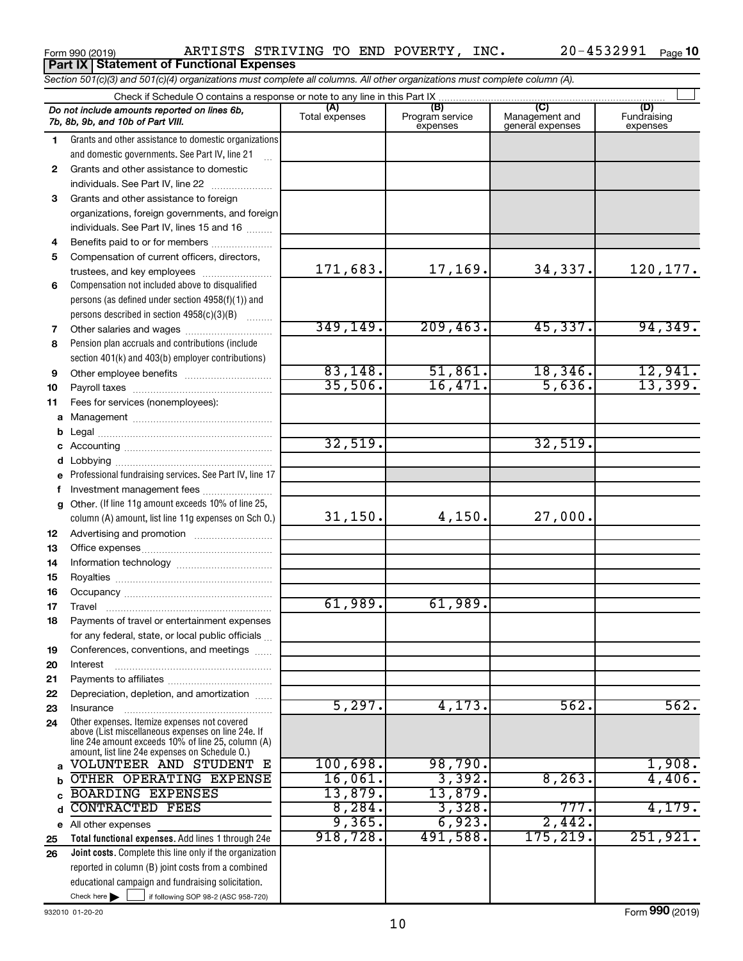#### **(A) (B) (C) (D)** Management and general expenses **1 2** *Section 501(c)(3) and 501(c)(4) organizations must complete all columns. All other organizations must complete column (A).* Grants and other assistance to domestic organizations and domestic governments. See Part IV, line 21 Form 990 (2019) ARTISTS STRIVING TO END POVERTY, INC. 20-4532991 <sub>Page</sub> Check if Schedule O contains a response or note to any line in this Part IX<br>
amounts reported on lines 6b,<br>
Total expenses Program Total expenses Program service expenses Fundraising expenses .<br>... Grants and other assistance to domestic individuals. See Part IV, line 22  $\ldots$  $\ldots$  $\ldots$ *Do not include amounts reported on lines 6b, 7b, 8b, 9b, and 10b of Part VIII.* **10 Part IX Statement of Functional Expenses**  $\Box$

|    | and domestic governments. See Part IV, line 21<br>u.                                                                          |           |           |           |          |
|----|-------------------------------------------------------------------------------------------------------------------------------|-----------|-----------|-----------|----------|
| 2  | Grants and other assistance to domestic                                                                                       |           |           |           |          |
|    | individuals. See Part IV, line 22                                                                                             |           |           |           |          |
| 3  | Grants and other assistance to foreign                                                                                        |           |           |           |          |
|    | organizations, foreign governments, and foreign                                                                               |           |           |           |          |
|    | individuals. See Part IV, lines 15 and 16                                                                                     |           |           |           |          |
| 4  | Benefits paid to or for members                                                                                               |           |           |           |          |
| 5  | Compensation of current officers, directors,                                                                                  |           |           |           |          |
|    | trustees, and key employees                                                                                                   | 171,683.  | 17,169.   | 34,337.   | 120,177. |
| 6  | Compensation not included above to disqualified                                                                               |           |           |           |          |
|    | persons (as defined under section 4958(f)(1)) and                                                                             |           |           |           |          |
|    | persons described in section 4958(c)(3)(B)                                                                                    |           |           |           |          |
| 7  |                                                                                                                               | 349, 149. | 209, 463. | 45,337.   | 94,349.  |
| 8  | Pension plan accruals and contributions (include                                                                              |           |           |           |          |
|    | section 401(k) and 403(b) employer contributions)                                                                             |           |           |           |          |
| 9  |                                                                                                                               | 83,148.   | 51,861.   | 18,346.   | 12,941.  |
| 10 |                                                                                                                               | 35,506.   | 16,471.   | 5,636.    | 13,399.  |
| 11 | Fees for services (nonemployees):                                                                                             |           |           |           |          |
| а  |                                                                                                                               |           |           |           |          |
| b  |                                                                                                                               |           |           |           |          |
|    |                                                                                                                               | 32,519.   |           | 32,519.   |          |
| d  |                                                                                                                               |           |           |           |          |
|    | e Professional fundraising services. See Part IV, line 17                                                                     |           |           |           |          |
| f. | Investment management fees                                                                                                    |           |           |           |          |
| g  | Other. (If line 11g amount exceeds 10% of line 25,                                                                            |           |           |           |          |
|    | column (A) amount, list line 11g expenses on Sch O.)                                                                          | 31,150.   | 4,150.    | 27,000.   |          |
| 12 |                                                                                                                               |           |           |           |          |
| 13 |                                                                                                                               |           |           |           |          |
| 14 |                                                                                                                               |           |           |           |          |
| 15 |                                                                                                                               |           |           |           |          |
| 16 |                                                                                                                               |           |           |           |          |
| 17 |                                                                                                                               | 61,989.   | 61,989.   |           |          |
| 18 | Payments of travel or entertainment expenses                                                                                  |           |           |           |          |
|    | for any federal, state, or local public officials                                                                             |           |           |           |          |
| 19 | Conferences, conventions, and meetings                                                                                        |           |           |           |          |
| 20 | Interest                                                                                                                      |           |           |           |          |
| 21 |                                                                                                                               |           |           |           |          |
| 22 | Depreciation, depletion, and amortization                                                                                     | 5,297.    |           | 562.      | 562.     |
| 23 | Insurance                                                                                                                     |           | 4,173.    |           |          |
| 24 | Other expenses. Itemize expenses not covered<br>above (List miscellaneous expenses on line 24e. If                            |           |           |           |          |
|    | line 24e amount exceeds 10% of line 25, column (A)                                                                            |           |           |           |          |
|    | amount, list line 24e expenses on Schedule O.)<br>VOLUNTEER AND STUDENT E                                                     | 100,698.  | 98,790.   |           | 1,908.   |
|    | OTHER OPERATING EXPENSE                                                                                                       | 16,061.   | 3,392.    | 8, 263.   | 4,406.   |
| b  |                                                                                                                               | 13,879.   | 13,879.   |           |          |
|    | <b>BOARDING EXPENSES</b><br><b>CONTRACTED FEES</b>                                                                            | 8,284.    | 3,328.    | 777.      | 4,179.   |
| d  |                                                                                                                               | 9,365.    | 6,923.    | 2,442.    |          |
| е  | All other expenses                                                                                                            | 918,728.  | 491,588.  | 175, 219. | 251,921. |
| 25 | Total functional expenses. Add lines 1 through 24e                                                                            |           |           |           |          |
| 26 | Joint costs. Complete this line only if the organization                                                                      |           |           |           |          |
|    | reported in column (B) joint costs from a combined                                                                            |           |           |           |          |
|    | educational campaign and fundraising solicitation.<br>Check here $\blacktriangleright$<br>if following SOP 98-2 (ASC 958-720) |           |           |           |          |
|    |                                                                                                                               |           |           |           |          |

932010 01-20-20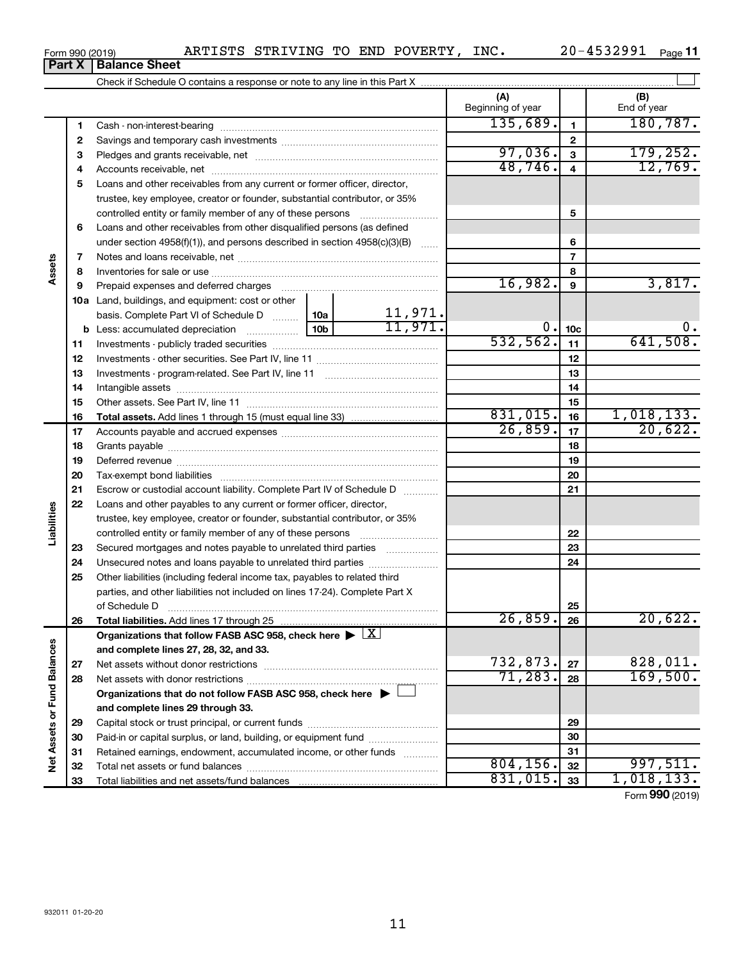| -4532991<br>$20 -$<br>INC.<br>POVERTY ,<br>TO END<br>STRIVING<br>ARTISTS<br>Page<br>Form 990 (2019) |
|-----------------------------------------------------------------------------------------------------|
|-----------------------------------------------------------------------------------------------------|

|                             | Part X | <b>Balance Sheet</b>                                                                 |         |                         |                          |                 |                    |
|-----------------------------|--------|--------------------------------------------------------------------------------------|---------|-------------------------|--------------------------|-----------------|--------------------|
|                             |        |                                                                                      |         |                         |                          |                 |                    |
|                             |        |                                                                                      |         |                         | (A)<br>Beginning of year |                 | (B)<br>End of year |
|                             | 1      |                                                                                      |         |                         | 135,689.                 | $\mathbf{1}$    | 180, 787.          |
|                             | 2      |                                                                                      |         | $\mathbf{2}$            |                          |                 |                    |
|                             | З      |                                                                                      | 97,036. | $\overline{\mathbf{3}}$ | 179, 252.                |                 |                    |
|                             | 4      |                                                                                      | 48,746. | $\overline{4}$          | 12,769.                  |                 |                    |
|                             | 5      | Loans and other receivables from any current or former officer, director,            |         |                         |                          |                 |                    |
|                             |        | trustee, key employee, creator or founder, substantial contributor, or 35%           |         |                         |                          |                 |                    |
|                             |        | controlled entity or family member of any of these persons                           |         |                         |                          | 5               |                    |
|                             | 6      | Loans and other receivables from other disqualified persons (as defined              |         |                         |                          |                 |                    |
|                             |        | under section $4958(f)(1)$ , and persons described in section $4958(c)(3)(B)$        |         | $\ldots$                |                          | 6               |                    |
|                             | 7      |                                                                                      |         |                         |                          | $\overline{7}$  |                    |
| Assets                      | 8      |                                                                                      |         |                         |                          | 8               |                    |
|                             | 9      | Prepaid expenses and deferred charges                                                |         |                         | 16,982.                  | 9               | 3,817.             |
|                             |        | <b>10a</b> Land, buildings, and equipment: cost or other                             |         |                         |                          |                 |                    |
|                             |        | basis. Complete Part VI of Schedule D  10a                                           |         |                         |                          |                 |                    |
|                             |        | <b>b</b> Less: accumulated depreciation <i></i>                                      | 10b l   | $\frac{11,971}{11,971}$ | 0.                       | 10 <sub>c</sub> | 0.                 |
|                             | 11     |                                                                                      |         |                         | 532,562.                 | 11              | 641,508.           |
|                             | 12     |                                                                                      |         | 12                      |                          |                 |                    |
|                             | 13     |                                                                                      |         | 13                      |                          |                 |                    |
|                             | 14     |                                                                                      |         |                         |                          | 14              |                    |
|                             | 15     |                                                                                      |         |                         |                          | 15              |                    |
|                             | 16     |                                                                                      |         |                         | 831,015.                 | 16              | 1,018,133.         |
|                             | 17     |                                                                                      |         |                         | 26,859.                  | 17              | 20,622.            |
|                             | 18     |                                                                                      |         | 18                      |                          |                 |                    |
|                             | 19     |                                                                                      |         |                         | 19                       |                 |                    |
|                             | 20     |                                                                                      |         |                         | 20                       |                 |                    |
|                             | 21     | Escrow or custodial account liability. Complete Part IV of Schedule D                |         |                         |                          | 21              |                    |
|                             | 22     | Loans and other payables to any current or former officer, director,                 |         |                         |                          |                 |                    |
| Liabilities                 |        | trustee, key employee, creator or founder, substantial contributor, or 35%           |         |                         |                          |                 |                    |
|                             |        |                                                                                      |         |                         |                          | 22              |                    |
|                             | 23     | Secured mortgages and notes payable to unrelated third parties                       |         |                         |                          | 23              |                    |
|                             | 24     | Unsecured notes and loans payable to unrelated third parties                         |         |                         |                          | 24              |                    |
|                             | 25     | Other liabilities (including federal income tax, payables to related third           |         |                         |                          |                 |                    |
|                             |        | parties, and other liabilities not included on lines 17-24). Complete Part X         |         |                         |                          |                 |                    |
|                             |        | of Schedule D                                                                        |         |                         |                          | 25              |                    |
|                             | 26     | Total liabilities. Add lines 17 through 25                                           |         |                         | 26,859.                  | 26              | 20,622.            |
|                             |        | Organizations that follow FASB ASC 958, check here $\blacktriangleright$ $\boxed{X}$ |         |                         |                          |                 |                    |
|                             |        | and complete lines 27, 28, 32, and 33.                                               |         |                         |                          |                 |                    |
|                             | 27     |                                                                                      |         |                         | 732,873.                 | 27              | 828,011.           |
|                             | 28     |                                                                                      |         |                         | 71,283.                  | 28              | 169,500.           |
|                             |        | Organizations that do not follow FASB ASC 958, check here $\blacktriangleright$      |         |                         |                          |                 |                    |
|                             |        | and complete lines 29 through 33.                                                    |         |                         |                          |                 |                    |
| Net Assets or Fund Balances | 29     |                                                                                      |         |                         |                          | 29              |                    |
|                             | 30     | Paid-in or capital surplus, or land, building, or equipment fund                     |         |                         |                          | 30              |                    |
|                             | 31     | Retained earnings, endowment, accumulated income, or other funds                     |         |                         |                          | 31              |                    |
|                             | 32     |                                                                                      |         |                         | 804, 156.                | 32              | 997,511.           |
|                             | 33     |                                                                                      |         |                         | 831,015.                 | 33              | 1,018,133.         |

Form (2019) **990**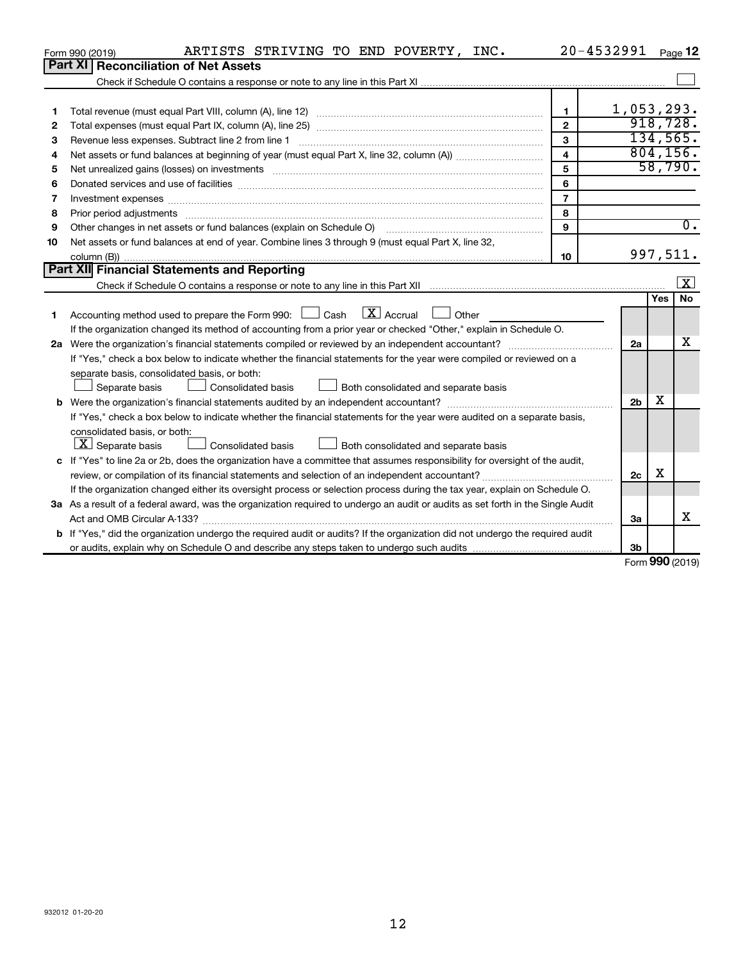|    | ARTISTS STRIVING TO END POVERTY, INC.<br>Form 990 (2019)                                                                                                                                                                       |                | $20 - 4532991$ Page 12 |     |                         |
|----|--------------------------------------------------------------------------------------------------------------------------------------------------------------------------------------------------------------------------------|----------------|------------------------|-----|-------------------------|
|    | Part XI<br><b>Reconciliation of Net Assets</b>                                                                                                                                                                                 |                |                        |     |                         |
|    |                                                                                                                                                                                                                                |                |                        |     |                         |
|    |                                                                                                                                                                                                                                |                |                        |     |                         |
| 1  |                                                                                                                                                                                                                                | $\mathbf{1}$   | 1,053,293.             |     |                         |
| 2  |                                                                                                                                                                                                                                | $\overline{2}$ |                        |     | 918, 728.               |
| 3  | Revenue less expenses. Subtract line 2 from line 1                                                                                                                                                                             | 3              |                        |     | 134,565.                |
| 4  |                                                                                                                                                                                                                                | 4              |                        |     | 804, 156.               |
| 5  |                                                                                                                                                                                                                                | 5              |                        |     | 58,790.                 |
| 6  |                                                                                                                                                                                                                                | 6              |                        |     |                         |
| 7  | Investment expenses [[11] has a series and a series of the series of the series and series and series and series and series and series and series and series and series and series and series and series and series and series | $\overline{7}$ |                        |     |                         |
| 8  | Prior period adjustments material contents and content of the content of the content of the content of the content of the content of the content of the content of the content of the content of the content of the content of | 8              |                        |     |                         |
| 9  |                                                                                                                                                                                                                                | 9              |                        |     | $\overline{0}$ .        |
| 10 | Net assets or fund balances at end of year. Combine lines 3 through 9 (must equal Part X, line 32,                                                                                                                             |                |                        |     |                         |
|    |                                                                                                                                                                                                                                | 10             |                        |     | 997,511.                |
|    | Part XII Financial Statements and Reporting                                                                                                                                                                                    |                |                        |     |                         |
|    |                                                                                                                                                                                                                                |                |                        |     | $\overline{\mathbf{X}}$ |
|    |                                                                                                                                                                                                                                |                |                        | Yes | No                      |
| 1. | Accounting method used to prepare the Form 990: $\Box$ Cash $\Box X$ Accrual<br>$\Box$ Other                                                                                                                                   |                |                        |     |                         |
|    | If the organization changed its method of accounting from a prior year or checked "Other," explain in Schedule O.                                                                                                              |                |                        |     |                         |
|    | 2a Were the organization's financial statements compiled or reviewed by an independent accountant?                                                                                                                             |                | 2a                     |     | x                       |
|    | If "Yes," check a box below to indicate whether the financial statements for the year were compiled or reviewed on a                                                                                                           |                |                        |     |                         |
|    | separate basis, consolidated basis, or both:                                                                                                                                                                                   |                |                        |     |                         |
|    | Consolidated basis<br>Both consolidated and separate basis<br>Separate basis                                                                                                                                                   |                |                        |     |                         |
|    |                                                                                                                                                                                                                                |                | 2 <sub>b</sub>         | х   |                         |
|    | If "Yes," check a box below to indicate whether the financial statements for the year were audited on a separate basis,                                                                                                        |                |                        |     |                         |
|    | consolidated basis, or both:                                                                                                                                                                                                   |                |                        |     |                         |
|    | $\lfloor \underline{X} \rfloor$ Separate basis<br>Consolidated basis<br>Both consolidated and separate basis                                                                                                                   |                |                        |     |                         |
|    | c If "Yes" to line 2a or 2b, does the organization have a committee that assumes responsibility for oversight of the audit,                                                                                                    |                |                        |     |                         |
|    |                                                                                                                                                                                                                                |                | 2c                     | х   |                         |
|    | If the organization changed either its oversight process or selection process during the tax year, explain on Schedule O.                                                                                                      |                |                        |     |                         |
|    | 3a As a result of a federal award, was the organization required to undergo an audit or audits as set forth in the Single Audit                                                                                                |                |                        |     |                         |
|    |                                                                                                                                                                                                                                |                | 3a                     |     | х                       |
|    | b If "Yes," did the organization undergo the required audit or audits? If the organization did not undergo the required audit                                                                                                  |                |                        |     |                         |
|    |                                                                                                                                                                                                                                |                | 3 <sub>b</sub>         |     |                         |

Form (2019) **990**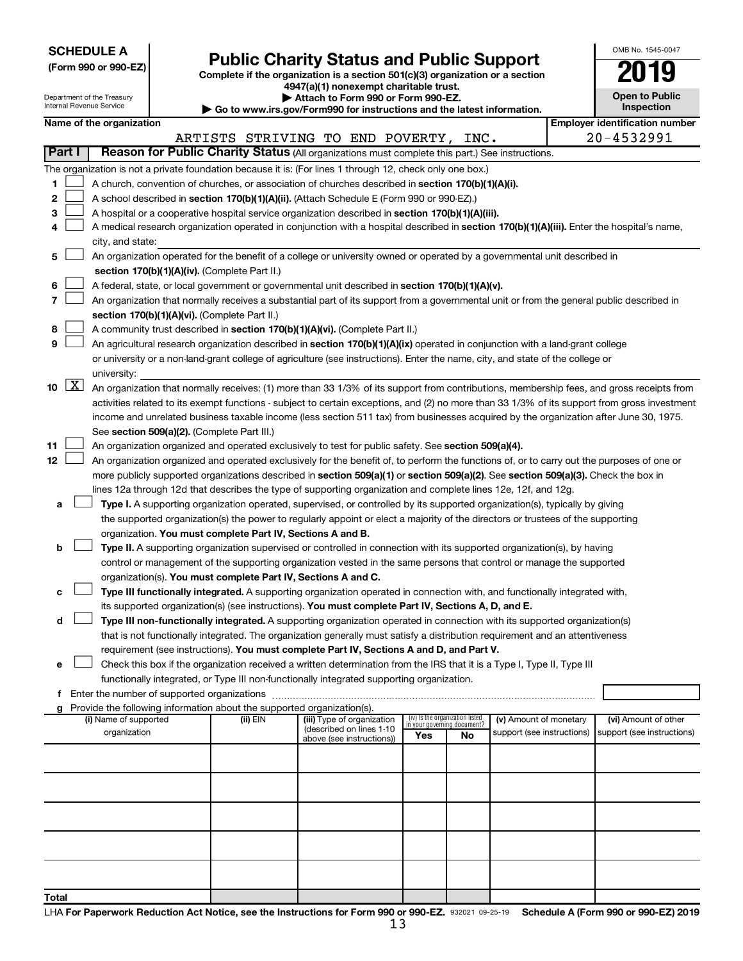| <b>SCHEDULE A</b> |  |
|-------------------|--|
|-------------------|--|

Department of the Treasury Internal Revenue Service

|  |  | (Form 990 or 990-EZ) |  |
|--|--|----------------------|--|
|  |  |                      |  |

Form 990 or 990-EZ)<br>
Complete if the organization is a section 501(c)(3) organization or a section<br> **Public Charity Status and Public Support 4947(a)(1) nonexempt charitable trust.**

**| Attach to Form 990 or Form 990-EZ.** 

**| Go to www.irs.gov/Form990 for instructions and the latest information.**

| OMB No 1545-0047                    |
|-------------------------------------|
| 019                                 |
| <b>Open to Public</b><br>Inspection |

|               |                                                                                                                                               |          | $\sim$ Go to www.irs.gov/r ormsso for instructions and the latest information. |                                                                |    |                            |                                                     |
|---------------|-----------------------------------------------------------------------------------------------------------------------------------------------|----------|--------------------------------------------------------------------------------|----------------------------------------------------------------|----|----------------------------|-----------------------------------------------------|
|               | Name of the organization                                                                                                                      |          |                                                                                |                                                                |    |                            | <b>Employer identification number</b><br>20-4532991 |
| <b>Part I</b> | Reason for Public Charity Status (All organizations must complete this part.) See instructions.                                               |          | ARTISTS STRIVING TO END POVERTY, INC.                                          |                                                                |    |                            |                                                     |
|               |                                                                                                                                               |          |                                                                                |                                                                |    |                            |                                                     |
|               | The organization is not a private foundation because it is: (For lines 1 through 12, check only one box.)                                     |          |                                                                                |                                                                |    |                            |                                                     |
| 1             | A church, convention of churches, or association of churches described in section 170(b)(1)(A)(i).                                            |          |                                                                                |                                                                |    |                            |                                                     |
| 2             | A school described in section 170(b)(1)(A)(ii). (Attach Schedule E (Form 990 or 990-EZ).)                                                     |          |                                                                                |                                                                |    |                            |                                                     |
| з             | A hospital or a cooperative hospital service organization described in section 170(b)(1)(A)(iii).                                             |          |                                                                                |                                                                |    |                            |                                                     |
| 4             | A medical research organization operated in conjunction with a hospital described in section 170(b)(1)(A)(iii). Enter the hospital's name,    |          |                                                                                |                                                                |    |                            |                                                     |
|               | city, and state:                                                                                                                              |          |                                                                                |                                                                |    |                            |                                                     |
| 5             | An organization operated for the benefit of a college or university owned or operated by a governmental unit described in                     |          |                                                                                |                                                                |    |                            |                                                     |
|               | section 170(b)(1)(A)(iv). (Complete Part II.)                                                                                                 |          |                                                                                |                                                                |    |                            |                                                     |
| 6             | A federal, state, or local government or governmental unit described in section 170(b)(1)(A)(v).                                              |          |                                                                                |                                                                |    |                            |                                                     |
| 7             | An organization that normally receives a substantial part of its support from a governmental unit or from the general public described in     |          |                                                                                |                                                                |    |                            |                                                     |
|               | section 170(b)(1)(A)(vi). (Complete Part II.)                                                                                                 |          |                                                                                |                                                                |    |                            |                                                     |
| 8             | A community trust described in section 170(b)(1)(A)(vi). (Complete Part II.)                                                                  |          |                                                                                |                                                                |    |                            |                                                     |
| 9             | An agricultural research organization described in section 170(b)(1)(A)(ix) operated in conjunction with a land-grant college                 |          |                                                                                |                                                                |    |                            |                                                     |
|               | or university or a non-land-grant college of agriculture (see instructions). Enter the name, city, and state of the college or                |          |                                                                                |                                                                |    |                            |                                                     |
|               | university:                                                                                                                                   |          |                                                                                |                                                                |    |                            |                                                     |
| 10 $ X $      | An organization that normally receives: (1) more than 33 1/3% of its support from contributions, membership fees, and gross receipts from     |          |                                                                                |                                                                |    |                            |                                                     |
|               | activities related to its exempt functions - subject to certain exceptions, and (2) no more than 33 1/3% of its support from gross investment |          |                                                                                |                                                                |    |                            |                                                     |
|               | income and unrelated business taxable income (less section 511 tax) from businesses acquired by the organization after June 30, 1975.         |          |                                                                                |                                                                |    |                            |                                                     |
|               | See section 509(a)(2). (Complete Part III.)                                                                                                   |          |                                                                                |                                                                |    |                            |                                                     |
| 11            | An organization organized and operated exclusively to test for public safety. See section 509(a)(4).                                          |          |                                                                                |                                                                |    |                            |                                                     |
| 12            | An organization organized and operated exclusively for the benefit of, to perform the functions of, or to carry out the purposes of one or    |          |                                                                                |                                                                |    |                            |                                                     |
|               | more publicly supported organizations described in section 509(a)(1) or section 509(a)(2). See section 509(a)(3). Check the box in            |          |                                                                                |                                                                |    |                            |                                                     |
|               | lines 12a through 12d that describes the type of supporting organization and complete lines 12e, 12f, and 12g.                                |          |                                                                                |                                                                |    |                            |                                                     |
| a             | Type I. A supporting organization operated, supervised, or controlled by its supported organization(s), typically by giving                   |          |                                                                                |                                                                |    |                            |                                                     |
|               | the supported organization(s) the power to regularly appoint or elect a majority of the directors or trustees of the supporting               |          |                                                                                |                                                                |    |                            |                                                     |
|               | organization. You must complete Part IV, Sections A and B.                                                                                    |          |                                                                                |                                                                |    |                            |                                                     |
| b             | Type II. A supporting organization supervised or controlled in connection with its supported organization(s), by having                       |          |                                                                                |                                                                |    |                            |                                                     |
|               | control or management of the supporting organization vested in the same persons that control or manage the supported                          |          |                                                                                |                                                                |    |                            |                                                     |
|               | organization(s). You must complete Part IV, Sections A and C.                                                                                 |          |                                                                                |                                                                |    |                            |                                                     |
| c             | Type III functionally integrated. A supporting organization operated in connection with, and functionally integrated with,                    |          |                                                                                |                                                                |    |                            |                                                     |
|               | its supported organization(s) (see instructions). You must complete Part IV, Sections A, D, and E.                                            |          |                                                                                |                                                                |    |                            |                                                     |
| d             | Type III non-functionally integrated. A supporting organization operated in connection with its supported organization(s)                     |          |                                                                                |                                                                |    |                            |                                                     |
|               | that is not functionally integrated. The organization generally must satisfy a distribution requirement and an attentiveness                  |          |                                                                                |                                                                |    |                            |                                                     |
|               | requirement (see instructions). You must complete Part IV, Sections A and D, and Part V.                                                      |          |                                                                                |                                                                |    |                            |                                                     |
| е             | Check this box if the organization received a written determination from the IRS that it is a Type I, Type II, Type III                       |          |                                                                                |                                                                |    |                            |                                                     |
|               | functionally integrated, or Type III non-functionally integrated supporting organization.                                                     |          |                                                                                |                                                                |    |                            |                                                     |
| f.            | Enter the number of supported organizations                                                                                                   |          |                                                                                |                                                                |    |                            |                                                     |
|               | Provide the following information about the supported organization(s).                                                                        |          |                                                                                |                                                                |    |                            |                                                     |
|               | (i) Name of supported                                                                                                                         | (ii) EIN | (iii) Type of organization<br>(described on lines 1-10                         | (iv) Is the organization listed<br>in your governing document? |    | (v) Amount of monetary     | (vi) Amount of other                                |
|               | organization                                                                                                                                  |          | above (see instructions))                                                      | Yes                                                            | No | support (see instructions) | support (see instructions)                          |
|               |                                                                                                                                               |          |                                                                                |                                                                |    |                            |                                                     |
|               |                                                                                                                                               |          |                                                                                |                                                                |    |                            |                                                     |
|               |                                                                                                                                               |          |                                                                                |                                                                |    |                            |                                                     |
|               |                                                                                                                                               |          |                                                                                |                                                                |    |                            |                                                     |
|               |                                                                                                                                               |          |                                                                                |                                                                |    |                            |                                                     |
|               |                                                                                                                                               |          |                                                                                |                                                                |    |                            |                                                     |
|               |                                                                                                                                               |          |                                                                                |                                                                |    |                            |                                                     |
|               |                                                                                                                                               |          |                                                                                |                                                                |    |                            |                                                     |
|               |                                                                                                                                               |          |                                                                                |                                                                |    |                            |                                                     |
|               |                                                                                                                                               |          |                                                                                |                                                                |    |                            |                                                     |
| Total         |                                                                                                                                               |          |                                                                                |                                                                |    |                            |                                                     |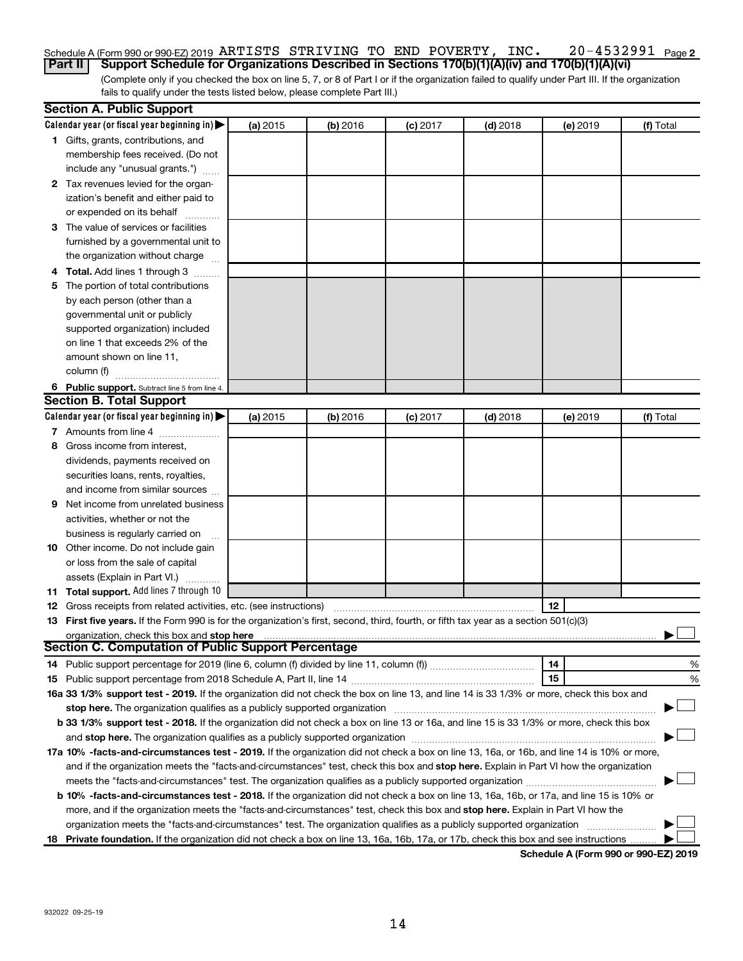#### 20-4532991 Page 2 Schedule A (Form 990 or 990-EZ) 2019 Page ARTISTS STRIVING TO END POVERTY, INC. 20-4532991 **Part II Support Schedule for Organizations Described in Sections 170(b)(1)(A)(iv) and 170(b)(1)(A)(vi)**

(Complete only if you checked the box on line 5, 7, or 8 of Part I or if the organization failed to qualify under Part III. If the organization fails to qualify under the tests listed below, please complete Part III.)

|   | <b>Section A. Public Support</b>                                                                                                           |          |          |            |            |          |           |
|---|--------------------------------------------------------------------------------------------------------------------------------------------|----------|----------|------------|------------|----------|-----------|
|   | Calendar year (or fiscal year beginning in)                                                                                                | (a) 2015 | (b) 2016 | $(c)$ 2017 | $(d)$ 2018 | (e) 2019 | (f) Total |
|   | 1 Gifts, grants, contributions, and                                                                                                        |          |          |            |            |          |           |
|   | membership fees received. (Do not                                                                                                          |          |          |            |            |          |           |
|   | include any "unusual grants.")                                                                                                             |          |          |            |            |          |           |
|   | 2 Tax revenues levied for the organ-                                                                                                       |          |          |            |            |          |           |
|   | ization's benefit and either paid to                                                                                                       |          |          |            |            |          |           |
|   | or expended on its behalf                                                                                                                  |          |          |            |            |          |           |
|   | 3 The value of services or facilities                                                                                                      |          |          |            |            |          |           |
|   | furnished by a governmental unit to                                                                                                        |          |          |            |            |          |           |
|   | the organization without charge                                                                                                            |          |          |            |            |          |           |
|   | 4 Total. Add lines 1 through 3                                                                                                             |          |          |            |            |          |           |
|   | 5 The portion of total contributions                                                                                                       |          |          |            |            |          |           |
|   | by each person (other than a                                                                                                               |          |          |            |            |          |           |
|   | governmental unit or publicly                                                                                                              |          |          |            |            |          |           |
|   | supported organization) included                                                                                                           |          |          |            |            |          |           |
|   | on line 1 that exceeds 2% of the                                                                                                           |          |          |            |            |          |           |
|   | amount shown on line 11,                                                                                                                   |          |          |            |            |          |           |
|   | column (f)                                                                                                                                 |          |          |            |            |          |           |
|   | 6 Public support. Subtract line 5 from line 4.                                                                                             |          |          |            |            |          |           |
|   | <b>Section B. Total Support</b>                                                                                                            |          |          |            |            |          |           |
|   | Calendar year (or fiscal year beginning in)                                                                                                | (a) 2015 | (b) 2016 | $(c)$ 2017 | $(d)$ 2018 | (e) 2019 | (f) Total |
|   | 7 Amounts from line 4                                                                                                                      |          |          |            |            |          |           |
| 8 | Gross income from interest,                                                                                                                |          |          |            |            |          |           |
|   | dividends, payments received on                                                                                                            |          |          |            |            |          |           |
|   | securities loans, rents, royalties,                                                                                                        |          |          |            |            |          |           |
|   | and income from similar sources                                                                                                            |          |          |            |            |          |           |
| 9 | Net income from unrelated business                                                                                                         |          |          |            |            |          |           |
|   | activities, whether or not the                                                                                                             |          |          |            |            |          |           |
|   | business is regularly carried on                                                                                                           |          |          |            |            |          |           |
|   | 10 Other income. Do not include gain                                                                                                       |          |          |            |            |          |           |
|   | or loss from the sale of capital                                                                                                           |          |          |            |            |          |           |
|   | assets (Explain in Part VI.)                                                                                                               |          |          |            |            |          |           |
|   | 11 Total support. Add lines 7 through 10                                                                                                   |          |          |            |            |          |           |
|   | <b>12</b> Gross receipts from related activities, etc. (see instructions)                                                                  |          |          |            |            | 12       |           |
|   | 13 First five years. If the Form 990 is for the organization's first, second, third, fourth, or fifth tax year as a section 501(c)(3)      |          |          |            |            |          |           |
|   | organization, check this box and stop here                                                                                                 |          |          |            |            |          |           |
|   | <b>Section C. Computation of Public Support Percentage</b>                                                                                 |          |          |            |            |          |           |
|   |                                                                                                                                            |          |          |            |            | 14       | %         |
|   |                                                                                                                                            |          |          |            |            | 15       | %         |
|   | 16a 33 1/3% support test - 2019. If the organization did not check the box on line 13, and line 14 is 33 1/3% or more, check this box and  |          |          |            |            |          |           |
|   | stop here. The organization qualifies as a publicly supported organization manufaction manufacture or the organization                     |          |          |            |            |          |           |
|   | b 33 1/3% support test - 2018. If the organization did not check a box on line 13 or 16a, and line 15 is 33 1/3% or more, check this box   |          |          |            |            |          |           |
|   |                                                                                                                                            |          |          |            |            |          |           |
|   | 17a 10% -facts-and-circumstances test - 2019. If the organization did not check a box on line 13, 16a, or 16b, and line 14 is 10% or more, |          |          |            |            |          |           |
|   | and if the organization meets the "facts-and-circumstances" test, check this box and stop here. Explain in Part VI how the organization    |          |          |            |            |          |           |
|   |                                                                                                                                            |          |          |            |            |          |           |
|   | b 10% -facts-and-circumstances test - 2018. If the organization did not check a box on line 13, 16a, 16b, or 17a, and line 15 is 10% or    |          |          |            |            |          |           |
|   | more, and if the organization meets the "facts-and-circumstances" test, check this box and stop here. Explain in Part VI how the           |          |          |            |            |          |           |
|   | organization meets the "facts-and-circumstances" test. The organization qualifies as a publicly supported organization                     |          |          |            |            |          |           |
|   | 18 Private foundation. If the organization did not check a box on line 13, 16a, 16b, 17a, or 17b, check this box and see instructions      |          |          |            |            |          |           |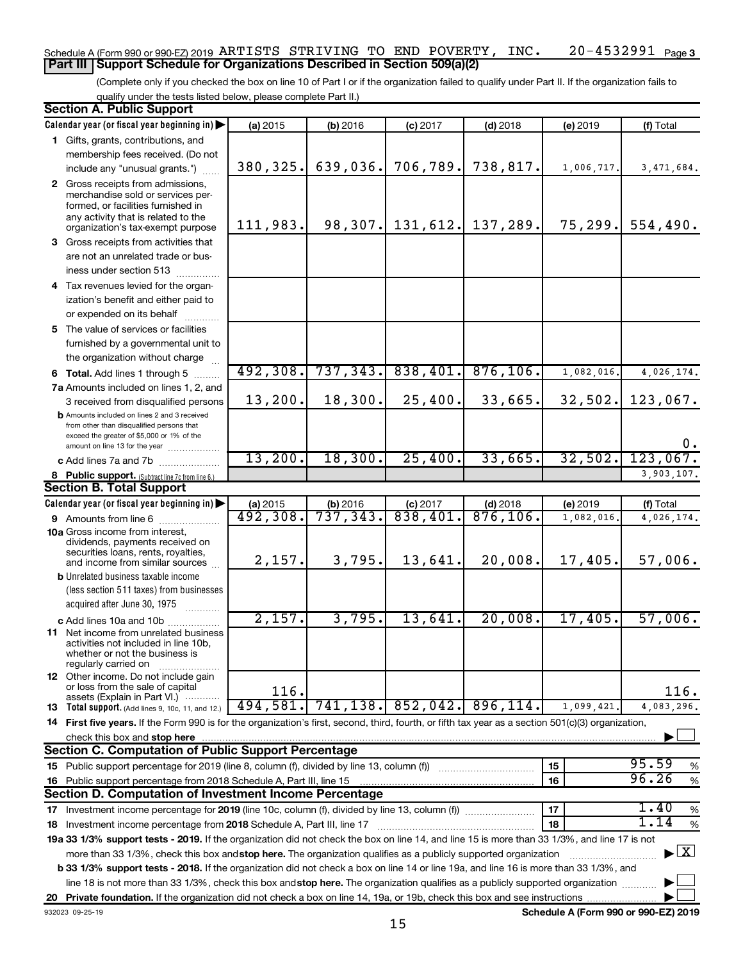#### 20-4532991 Page 3 Schedule A (Form 990 or 990-EZ) 2019 Page ARTISTS STRIVING TO END POVERTY, INC. 20-4532991 **Part III Support Schedule for Organizations Described in Section 509(a)(2)**

(Complete only if you checked the box on line 10 of Part I or if the organization failed to qualify under Part II. If the organization fails to qualify under the tests listed below, please complete Part II.)

| <b>Section A. Public Support</b>                                                                                                                    |          |           |                    |                        |            |                                    |
|-----------------------------------------------------------------------------------------------------------------------------------------------------|----------|-----------|--------------------|------------------------|------------|------------------------------------|
| Calendar year (or fiscal year beginning in)                                                                                                         | (a) 2015 | (b) 2016  | $(c)$ 2017         | $(d)$ 2018             | (e) 2019   | (f) Total                          |
| 1 Gifts, grants, contributions, and                                                                                                                 |          |           |                    |                        |            |                                    |
| membership fees received. (Do not                                                                                                                   |          |           |                    |                        |            |                                    |
| include any "unusual grants.")                                                                                                                      | 380,325. | 639,036.  | 706,789.           | 738,817.               | 1,006,717. | 3,471,684.                         |
| 2 Gross receipts from admissions,                                                                                                                   |          |           |                    |                        |            |                                    |
| merchandise sold or services per-                                                                                                                   |          |           |                    |                        |            |                                    |
| formed, or facilities furnished in<br>any activity that is related to the                                                                           |          |           |                    |                        |            |                                    |
| organization's tax-exempt purpose                                                                                                                   | 111,983. |           | 98, 307. 131, 612. | 137,289.               |            | $75, 299.$ 554,490.                |
| 3 Gross receipts from activities that                                                                                                               |          |           |                    |                        |            |                                    |
| are not an unrelated trade or bus-                                                                                                                  |          |           |                    |                        |            |                                    |
| iness under section 513                                                                                                                             |          |           |                    |                        |            |                                    |
| 4 Tax revenues levied for the organ-                                                                                                                |          |           |                    |                        |            |                                    |
| ization's benefit and either paid to                                                                                                                |          |           |                    |                        |            |                                    |
| or expended on its behalf                                                                                                                           |          |           |                    |                        |            |                                    |
| 5 The value of services or facilities                                                                                                               |          |           |                    |                        |            |                                    |
| furnished by a governmental unit to                                                                                                                 |          |           |                    |                        |            |                                    |
| the organization without charge                                                                                                                     |          |           |                    |                        |            |                                    |
| <b>6 Total.</b> Add lines 1 through 5                                                                                                               | 492,308. | 737, 343. | 838,401.           | 876, 106.              | 1,082,016  | 4,026,174.                         |
| 7a Amounts included on lines 1, 2, and                                                                                                              |          |           |                    |                        |            |                                    |
| 3 received from disqualified persons                                                                                                                | 13,200.  | 18,300.   | 25,400.            | 33,665.                | 32,502.    | 123,067.                           |
| <b>b</b> Amounts included on lines 2 and 3 received                                                                                                 |          |           |                    |                        |            |                                    |
| from other than disqualified persons that                                                                                                           |          |           |                    |                        |            |                                    |
| exceed the greater of \$5,000 or 1% of the<br>amount on line 13 for the year                                                                        |          |           |                    |                        |            | $0$ .                              |
| c Add lines 7a and 7b                                                                                                                               | 13,200.  | 18,300.   | 25,400.            | 33,665.                | 32,502.    | 123,067.                           |
| 8 Public support. (Subtract line 7c from line 6.)                                                                                                   |          |           |                    |                        |            | 3,903,107.                         |
| <b>Section B. Total Support</b>                                                                                                                     |          |           |                    |                        |            |                                    |
| Calendar year (or fiscal year beginning in)                                                                                                         | (a) 2015 | (b) 2016  | $(c)$ 2017         | $(d)$ 2018             | (e) 2019   | (f) Total                          |
| 9 Amounts from line 6                                                                                                                               | 492,308. | 737,343.  | 838,401            | $\overline{876,106}$ . | 1,082,016  | 4,026,174.                         |
| <b>10a</b> Gross income from interest,                                                                                                              |          |           |                    |                        |            |                                    |
| dividends, payments received on                                                                                                                     |          |           |                    |                        |            |                                    |
| securities loans, rents, royalties,<br>and income from similar sources                                                                              | 2,157.   | 3,795.    | 13,641.            | 20,008.                | 17,405.    | 57,006.                            |
| <b>b</b> Unrelated business taxable income                                                                                                          |          |           |                    |                        |            |                                    |
| (less section 511 taxes) from businesses                                                                                                            |          |           |                    |                        |            |                                    |
| acquired after June 30, 1975                                                                                                                        |          |           |                    |                        |            |                                    |
| c Add lines 10a and 10b                                                                                                                             | 2,157.   | 3,795.    | 13,641.            | 20,008.                | 17,405.    | 57,006.                            |
| <b>11</b> Net income from unrelated business                                                                                                        |          |           |                    |                        |            |                                    |
| activities not included in line 10b,                                                                                                                |          |           |                    |                        |            |                                    |
| whether or not the business is<br>regularly carried on                                                                                              |          |           |                    |                        |            |                                    |
| <b>12</b> Other income. Do not include gain                                                                                                         |          |           |                    |                        |            |                                    |
| or loss from the sale of capital                                                                                                                    | 116.     |           |                    |                        |            | 116.                               |
| assets (Explain in Part VI.)<br><b>13</b> Total support. (Add lines 9, 10c, 11, and 12.)                                                            | 494,581. | 741, 138. | 852,042.           | 896, 114.              | 1,099,421. | 4,083,296.                         |
| 14 First five years. If the Form 990 is for the organization's first, second, third, fourth, or fifth tax year as a section 501(c)(3) organization, |          |           |                    |                        |            |                                    |
| check this box and stop here                                                                                                                        |          |           |                    |                        |            |                                    |
| Section C. Computation of Public Support Percentage                                                                                                 |          |           |                    |                        |            |                                    |
| 15 Public support percentage for 2019 (line 8, column (f), divided by line 13, column (f))                                                          |          |           |                    |                        | 15         | 95.59<br>%                         |
| 16 Public support percentage from 2018 Schedule A, Part III, line 15                                                                                |          |           |                    |                        | 16         | 96.26<br>$\%$                      |
| Section D. Computation of Investment Income Percentage                                                                                              |          |           |                    |                        |            |                                    |
| 17 Investment income percentage for 2019 (line 10c, column (f), divided by line 13, column (f))                                                     |          |           |                    |                        | 17         | 1.40<br>$\%$                       |
| 18 Investment income percentage from 2018 Schedule A, Part III, line 17                                                                             |          |           |                    |                        | 18         | 1.14<br>%                          |
| 19a 33 1/3% support tests - 2019. If the organization did not check the box on line 14, and line 15 is more than 33 1/3%, and line 17 is not        |          |           |                    |                        |            |                                    |
| more than 33 1/3%, check this box and stop here. The organization qualifies as a publicly supported organization                                    |          |           |                    |                        |            | $\blacktriangleright$ $\mathbf{X}$ |
| b 33 1/3% support tests - 2018. If the organization did not check a box on line 14 or line 19a, and line 16 is more than 33 1/3%, and               |          |           |                    |                        |            |                                    |
| line 18 is not more than 33 1/3%, check this box and stop here. The organization qualifies as a publicly supported organization                     |          |           |                    |                        |            |                                    |
|                                                                                                                                                     |          |           |                    |                        |            |                                    |
|                                                                                                                                                     |          |           |                    |                        |            |                                    |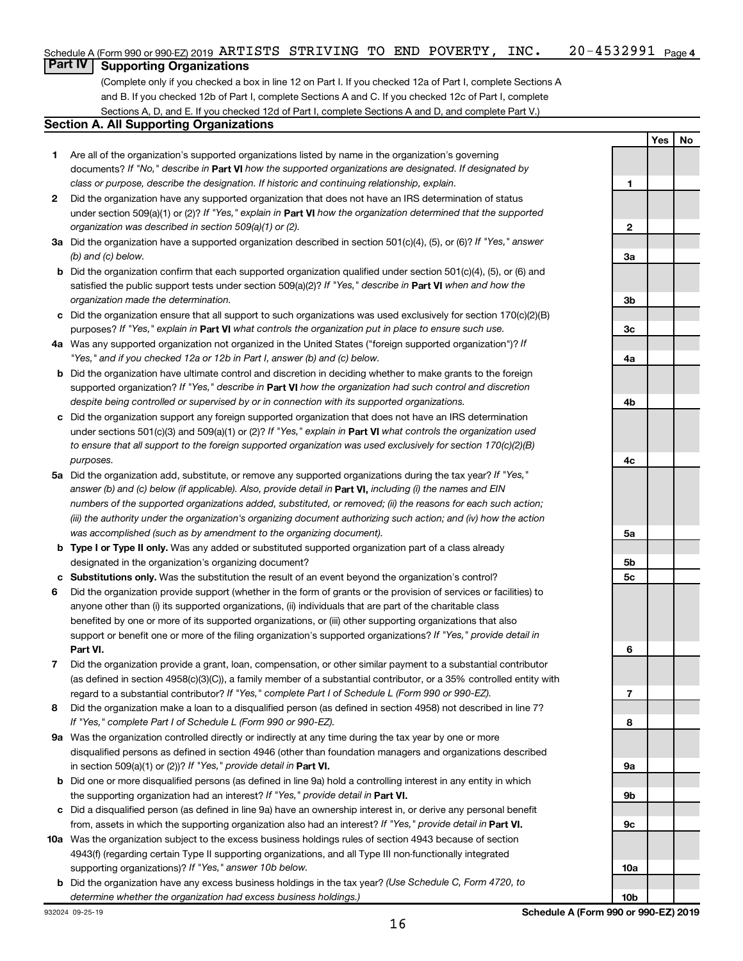# **Part IV Supporting Organizations**

(Complete only if you checked a box in line 12 on Part I. If you checked 12a of Part I, complete Sections A and B. If you checked 12b of Part I, complete Sections A and C. If you checked 12c of Part I, complete Sections A, D, and E. If you checked 12d of Part I, complete Sections A and D, and complete Part V.)

## **Section A. All Supporting Organizations**

- **1** Are all of the organization's supported organizations listed by name in the organization's governing documents? If "No," describe in Part VI how the supported organizations are designated. If designated by *class or purpose, describe the designation. If historic and continuing relationship, explain.*
- **2** Did the organization have any supported organization that does not have an IRS determination of status under section 509(a)(1) or (2)? If "Yes," explain in Part **VI** how the organization determined that the supported *organization was described in section 509(a)(1) or (2).*
- **3a** Did the organization have a supported organization described in section 501(c)(4), (5), or (6)? If "Yes," answer *(b) and (c) below.*
- **b** Did the organization confirm that each supported organization qualified under section 501(c)(4), (5), or (6) and satisfied the public support tests under section 509(a)(2)? If "Yes," describe in Part VI when and how the *organization made the determination.*
- **c** Did the organization ensure that all support to such organizations was used exclusively for section 170(c)(2)(B) purposes? If "Yes," explain in Part VI what controls the organization put in place to ensure such use.
- **4 a** *If* Was any supported organization not organized in the United States ("foreign supported organization")? *"Yes," and if you checked 12a or 12b in Part I, answer (b) and (c) below.*
- **b** Did the organization have ultimate control and discretion in deciding whether to make grants to the foreign supported organization? If "Yes," describe in Part VI how the organization had such control and discretion *despite being controlled or supervised by or in connection with its supported organizations.*
- **c** Did the organization support any foreign supported organization that does not have an IRS determination under sections 501(c)(3) and 509(a)(1) or (2)? If "Yes," explain in Part VI what controls the organization used *to ensure that all support to the foreign supported organization was used exclusively for section 170(c)(2)(B) purposes.*
- **5a** Did the organization add, substitute, or remove any supported organizations during the tax year? If "Yes," answer (b) and (c) below (if applicable). Also, provide detail in **Part VI,** including (i) the names and EIN *numbers of the supported organizations added, substituted, or removed; (ii) the reasons for each such action; (iii) the authority under the organization's organizing document authorizing such action; and (iv) how the action was accomplished (such as by amendment to the organizing document).*
- **b Type I or Type II only.** Was any added or substituted supported organization part of a class already designated in the organization's organizing document?
- **c Substitutions only.**  Was the substitution the result of an event beyond the organization's control?
- **6** Did the organization provide support (whether in the form of grants or the provision of services or facilities) to **Part VI.** support or benefit one or more of the filing organization's supported organizations? If "Yes," provide detail in anyone other than (i) its supported organizations, (ii) individuals that are part of the charitable class benefited by one or more of its supported organizations, or (iii) other supporting organizations that also
- **7** Did the organization provide a grant, loan, compensation, or other similar payment to a substantial contributor regard to a substantial contributor? If "Yes," complete Part I of Schedule L (Form 990 or 990-EZ). (as defined in section 4958(c)(3)(C)), a family member of a substantial contributor, or a 35% controlled entity with
- **8** Did the organization make a loan to a disqualified person (as defined in section 4958) not described in line 7? *If "Yes," complete Part I of Schedule L (Form 990 or 990-EZ).*
- **9 a** Was the organization controlled directly or indirectly at any time during the tax year by one or more in section 509(a)(1) or (2))? If "Yes," provide detail in **Part VI.** disqualified persons as defined in section 4946 (other than foundation managers and organizations described
- **b** Did one or more disqualified persons (as defined in line 9a) hold a controlling interest in any entity in which the supporting organization had an interest? If "Yes," provide detail in Part VI.
- **c** Did a disqualified person (as defined in line 9a) have an ownership interest in, or derive any personal benefit from, assets in which the supporting organization also had an interest? If "Yes," provide detail in Part VI.
- **10 a** Was the organization subject to the excess business holdings rules of section 4943 because of section supporting organizations)? If "Yes," answer 10b below. 4943(f) (regarding certain Type II supporting organizations, and all Type III non-functionally integrated
	- **b** Did the organization have any excess business holdings in the tax year? (Use Schedule C, Form 4720, to *determine whether the organization had excess business holdings.)*

**1 2 3a 3b 3c 4a 4b 4c 5a 5b 5c 6 7 8 9a 9b 9c 10a**

**Yes No**

**10b**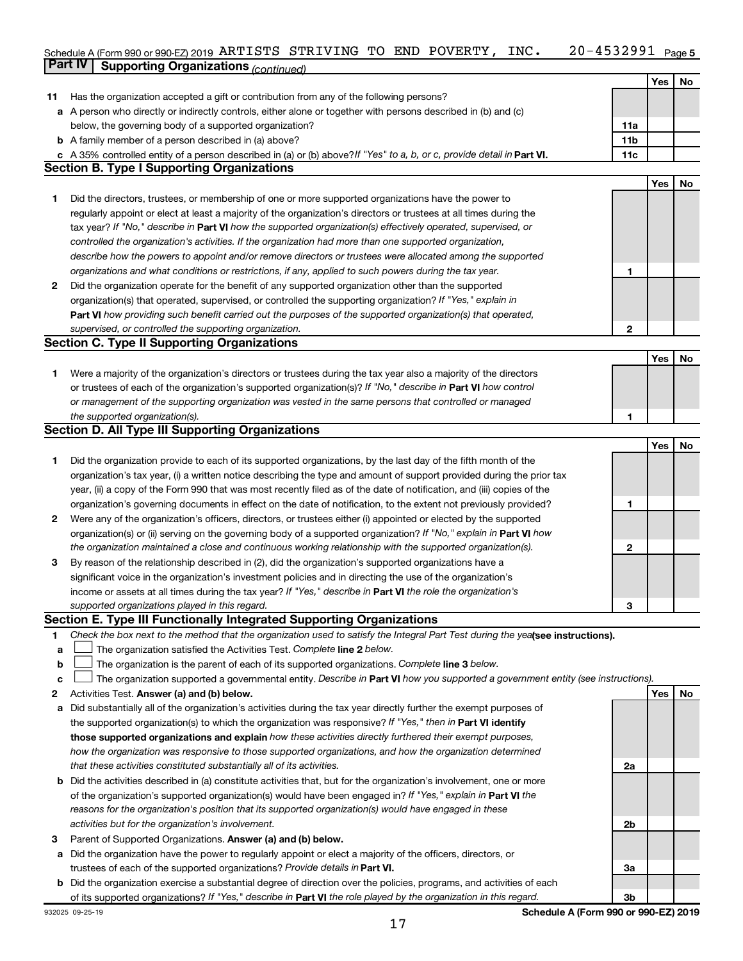#### 20-4532991 Page 5 Schedule A (Form 990 or 990-EZ) 2019 Page **Part IV Supporting Organizations** *(continued)* ARTISTS STRIVING TO END POVERTY, INC. 20-4532991

|    |                                                                                                                                                                                                                     |                 | Yes        | No |
|----|---------------------------------------------------------------------------------------------------------------------------------------------------------------------------------------------------------------------|-----------------|------------|----|
| 11 | Has the organization accepted a gift or contribution from any of the following persons?                                                                                                                             |                 |            |    |
|    | a A person who directly or indirectly controls, either alone or together with persons described in (b) and (c)                                                                                                      |                 |            |    |
|    | below, the governing body of a supported organization?                                                                                                                                                              | 11a             |            |    |
|    | <b>b</b> A family member of a person described in (a) above?                                                                                                                                                        | 11 <sub>b</sub> |            |    |
|    | c A 35% controlled entity of a person described in (a) or (b) above? If "Yes" to a, b, or c, provide detail in Part VI.                                                                                             | 11c             |            |    |
|    | <b>Section B. Type I Supporting Organizations</b>                                                                                                                                                                   |                 |            |    |
|    |                                                                                                                                                                                                                     |                 | Yes        | No |
|    | Did the directors, trustees, or membership of one or more supported organizations have the power to                                                                                                                 |                 |            |    |
| 1  | regularly appoint or elect at least a majority of the organization's directors or trustees at all times during the                                                                                                  |                 |            |    |
|    |                                                                                                                                                                                                                     |                 |            |    |
|    | tax year? If "No," describe in Part VI how the supported organization(s) effectively operated, supervised, or                                                                                                       |                 |            |    |
|    | controlled the organization's activities. If the organization had more than one supported organization,                                                                                                             |                 |            |    |
|    | describe how the powers to appoint and/or remove directors or trustees were allocated among the supported<br>organizations and what conditions or restrictions, if any, applied to such powers during the tax year. | 1               |            |    |
|    | Did the organization operate for the benefit of any supported organization other than the supported                                                                                                                 |                 |            |    |
| 2  |                                                                                                                                                                                                                     |                 |            |    |
|    | organization(s) that operated, supervised, or controlled the supporting organization? If "Yes," explain in                                                                                                          |                 |            |    |
|    | Part VI how providing such benefit carried out the purposes of the supported organization(s) that operated,                                                                                                         |                 |            |    |
|    | supervised, or controlled the supporting organization.                                                                                                                                                              | $\mathbf{2}$    |            |    |
|    | <b>Section C. Type II Supporting Organizations</b>                                                                                                                                                                  |                 |            |    |
|    |                                                                                                                                                                                                                     |                 | <b>Yes</b> | No |
| 1  | Were a majority of the organization's directors or trustees during the tax year also a majority of the directors                                                                                                    |                 |            |    |
|    | or trustees of each of the organization's supported organization(s)? If "No," describe in Part VI how control                                                                                                       |                 |            |    |
|    | or management of the supporting organization was vested in the same persons that controlled or managed                                                                                                              |                 |            |    |
|    | the supported organization(s).                                                                                                                                                                                      | 1               |            |    |
|    | <b>Section D. All Type III Supporting Organizations</b>                                                                                                                                                             |                 |            |    |
|    |                                                                                                                                                                                                                     |                 | Yes        | No |
| 1  | Did the organization provide to each of its supported organizations, by the last day of the fifth month of the                                                                                                      |                 |            |    |
|    | organization's tax year, (i) a written notice describing the type and amount of support provided during the prior tax                                                                                               |                 |            |    |
|    | year, (ii) a copy of the Form 990 that was most recently filed as of the date of notification, and (iii) copies of the                                                                                              |                 |            |    |
|    | organization's governing documents in effect on the date of notification, to the extent not previously provided?                                                                                                    | 1               |            |    |
| 2  | Were any of the organization's officers, directors, or trustees either (i) appointed or elected by the supported                                                                                                    |                 |            |    |
|    | organization(s) or (ii) serving on the governing body of a supported organization? If "No," explain in Part VI how                                                                                                  |                 |            |    |
|    | the organization maintained a close and continuous working relationship with the supported organization(s).                                                                                                         | 2               |            |    |
| 3  | By reason of the relationship described in (2), did the organization's supported organizations have a                                                                                                               |                 |            |    |
|    | significant voice in the organization's investment policies and in directing the use of the organization's                                                                                                          |                 |            |    |
|    | income or assets at all times during the tax year? If "Yes," describe in Part VI the role the organization's                                                                                                        |                 |            |    |
|    | supported organizations played in this regard.                                                                                                                                                                      | З               |            |    |
|    | Section E. Type III Functionally Integrated Supporting Organizations                                                                                                                                                |                 |            |    |
| 1  | Check the box next to the method that the organization used to satisfy the Integral Part Test during the yealsee instructions).                                                                                     |                 |            |    |
| a  | The organization satisfied the Activities Test. Complete line 2 below.                                                                                                                                              |                 |            |    |
| b  | The organization is the parent of each of its supported organizations. Complete line 3 below.                                                                                                                       |                 |            |    |
| c  | The organization supported a governmental entity. Describe in Part VI how you supported a government entity (see instructions).                                                                                     |                 |            |    |
| 2  | Activities Test. Answer (a) and (b) below.                                                                                                                                                                          |                 | Yes        | No |
| а  | Did substantially all of the organization's activities during the tax year directly further the exempt purposes of                                                                                                  |                 |            |    |
|    | the supported organization(s) to which the organization was responsive? If "Yes," then in Part VI identify                                                                                                          |                 |            |    |
|    | those supported organizations and explain how these activities directly furthered their exempt purposes,                                                                                                            |                 |            |    |
|    | how the organization was responsive to those supported organizations, and how the organization determined                                                                                                           |                 |            |    |
|    | that these activities constituted substantially all of its activities.                                                                                                                                              | 2a              |            |    |
| b  | Did the activities described in (a) constitute activities that, but for the organization's involvement, one or more                                                                                                 |                 |            |    |
|    | of the organization's supported organization(s) would have been engaged in? If "Yes," explain in Part VI the                                                                                                        |                 |            |    |
|    | reasons for the organization's position that its supported organization(s) would have engaged in these                                                                                                              |                 |            |    |
|    | activities but for the organization's involvement.                                                                                                                                                                  | 2b              |            |    |
| 3  | Parent of Supported Organizations. Answer (a) and (b) below.                                                                                                                                                        |                 |            |    |
| а  | Did the organization have the power to regularly appoint or elect a majority of the officers, directors, or                                                                                                         |                 |            |    |
|    | trustees of each of the supported organizations? Provide details in Part VI.                                                                                                                                        | За              |            |    |
|    | b Did the organization exercise a substantial degree of direction over the policies, programs, and activities of each                                                                                               |                 |            |    |
|    | of its supported organizations? If "Yes," describe in Part VI the role played by the organization in this regard.                                                                                                   | 3b              |            |    |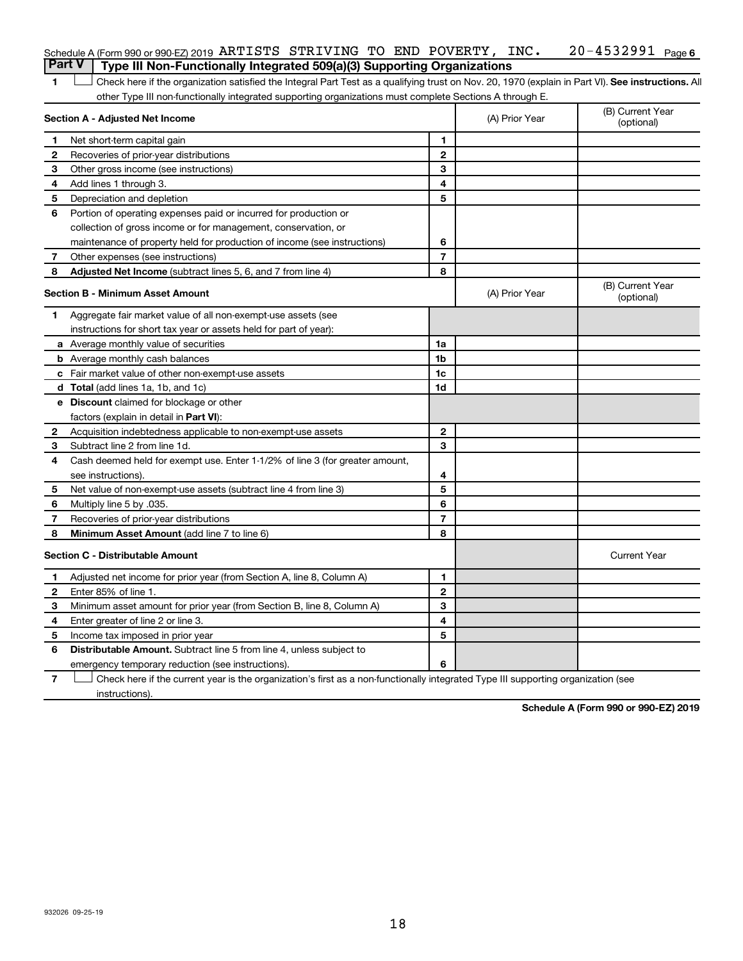| Schedule A (Form 990 or 990-EZ) 2019 ARTISTS STRIVING TO END POVERTY, INC.     |  |  |  | 20-4532991 <sub>Page 6</sub> |  |
|--------------------------------------------------------------------------------|--|--|--|------------------------------|--|
| Part V Type III Non-Functionally Integrated 509(a)(3) Supporting Organizations |  |  |  |                              |  |

1 **Letter See instructions.** All Check here if the organization satisfied the Integral Part Test as a qualifying trust on Nov. 20, 1970 (explain in Part VI). See instructions. All other Type III non-functionally integrated supporting organizations must complete Sections A through E.

|    | Section A - Adjusted Net Income                                              | (A) Prior Year | (B) Current Year<br>(optional) |                                |
|----|------------------------------------------------------------------------------|----------------|--------------------------------|--------------------------------|
| 1  | Net short-term capital gain                                                  | 1              |                                |                                |
| 2  | Recoveries of prior-year distributions                                       | $\mathbf{2}$   |                                |                                |
| 3  | Other gross income (see instructions)                                        | 3              |                                |                                |
| 4  | Add lines 1 through 3.                                                       | 4              |                                |                                |
| 5  | Depreciation and depletion                                                   | 5              |                                |                                |
| 6  | Portion of operating expenses paid or incurred for production or             |                |                                |                                |
|    | collection of gross income or for management, conservation, or               |                |                                |                                |
|    | maintenance of property held for production of income (see instructions)     | 6              |                                |                                |
| 7  | Other expenses (see instructions)                                            | $\overline{7}$ |                                |                                |
| 8  | <b>Adjusted Net Income</b> (subtract lines 5, 6, and 7 from line 4)          | 8              |                                |                                |
|    | <b>Section B - Minimum Asset Amount</b>                                      |                | (A) Prior Year                 | (B) Current Year<br>(optional) |
| 1. | Aggregate fair market value of all non-exempt-use assets (see                |                |                                |                                |
|    | instructions for short tax year or assets held for part of year):            |                |                                |                                |
|    | <b>a</b> Average monthly value of securities                                 | 1a             |                                |                                |
|    | <b>b</b> Average monthly cash balances                                       | 1b             |                                |                                |
|    | <b>c</b> Fair market value of other non-exempt-use assets                    | 1c             |                                |                                |
|    | d Total (add lines 1a, 1b, and 1c)                                           | 1 <sub>d</sub> |                                |                                |
|    | e Discount claimed for blockage or other                                     |                |                                |                                |
|    | factors (explain in detail in <b>Part VI</b> ):                              |                |                                |                                |
| 2  | Acquisition indebtedness applicable to non-exempt-use assets                 | $\mathbf{2}$   |                                |                                |
| 3  | Subtract line 2 from line 1d.                                                | 3              |                                |                                |
| 4  | Cash deemed held for exempt use. Enter 1-1/2% of line 3 (for greater amount, |                |                                |                                |
|    | see instructions).                                                           | 4              |                                |                                |
| 5  | Net value of non-exempt-use assets (subtract line 4 from line 3)             | 5              |                                |                                |
| 6  | Multiply line 5 by .035.                                                     | 6              |                                |                                |
| 7  | Recoveries of prior-year distributions                                       | $\overline{7}$ |                                |                                |
| 8  | Minimum Asset Amount (add line 7 to line 6)                                  | 8              |                                |                                |
|    | <b>Section C - Distributable Amount</b>                                      |                |                                | <b>Current Year</b>            |
| 1  | Adjusted net income for prior year (from Section A, line 8, Column A)        | 1              |                                |                                |
| 2  | Enter 85% of line 1.                                                         | $\mathbf{2}$   |                                |                                |
| 3  | Minimum asset amount for prior year (from Section B, line 8, Column A)       | 3              |                                |                                |
| 4  | Enter greater of line 2 or line 3.                                           | 4              |                                |                                |
| 5  | Income tax imposed in prior year                                             | 5              |                                |                                |
| 6  | <b>Distributable Amount.</b> Subtract line 5 from line 4, unless subject to  |                |                                |                                |
|    | emergency temporary reduction (see instructions).                            | 6              |                                |                                |
|    |                                                                              |                |                                |                                |

**7** Let Check here if the current year is the organization's first as a non-functionally integrated Type III supporting organization (see instructions).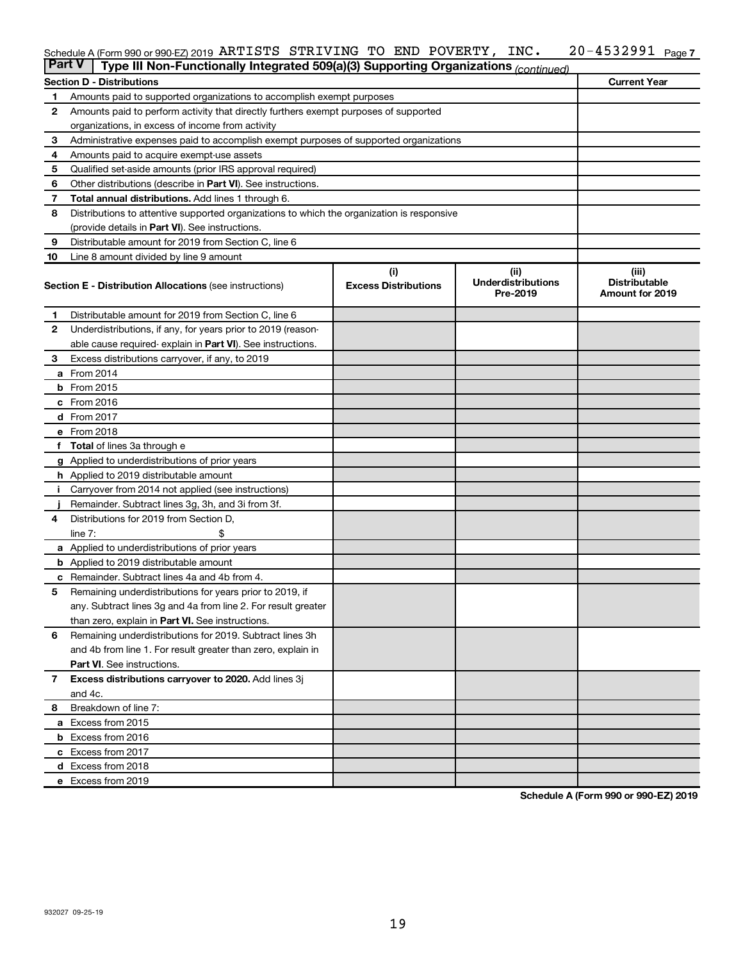#### 20-4532991 Page 7 Schedule A (Form 990 or 990-EZ) 2019 Page ARTISTS STRIVING TO END POVERTY, INC. 20-4532991

| <b>Part V</b>  | Type III Non-Functionally Integrated 509(a)(3) Supporting Organizations (continued)        |                             |                                       |                                                |  |  |  |
|----------------|--------------------------------------------------------------------------------------------|-----------------------------|---------------------------------------|------------------------------------------------|--|--|--|
|                | <b>Section D - Distributions</b>                                                           |                             |                                       | <b>Current Year</b>                            |  |  |  |
| 1              | Amounts paid to supported organizations to accomplish exempt purposes                      |                             |                                       |                                                |  |  |  |
| $\mathbf{2}$   | Amounts paid to perform activity that directly furthers exempt purposes of supported       |                             |                                       |                                                |  |  |  |
|                | organizations, in excess of income from activity                                           |                             |                                       |                                                |  |  |  |
| 3              | Administrative expenses paid to accomplish exempt purposes of supported organizations      |                             |                                       |                                                |  |  |  |
| 4              | Amounts paid to acquire exempt-use assets                                                  |                             |                                       |                                                |  |  |  |
| 5              | Qualified set-aside amounts (prior IRS approval required)                                  |                             |                                       |                                                |  |  |  |
| 6              | Other distributions (describe in <b>Part VI</b> ). See instructions.                       |                             |                                       |                                                |  |  |  |
| 7              | <b>Total annual distributions.</b> Add lines 1 through 6.                                  |                             |                                       |                                                |  |  |  |
| 8              | Distributions to attentive supported organizations to which the organization is responsive |                             |                                       |                                                |  |  |  |
|                | (provide details in Part VI). See instructions.                                            |                             |                                       |                                                |  |  |  |
| 9              | Distributable amount for 2019 from Section C, line 6                                       |                             |                                       |                                                |  |  |  |
| 10             | Line 8 amount divided by line 9 amount                                                     |                             |                                       |                                                |  |  |  |
|                |                                                                                            | (i)                         | (ii)                                  | (iii)                                          |  |  |  |
|                | <b>Section E - Distribution Allocations (see instructions)</b>                             | <b>Excess Distributions</b> | <b>Underdistributions</b><br>Pre-2019 | <b>Distributable</b><br><b>Amount for 2019</b> |  |  |  |
| 1              | Distributable amount for 2019 from Section C, line 6                                       |                             |                                       |                                                |  |  |  |
| $\mathbf{2}$   | Underdistributions, if any, for years prior to 2019 (reason-                               |                             |                                       |                                                |  |  |  |
|                | able cause required-explain in Part VI). See instructions.                                 |                             |                                       |                                                |  |  |  |
| 3              | Excess distributions carryover, if any, to 2019                                            |                             |                                       |                                                |  |  |  |
|                | a From 2014                                                                                |                             |                                       |                                                |  |  |  |
|                | <b>b</b> From 2015                                                                         |                             |                                       |                                                |  |  |  |
|                | c From 2016                                                                                |                             |                                       |                                                |  |  |  |
|                | <b>d</b> From 2017                                                                         |                             |                                       |                                                |  |  |  |
|                | e From 2018                                                                                |                             |                                       |                                                |  |  |  |
|                | f Total of lines 3a through e                                                              |                             |                                       |                                                |  |  |  |
|                | <b>g</b> Applied to underdistributions of prior years                                      |                             |                                       |                                                |  |  |  |
|                | <b>h</b> Applied to 2019 distributable amount                                              |                             |                                       |                                                |  |  |  |
| Ť.             | Carryover from 2014 not applied (see instructions)                                         |                             |                                       |                                                |  |  |  |
|                | Remainder. Subtract lines 3g, 3h, and 3i from 3f.                                          |                             |                                       |                                                |  |  |  |
| 4              | Distributions for 2019 from Section D,                                                     |                             |                                       |                                                |  |  |  |
|                | line $7:$                                                                                  |                             |                                       |                                                |  |  |  |
|                | a Applied to underdistributions of prior years                                             |                             |                                       |                                                |  |  |  |
|                | <b>b</b> Applied to 2019 distributable amount                                              |                             |                                       |                                                |  |  |  |
| с              | Remainder. Subtract lines 4a and 4b from 4.                                                |                             |                                       |                                                |  |  |  |
| 5              | Remaining underdistributions for years prior to 2019, if                                   |                             |                                       |                                                |  |  |  |
|                | any. Subtract lines 3g and 4a from line 2. For result greater                              |                             |                                       |                                                |  |  |  |
|                | than zero, explain in Part VI. See instructions.                                           |                             |                                       |                                                |  |  |  |
| 6              | Remaining underdistributions for 2019. Subtract lines 3h                                   |                             |                                       |                                                |  |  |  |
|                | and 4b from line 1. For result greater than zero, explain in                               |                             |                                       |                                                |  |  |  |
|                | <b>Part VI.</b> See instructions.                                                          |                             |                                       |                                                |  |  |  |
| $\overline{7}$ | Excess distributions carryover to 2020. Add lines 3j                                       |                             |                                       |                                                |  |  |  |
|                | and 4c.                                                                                    |                             |                                       |                                                |  |  |  |
| 8              | Breakdown of line 7:                                                                       |                             |                                       |                                                |  |  |  |
|                | a Excess from 2015                                                                         |                             |                                       |                                                |  |  |  |
|                | <b>b</b> Excess from 2016                                                                  |                             |                                       |                                                |  |  |  |
|                | c Excess from 2017                                                                         |                             |                                       |                                                |  |  |  |
|                | d Excess from 2018                                                                         |                             |                                       |                                                |  |  |  |
|                | e Excess from 2019                                                                         |                             |                                       |                                                |  |  |  |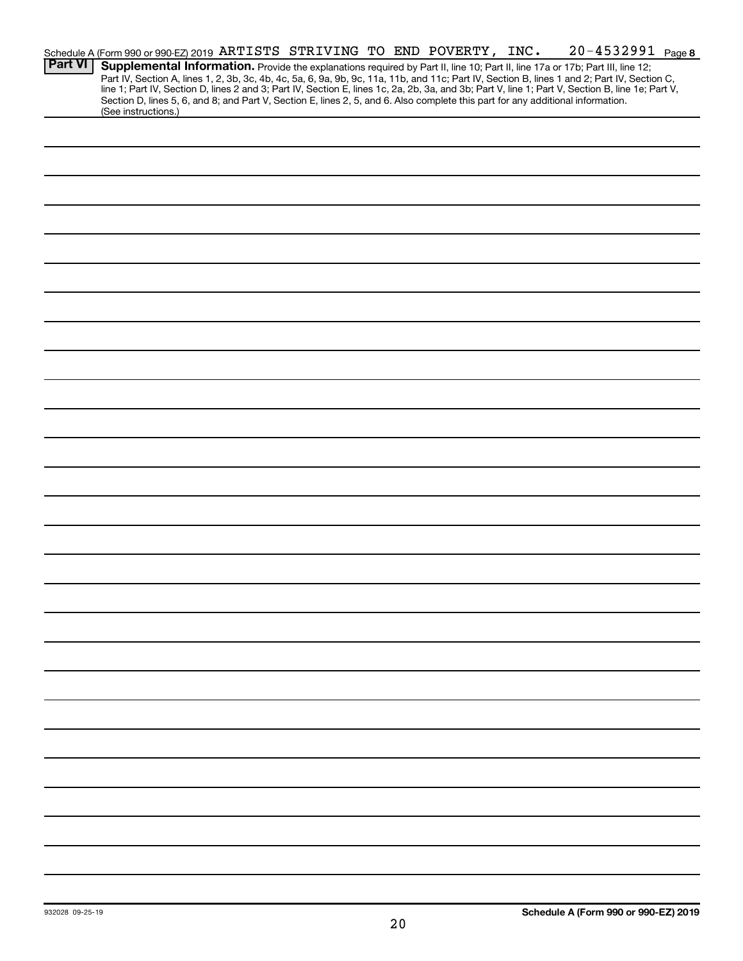|                | Schedule A (Form 990 or 990-EZ) 2019 ARTISTS STRIVING TO END POVERTY, INC.                                                                                                                                                                                                                       |  |  |  |  |  | 20-4532991 Page 8 |  |
|----------------|--------------------------------------------------------------------------------------------------------------------------------------------------------------------------------------------------------------------------------------------------------------------------------------------------|--|--|--|--|--|-------------------|--|
| <b>Part VI</b> | Supplemental Information. Provide the explanations required by Part II, line 10; Part II, line 17a or 17b; Part III, line 12;                                                                                                                                                                    |  |  |  |  |  |                   |  |
|                | Part IV, Section A, lines 1, 2, 3b, 3c, 4b, 4c, 5a, 6, 9a, 9b, 9c, 11a, 11b, and 11c; Part IV, Section B, lines 1 and 2; Part IV, Section C,<br>line 1; Part IV, Section D, lines 2 and 3; Part IV, Section E, lines 1c, 2a, 2b, 3a, and 3b; Part V, line 1; Part V, Section B, line 1e; Part V, |  |  |  |  |  |                   |  |
|                | Section D, lines 5, 6, and 8; and Part V, Section E, lines 2, 5, and 6. Also complete this part for any additional information.                                                                                                                                                                  |  |  |  |  |  |                   |  |
|                | (See instructions.)                                                                                                                                                                                                                                                                              |  |  |  |  |  |                   |  |
|                |                                                                                                                                                                                                                                                                                                  |  |  |  |  |  |                   |  |
|                |                                                                                                                                                                                                                                                                                                  |  |  |  |  |  |                   |  |
|                |                                                                                                                                                                                                                                                                                                  |  |  |  |  |  |                   |  |
|                |                                                                                                                                                                                                                                                                                                  |  |  |  |  |  |                   |  |
|                |                                                                                                                                                                                                                                                                                                  |  |  |  |  |  |                   |  |
|                |                                                                                                                                                                                                                                                                                                  |  |  |  |  |  |                   |  |
|                |                                                                                                                                                                                                                                                                                                  |  |  |  |  |  |                   |  |
|                |                                                                                                                                                                                                                                                                                                  |  |  |  |  |  |                   |  |
|                |                                                                                                                                                                                                                                                                                                  |  |  |  |  |  |                   |  |
|                |                                                                                                                                                                                                                                                                                                  |  |  |  |  |  |                   |  |
|                |                                                                                                                                                                                                                                                                                                  |  |  |  |  |  |                   |  |
|                |                                                                                                                                                                                                                                                                                                  |  |  |  |  |  |                   |  |
|                |                                                                                                                                                                                                                                                                                                  |  |  |  |  |  |                   |  |
|                |                                                                                                                                                                                                                                                                                                  |  |  |  |  |  |                   |  |
|                |                                                                                                                                                                                                                                                                                                  |  |  |  |  |  |                   |  |
|                |                                                                                                                                                                                                                                                                                                  |  |  |  |  |  |                   |  |
|                |                                                                                                                                                                                                                                                                                                  |  |  |  |  |  |                   |  |
|                |                                                                                                                                                                                                                                                                                                  |  |  |  |  |  |                   |  |
|                |                                                                                                                                                                                                                                                                                                  |  |  |  |  |  |                   |  |
|                |                                                                                                                                                                                                                                                                                                  |  |  |  |  |  |                   |  |
|                |                                                                                                                                                                                                                                                                                                  |  |  |  |  |  |                   |  |
|                |                                                                                                                                                                                                                                                                                                  |  |  |  |  |  |                   |  |
|                |                                                                                                                                                                                                                                                                                                  |  |  |  |  |  |                   |  |
|                |                                                                                                                                                                                                                                                                                                  |  |  |  |  |  |                   |  |
|                |                                                                                                                                                                                                                                                                                                  |  |  |  |  |  |                   |  |
|                |                                                                                                                                                                                                                                                                                                  |  |  |  |  |  |                   |  |
|                |                                                                                                                                                                                                                                                                                                  |  |  |  |  |  |                   |  |
|                |                                                                                                                                                                                                                                                                                                  |  |  |  |  |  |                   |  |
|                |                                                                                                                                                                                                                                                                                                  |  |  |  |  |  |                   |  |
|                |                                                                                                                                                                                                                                                                                                  |  |  |  |  |  |                   |  |
|                |                                                                                                                                                                                                                                                                                                  |  |  |  |  |  |                   |  |
|                |                                                                                                                                                                                                                                                                                                  |  |  |  |  |  |                   |  |
|                |                                                                                                                                                                                                                                                                                                  |  |  |  |  |  |                   |  |
|                |                                                                                                                                                                                                                                                                                                  |  |  |  |  |  |                   |  |
|                |                                                                                                                                                                                                                                                                                                  |  |  |  |  |  |                   |  |
|                |                                                                                                                                                                                                                                                                                                  |  |  |  |  |  |                   |  |
|                |                                                                                                                                                                                                                                                                                                  |  |  |  |  |  |                   |  |
|                |                                                                                                                                                                                                                                                                                                  |  |  |  |  |  |                   |  |
|                |                                                                                                                                                                                                                                                                                                  |  |  |  |  |  |                   |  |
|                |                                                                                                                                                                                                                                                                                                  |  |  |  |  |  |                   |  |
|                |                                                                                                                                                                                                                                                                                                  |  |  |  |  |  |                   |  |
|                |                                                                                                                                                                                                                                                                                                  |  |  |  |  |  |                   |  |
|                |                                                                                                                                                                                                                                                                                                  |  |  |  |  |  |                   |  |
|                |                                                                                                                                                                                                                                                                                                  |  |  |  |  |  |                   |  |
|                |                                                                                                                                                                                                                                                                                                  |  |  |  |  |  |                   |  |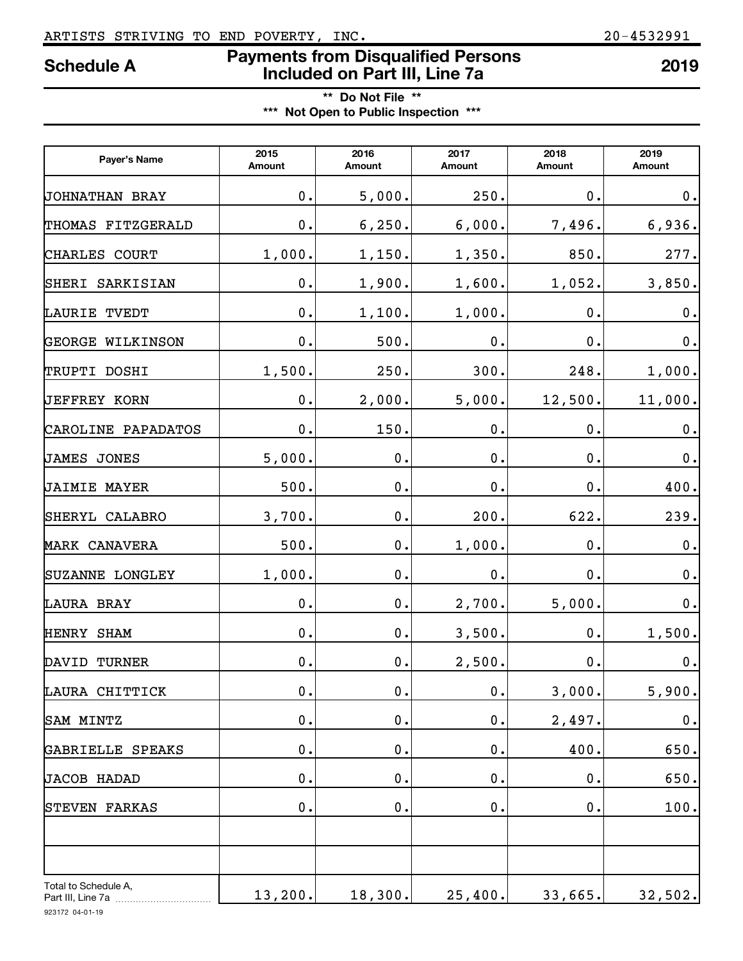# ARTISTS STRIVING TO END POVERTY, INC. 20-4532991

# **Payments from Disqualified Persons Included on Part III, Line 7a Schedule A <sup>2019</sup>**

**\*\* Do Not File \*\* \*\*\* Not Open to Public Inspection \*\*\***

| Payer's Name                              | 2015<br>Amount | 2016<br>Amount | 2017<br>Amount | 2018<br>Amount | 2019<br>Amount |  |
|-------------------------------------------|----------------|----------------|----------------|----------------|----------------|--|
| <b>JOHNATHAN BRAY</b>                     | 0.             | 5,000.         | 250.           | $\mathbf 0$ .  | 0.             |  |
| FITZGERALD<br>THOMAS                      | 0.             | 6, 250.        | 6,000.         | 7,496.         | 6,936.         |  |
| CHARLES<br><b>COURT</b>                   | 1,000.         | 1,150.         | 1,350.         | 850.           | 277.           |  |
| SHERI<br>SARKISIAN                        | 0.             | 1,900.         | 1,600.         | 1,052.         | 3,850.         |  |
| LAURIE<br>TVEDT                           | 0.             | 1,100.         | 1,000.         | 0.             | 0.             |  |
| <b>GEORGE</b><br>WILKINSON                | 0.             | 500.           | 0.             | 0.             | 0.             |  |
| TRUPTI DOSHI                              | 1,500.         | 250.           | 300.           | 248.           | 1,000.         |  |
| <b>JEFFREY KORN</b>                       | 0.             | 2,000.         | 5,000.         | 12,500.        | 11,000.        |  |
| CAROLINE PAPADATOS                        | 0.             | 150.           | $\mathbf 0$ .  | $\mathbf 0$ .  | 0.             |  |
| JAMES<br><b>JONES</b>                     | 5,000.         | $\mathbf 0$ .  | 0.             | 0.             | 0.             |  |
| <b>JAIMIE MAYER</b>                       | 500.           | $\mathbf 0$ .  | 0.             | $\mathbf 0$ .  | 400.           |  |
| SHERYL CALABRO                            | 3,700.         | 0.             | 200.           | 622.           | 239.           |  |
| <b>MARK CANAVERA</b>                      | 500.           | 0.             | 1,000.         | $\mathbf 0$ .  | $\mathbf 0$ .  |  |
| <b>SUZANNE LONGLEY</b>                    | 1,000.         | 0.             | 0.             | $\mathbf 0$ .  | 0.             |  |
| LAURA BRAY                                | 0.             | 0.             | 2,700.         | 5,000.         | $0$ .          |  |
| HENRY SHAM                                | 0.             | 0.             | 3,500.         | $\mathbf 0$ .  | 1,500.         |  |
| DAVID<br><b>TURNER</b>                    | 0.             | 0.             | 2,500.         | $0$ .          | 0.             |  |
| LAURA CHITTICK                            | $\mathbf 0$ .  | $\mathbf 0$ .  | $\mathbf 0$ .  | 3,000.         | 5,900.         |  |
| SAM MINTZ                                 | 0.             | $\mathbf 0$ .  | $\mathbf 0$ .  | 2,497.         | $\mathbf 0$ .  |  |
| GABRIELLE SPEAKS                          | $\mathbf 0$ .  | $\mathbf 0$ .  | $\mathbf 0$ .  | 400.           | 650.           |  |
| JACOB HADAD                               | $\mathbf 0$ .  | $\mathbf 0$ .  | $\mathbf 0$ .  | 0.             | 650.           |  |
| STEVEN FARKAS                             | 0.             | $\mathbf 0$ .  | $\mathbf 0$ .  | 0.             | 100.           |  |
|                                           |                |                |                |                |                |  |
|                                           |                |                |                |                |                |  |
| Total to Schedule A,<br>Part III, Line 7a | 13,200.        | 18,300.        | 25,400.        | 33,665.        | 32,502.        |  |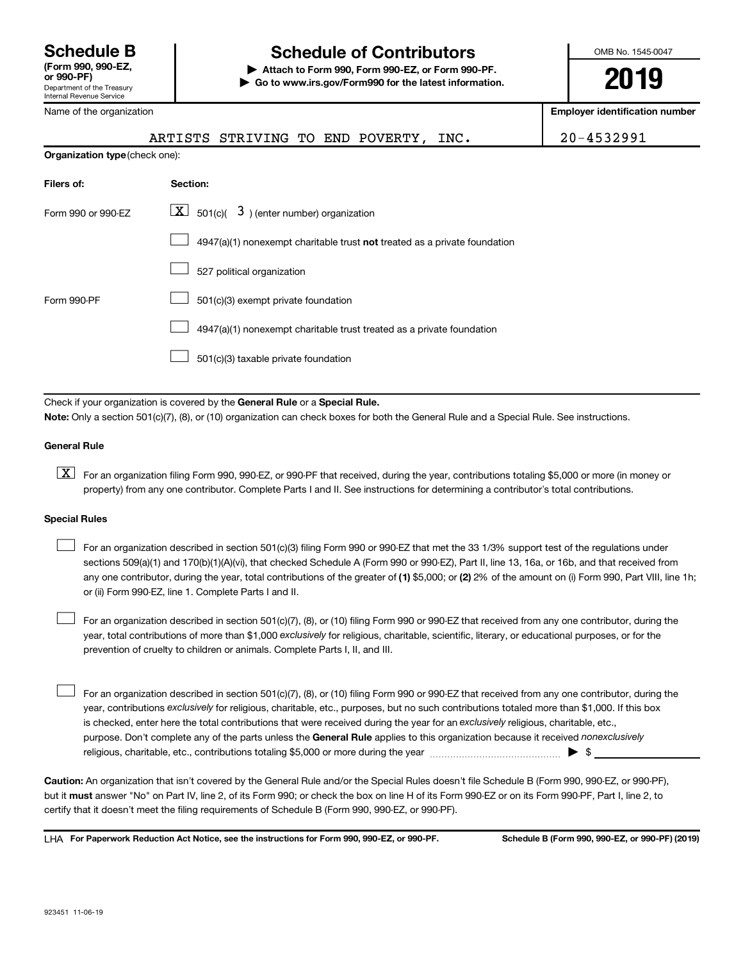# **Schedule B Schedule of Contributors**

**or 990-PF) | Attach to Form 990, Form 990-EZ, or Form 990-PF. | Go to www.irs.gov/Form990 for the latest information.** OMB No. 1545-0047

**2019**

**Employer identification number**

| Name of the organization |  |
|--------------------------|--|
|--------------------------|--|

|                                | ARTISTS STRIVING TO END POVERTY |  |  |  | INC. | 4532991 |
|--------------------------------|---------------------------------|--|--|--|------|---------|
| Organization type (check one): |                                 |  |  |  |      |         |

| Filers of:         | Section:                                                                           |
|--------------------|------------------------------------------------------------------------------------|
| Form 990 or 990-FZ | $\lfloor x \rfloor$ 501(c)( 3) (enter number) organization                         |
|                    | $4947(a)(1)$ nonexempt charitable trust <b>not</b> treated as a private foundation |
|                    | 527 political organization                                                         |
| Form 990-PF        | 501(c)(3) exempt private foundation                                                |
|                    | 4947(a)(1) nonexempt charitable trust treated as a private foundation              |
|                    | 501(c)(3) taxable private foundation                                               |

Check if your organization is covered by the General Rule or a Special Rule. **Note:**  Only a section 501(c)(7), (8), or (10) organization can check boxes for both the General Rule and a Special Rule. See instructions.

### **General Rule**

**K** For an organization filing Form 990, 990-EZ, or 990-PF that received, during the year, contributions totaling \$5,000 or more (in money or property) from any one contributor. Complete Parts I and II. See instructions for determining a contributor's total contributions.

### **Special Rules**

 $\Box$ 

 $\Box$ 

any one contributor, during the year, total contributions of the greater of (1) \$5,000; or (2) 2% of the amount on (i) Form 990, Part VIII, line 1h; For an organization described in section 501(c)(3) filing Form 990 or 990-EZ that met the 33 1/3% support test of the regulations under sections 509(a)(1) and 170(b)(1)(A)(vi), that checked Schedule A (Form 990 or 990-EZ), Part II, line 13, 16a, or 16b, and that received from or (ii) Form 990-EZ, line 1. Complete Parts I and II.  $\Box$ 

year, total contributions of more than \$1,000 *exclusively* for religious, charitable, scientific, literary, or educational purposes, or for the For an organization described in section 501(c)(7), (8), or (10) filing Form 990 or 990-EZ that received from any one contributor, during the prevention of cruelty to children or animals. Complete Parts I, II, and III.

purpose. Don't complete any of the parts unless the General Rule applies to this organization because it received nonexclusively year, contributions exclusively for religious, charitable, etc., purposes, but no such contributions totaled more than \$1,000. If this box is checked, enter here the total contributions that were received during the year for an exclusively religious, charitable, etc., For an organization described in section 501(c)(7), (8), or (10) filing Form 990 or 990-EZ that received from any one contributor, during the religious, charitable, etc., contributions totaling \$5,000 or more during the year  $\ldots$  $\ldots$  $\ldots$  $\ldots$  $\ldots$  $\ldots$ 

**Caution:**  An organization that isn't covered by the General Rule and/or the Special Rules doesn't file Schedule B (Form 990, 990-EZ, or 990-PF),  **must** but it answer "No" on Part IV, line 2, of its Form 990; or check the box on line H of its Form 990-EZ or on its Form 990-PF, Part I, line 2, to certify that it doesn't meet the filing requirements of Schedule B (Form 990, 990-EZ, or 990-PF).

**For Paperwork Reduction Act Notice, see the instructions for Form 990, 990-EZ, or 990-PF. Schedule B (Form 990, 990-EZ, or 990-PF) (2019)** LHA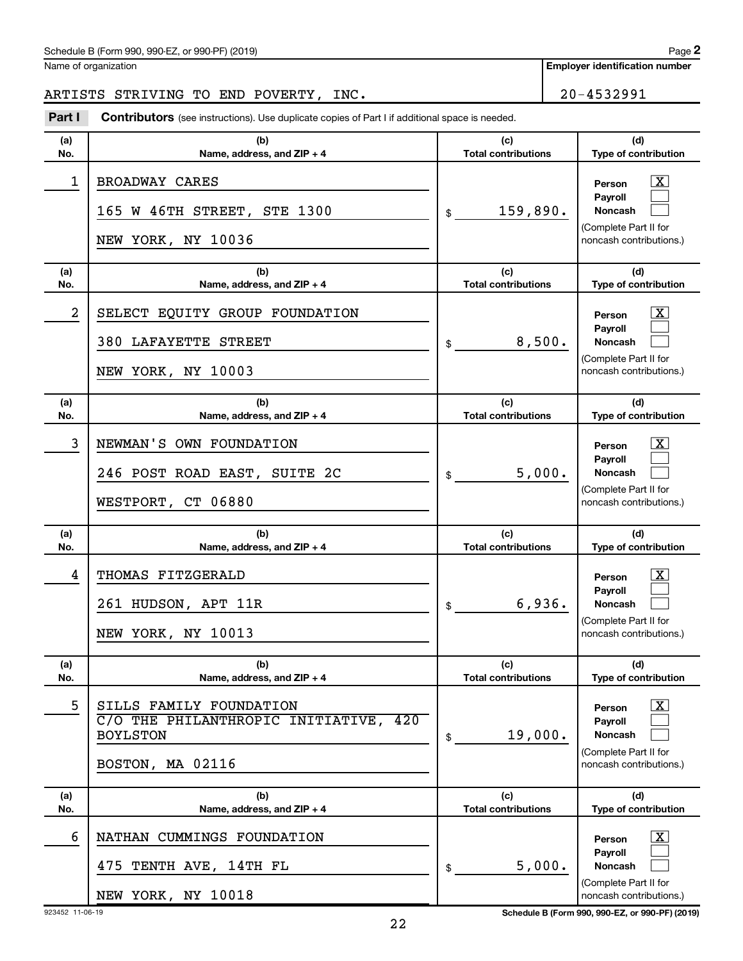## Schedule B (Form 990, 990-EZ, or 990-PF) (2019)

Name of organization

# ARTISTS STRIVING TO END POVERTY, INC. 20-4532991

**Part I** Contributors (see instructions). Use duplicate copies of Part I if additional space is needed.

| (a) | (b)                                                                                                     | (c)                        | (d)                                                                                                              |
|-----|---------------------------------------------------------------------------------------------------------|----------------------------|------------------------------------------------------------------------------------------------------------------|
| No. | Name, address, and ZIP + 4                                                                              | <b>Total contributions</b> | Type of contribution                                                                                             |
| 1   | BROADWAY CARES<br>165 W 46TH STREET, STE 1300<br>NEW YORK, NY 10036                                     | 159,890.<br>\$             | X<br>Person<br>Payroll<br><b>Noncash</b><br>(Complete Part II for<br>noncash contributions.)                     |
| (a) | (b)                                                                                                     | (c)                        | (d)                                                                                                              |
| No. | Name, address, and ZIP + 4                                                                              | <b>Total contributions</b> | Type of contribution                                                                                             |
| 2   | SELECT EQUITY GROUP FOUNDATION<br>380 LAFAYETTE STREET<br>NEW YORK, NY 10003                            | 8,500.<br>\$               | $\overline{\text{X}}$<br>Person<br>Payroll<br><b>Noncash</b><br>(Complete Part II for<br>noncash contributions.) |
| (a) | (b)                                                                                                     | (c)                        | (d)                                                                                                              |
| No. | Name, address, and ZIP + 4                                                                              | <b>Total contributions</b> | Type of contribution                                                                                             |
| 3   | NEWMAN'S OWN FOUNDATION<br>246 POST ROAD EAST, SUITE 2C<br>WESTPORT, CT 06880                           | 5,000.<br>\$               | $\overline{\text{X}}$<br>Person<br>Payroll<br><b>Noncash</b><br>(Complete Part II for<br>noncash contributions.) |
| (a) | (b)                                                                                                     | (c)                        | (d)                                                                                                              |
| No. | Name, address, and ZIP + 4                                                                              | <b>Total contributions</b> | Type of contribution                                                                                             |
| 4   | THOMAS FITZGERALD<br>261 HUDSON, APT 11R<br>NEW YORK, NY 10013                                          | 6,936.<br>\$               | $\overline{\text{X}}$<br>Person<br>Payroll<br><b>Noncash</b><br>(Complete Part II for<br>noncash contributions.) |
| (a) | (b)                                                                                                     | (c)                        | (d)                                                                                                              |
| No. | Name, address, and ZIP + 4                                                                              | <b>Total contributions</b> | Type of contribution                                                                                             |
| 5   | SILLS FAMILY FOUNDATION<br>C/O THE PHILANTHROPIC INITIATIVE, 420<br><b>BOYLSTON</b><br>BOSTON, MA 02116 | 19,000.<br>\$              | $\overline{\mathbf{X}}$<br>Person<br>Payroll<br>Noncash<br>(Complete Part II for<br>noncash contributions.)      |
| (a) | (b)                                                                                                     | (c)                        | (d)                                                                                                              |
| No. | Name, address, and ZIP + 4                                                                              | <b>Total contributions</b> | Type of contribution                                                                                             |
| 6   | NATHAN CUMMINGS FOUNDATION<br>TENTH AVE, 14TH FL<br>475<br>NEW YORK, NY 10018                           | 5,000.<br>\$               | $\overline{\text{X}}$<br>Person<br>Payroll<br>Noncash<br>(Complete Part II for<br>noncash contributions.)        |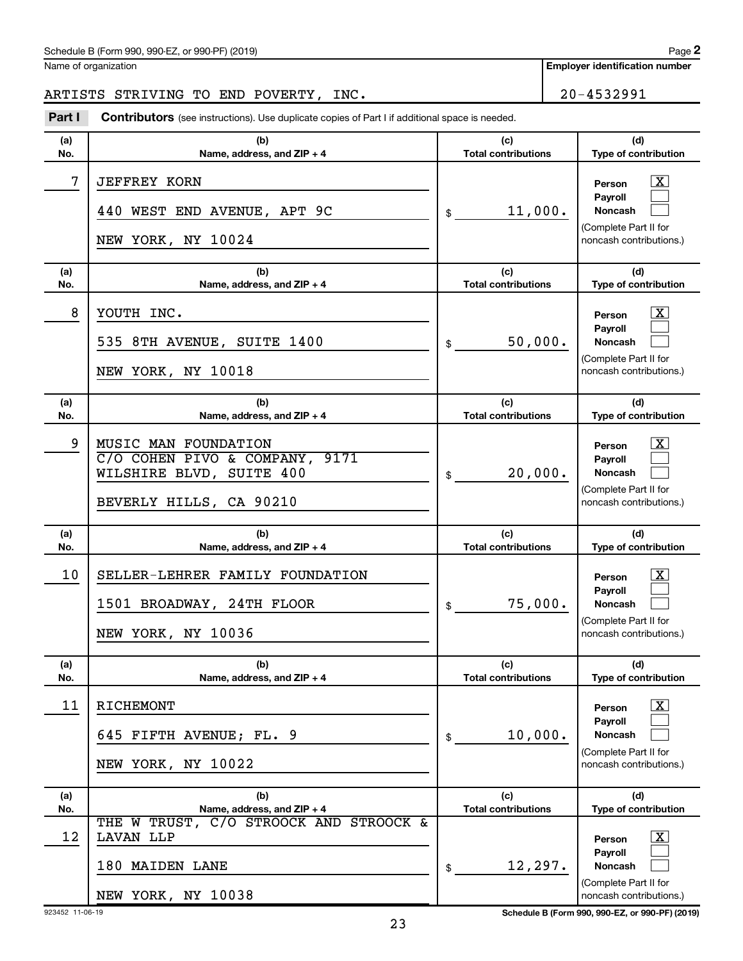## Schedule B (Form 990, 990-EZ, or 990-PF) (2019)

Name of organization

# ARTISTS STRIVING TO END POVERTY, INC. 20-4532991

**Part I** Contributors (see instructions). Use duplicate copies of Part I if additional space is needed.

| (a)<br>No. | (b)<br>Name, address, and ZIP + 4                                                                             | (c)<br><b>Total contributions</b> | (d)<br>Type of contribution                                                                                      |
|------------|---------------------------------------------------------------------------------------------------------------|-----------------------------------|------------------------------------------------------------------------------------------------------------------|
| 7          | <b>JEFFREY KORN</b><br>440 WEST END AVENUE, APT 9C<br>NEW YORK, NY 10024                                      | 11,000.<br>\$                     | <u>x</u><br>Person<br>Payroll<br><b>Noncash</b><br>(Complete Part II for<br>noncash contributions.)              |
| (a)<br>No. | (b)<br>Name, address, and ZIP + 4                                                                             | (c)<br><b>Total contributions</b> | (d)<br>Type of contribution                                                                                      |
| 8          | YOUTH INC.<br>535 8TH AVENUE, SUITE 1400<br>NEW YORK, NY 10018                                                | 50,000.<br>\$                     | <u>x</u><br>Person<br>Payroll<br><b>Noncash</b><br>(Complete Part II for<br>noncash contributions.)              |
| (a)<br>No. | (b)<br>Name, address, and ZIP + 4                                                                             | (c)<br><b>Total contributions</b> | (d)<br>Type of contribution                                                                                      |
| 9          | MUSIC MAN FOUNDATION<br>C/O COHEN PIVO & COMPANY, 9171<br>WILSHIRE BLVD, SUITE 400<br>BEVERLY HILLS, CA 90210 | 20,000.<br>\$                     | <u>x</u><br>Person<br>Payroll<br><b>Noncash</b><br>(Complete Part II for<br>noncash contributions.)              |
| (a)<br>No. | (b)<br>Name, address, and ZIP + 4                                                                             | (c)<br><b>Total contributions</b> | (d)<br>Type of contribution                                                                                      |
| 10         | SELLER-LEHRER FAMILY FOUNDATION<br>1501 BROADWAY, 24TH FLOOR<br>NEW YORK, NY 10036                            | 75,000.<br>\$                     | $\mathbf{X}$<br>Person<br>Payroll<br><b>Noncash</b><br>(Complete Part II for<br>noncash contributions.)          |
| (a)<br>No. | (b)<br>Name, address, and ZIP + 4                                                                             | (c)<br><b>Total contributions</b> | (d)<br><b>Type of contribution</b>                                                                               |
| 11         | RICHEMONT<br>645 FIFTH AVENUE; FL. 9<br>NEW YORK, NY 10022                                                    | 10,000.<br>\$                     | $\overline{\text{X}}$<br>Person<br>Payroll<br><b>Noncash</b><br>(Complete Part II for<br>noncash contributions.) |
| (a)<br>No. | (b)<br>Name, address, and ZIP + 4                                                                             | (c)<br><b>Total contributions</b> | (d)<br>Type of contribution                                                                                      |
| 12         | THE W TRUST, C/O STROOCK AND STROOCK &<br>LAVAN LLP<br>180 MAIDEN LANE<br>NEW YORK, NY 10038                  | 12, 297.<br>\$                    | $\mathbf{X}$<br>Person<br>Payroll<br><b>Noncash</b><br>(Complete Part II for<br>noncash contributions.)          |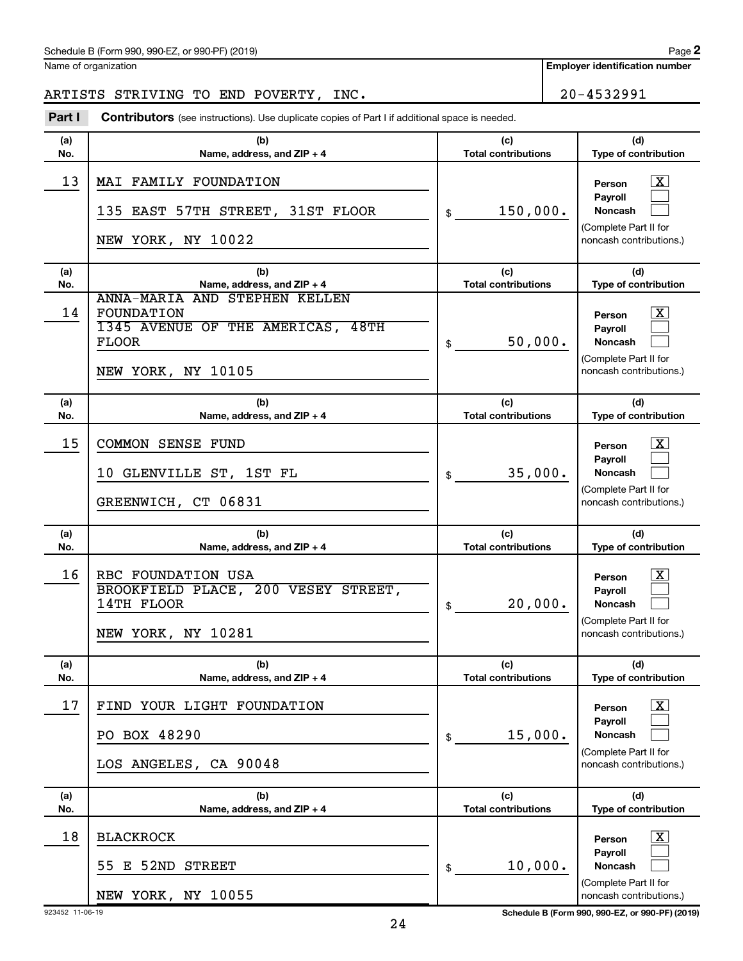#### Schedule B (Form 990, 990-EZ, or 990-PF) (2019)

Name of organization

**Employer identification number**

**2**

ARTISTS STRIVING TO END POVERTY, INC.  $\vert$  20-4532991

#### **(a) No. (b) Name, address, and ZIP + 4 (c) Total contributions (d) Type of contribution Person Payroll Noncash (a) No. (b) Name, address, and ZIP + 4 (c) Total contributions (d) Type of contribution Person Payroll Noncash (a) No. (b) Name, address, and ZIP + 4 (c) Total contributions (d) Type of contribution Person Payroll Noncash (a) No. (b) Name, address, and ZIP + 4 (c) Total contributions (d) Type of contribution Person Payroll Noncash (a) No. (b) Name, address, and ZIP + 4 (c) Total contributions (d) Type of contribution Person Payroll Noncash (a) No. (b) Name, address, and ZIP + 4 (c) Total contributions (d) Type of contribution Person Payroll Noncash Part I** Contributors (see instructions). Use duplicate copies of Part I if additional space is needed. \$ (Complete Part II for noncash contributions.) \$ (Complete Part II for noncash contributions.) \$ (Complete Part II for noncash contributions.) \$ (Complete Part II for noncash contributions.) \$ (Complete Part II for noncash contributions.) \$ (Complete Part II for noncash contributions.) †  $\Box$  $\Box$  $\boxed{\textbf{X}}$  $\Box$  $\Box$  $\lceil \text{X} \rceil$  $\Box$  $\Box$  $\boxed{\textbf{X}}$  $\Box$  $\Box$  $\boxed{\textbf{X}}$  $\Box$  $\Box$  $\boxed{\textbf{X}}$  $\Box$  $\Box$ 13 | MAI FAMILY FOUNDATION 135 EAST 57TH STREET, 31ST FLOOR  $\frac{1}{3}$  150,000. NEW YORK, NY 10022 14 ANNA-MARIA AND STEPHEN KELLEN FOUNDATION X 1345 AVENUE OF THE AMERICAS, 48TH FLOOR  $\Big| \$  50,000. NEW YORK, NY 10105 15 | COMMON SENSE FUND  $10$  GLENVILLE ST,  $1$ ST FL $\qquad \qquad | \ \ \ $ \$   $35,000$ . GREENWICH, CT 06831 16 | RBC FOUNDATION USA BROOKFIELD PLACE, 200 VESEY STREET,  $14$ TH FLOOR  $\vert \text{s} \vert$  20,000. NEW YORK, NY 10281 17 | FIND YOUR LIGHT FOUNDATION PO BOX 48290  $\vert$  \$ 15,000. LOS ANGELES, CA 90048 18 | BLACKROCK 55 E 52ND STREET  $\frac{1}{3}$  10,000. NEW YORK, NY 10055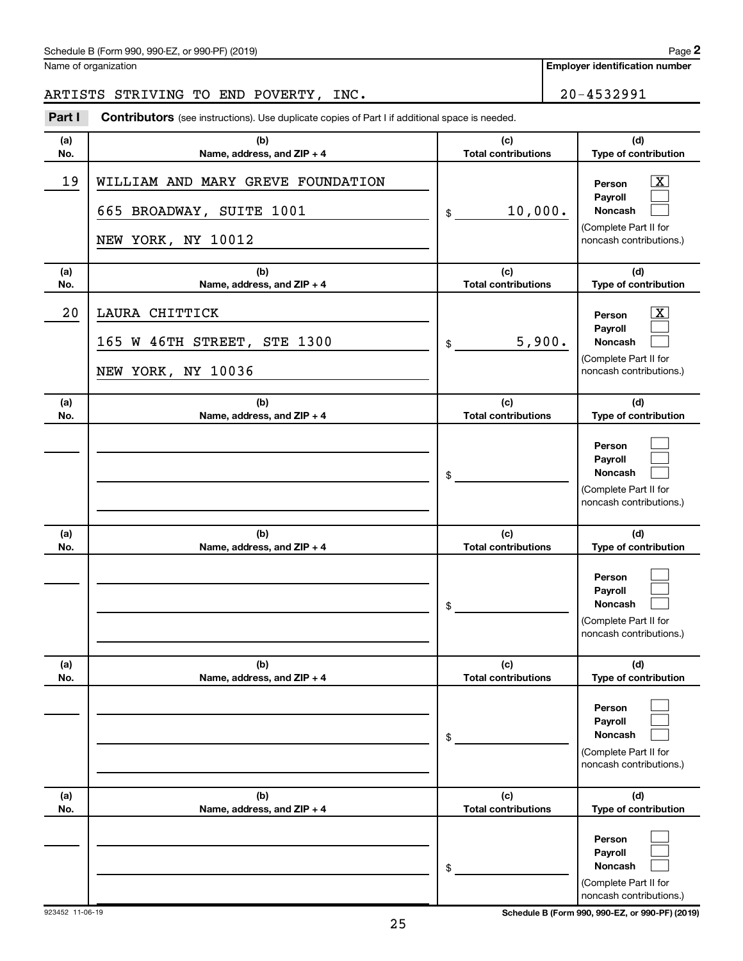Name of organization

**Employer identification number**

## ARTISTS STRIVING TO END POVERTY, INC.  $\vert$  20-4532991

**(a) No. (b) Name, address, and ZIP + 4 (c) Total contributions (d) Type of contribution Person Payroll Noncash (a) No. (b) Name, address, and ZIP + 4 (c) Total contributions (d) Type of contribution Person Payroll Noncash (a) No. (b) Name, address, and ZIP + 4 (c) Total contributions (d) Type of contribution Person Payroll Noncash (a) No. (b) Name, address, and ZIP + 4 (c) Total contributions (d) Type of contribution Person Payroll Noncash (a) No. (b) Name, address, and ZIP + 4 (c) Total contributions (d) Type of contribution Person Payroll Noncash (a) No. (b) Name, address, and ZIP + 4 (c) Total contributions (d) Type of contribution Person Payroll Noncash Part I** Contributors (see instructions). Use duplicate copies of Part I if additional space is needed. \$ (Complete Part II for noncash contributions.) \$ (Complete Part II for noncash contributions.) \$ (Complete Part II for noncash contributions.) \$ (Complete Part II for noncash contributions.) \$ (Complete Part II for noncash contributions.) \$ (Complete Part II for noncash contributions.) †  $\Box$  $\Box$  $\overline{\mathbf{X}}$  $\Box$  $\Box$  $\Box$  $\Box$  $\Box$  $\Box$  $\Box$  $\Box$  $\Box$  $\Box$  $\Box$  $\Box$  $\Box$  $\Box$ 19 | WILLIAM AND MARY GREVE FOUNDATION 665 BROADWAY, SUITE  $1001$  | \$ 10,000. NEW YORK, NY 10012 20 LAURA CHITTICK X 165 W 46TH STREET, STE 1300  $\frac{1}{3}$  5,900. NEW YORK, NY 10036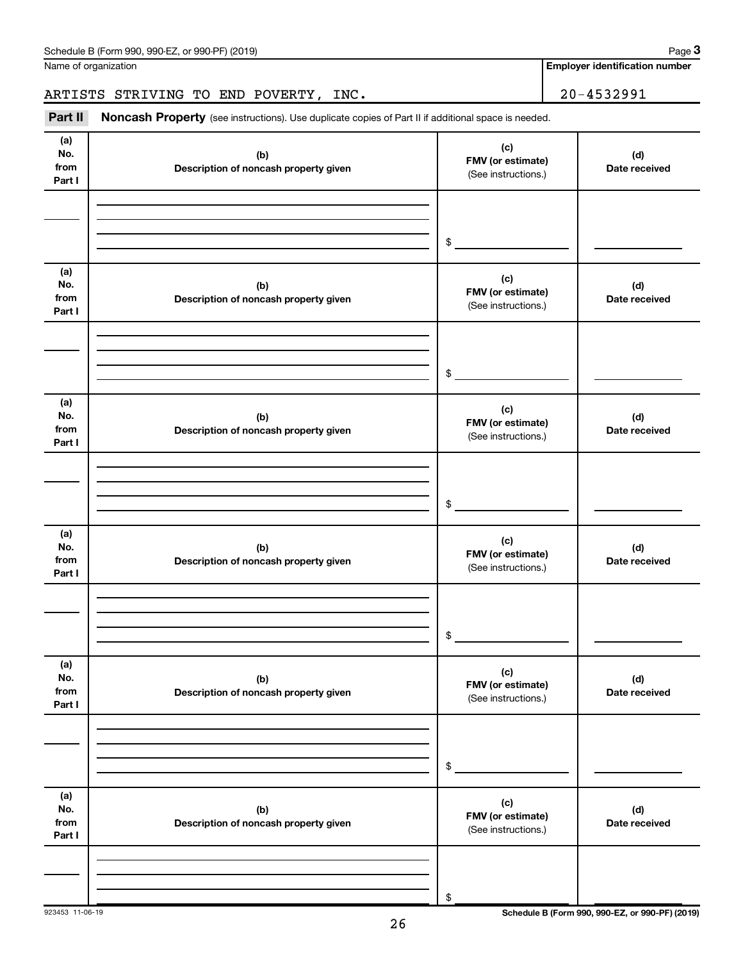| Schedule B (Form 990, 990-EZ, or 990-PF) (2019) | Page |
|-------------------------------------------------|------|
|-------------------------------------------------|------|

Name of organization

**Employer identification number**

ARTISTS STRIVING TO END POVERTY, INC. 20-4532991

| Part II                      | Noncash Property (see instructions). Use duplicate copies of Part II if additional space is needed. |                                                 |                      |  |  |  |  |  |
|------------------------------|-----------------------------------------------------------------------------------------------------|-------------------------------------------------|----------------------|--|--|--|--|--|
| (a)<br>No.<br>from<br>Part I | (b)<br>Description of noncash property given                                                        | (c)<br>FMV (or estimate)<br>(See instructions.) | (d)<br>Date received |  |  |  |  |  |
|                              |                                                                                                     | \$                                              |                      |  |  |  |  |  |
| (a)<br>No.<br>from<br>Part I | (b)<br>Description of noncash property given                                                        | (c)<br>FMV (or estimate)<br>(See instructions.) | (d)<br>Date received |  |  |  |  |  |
|                              |                                                                                                     | \$                                              |                      |  |  |  |  |  |
| (a)<br>No.<br>from<br>Part I | (b)<br>Description of noncash property given                                                        | (c)<br>FMV (or estimate)<br>(See instructions.) | (d)<br>Date received |  |  |  |  |  |
|                              |                                                                                                     | \$                                              |                      |  |  |  |  |  |
| (a)<br>No.<br>from<br>Part I | (b)<br>Description of noncash property given                                                        | (c)<br>FMV (or estimate)<br>(See instructions.) | (d)<br>Date received |  |  |  |  |  |
|                              |                                                                                                     | \$                                              |                      |  |  |  |  |  |
| (a)<br>No.<br>from<br>Part I | (b)<br>Description of noncash property given                                                        | (c)<br>FMV (or estimate)<br>(See instructions.) | (d)<br>Date received |  |  |  |  |  |
|                              |                                                                                                     | \$                                              |                      |  |  |  |  |  |
| (a)<br>No.<br>from<br>Part I | (b)<br>Description of noncash property given                                                        | (c)<br>FMV (or estimate)<br>(See instructions.) | (d)<br>Date received |  |  |  |  |  |
|                              |                                                                                                     | \$                                              |                      |  |  |  |  |  |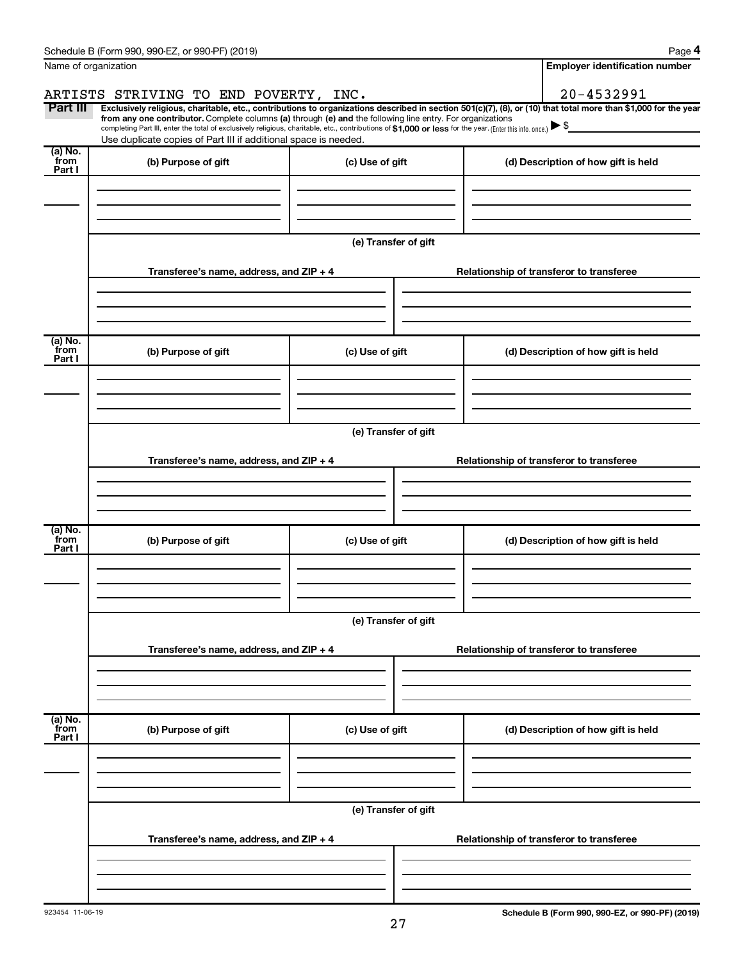|                           | Schedule B (Form 990, 990-EZ, or 990-PF) (2019)                                                                                                                                                                                                                                                                                           |                      |  | Page 4                                                                                                                                                         |  |  |
|---------------------------|-------------------------------------------------------------------------------------------------------------------------------------------------------------------------------------------------------------------------------------------------------------------------------------------------------------------------------------------|----------------------|--|----------------------------------------------------------------------------------------------------------------------------------------------------------------|--|--|
|                           | Name of organization                                                                                                                                                                                                                                                                                                                      |                      |  | <b>Employer identification number</b>                                                                                                                          |  |  |
|                           | ARTISTS STRIVING TO END POVERTY, INC.                                                                                                                                                                                                                                                                                                     |                      |  | 20-4532991                                                                                                                                                     |  |  |
| Part III                  | from any one contributor. Complete columns (a) through (e) and the following line entry. For organizations<br>completing Part III, enter the total of exclusively religious, charitable, etc., contributions of \$1,000 or less for the year. (Enter this info. once.)<br>Use duplicate copies of Part III if additional space is needed. |                      |  | Exclusively religious, charitable, etc., contributions to organizations described in section 501(c)(7), (8), or (10) that total more than \$1,000 for the year |  |  |
| (a) No.<br>from<br>Part I | (b) Purpose of gift                                                                                                                                                                                                                                                                                                                       | (c) Use of gift      |  | (d) Description of how gift is held                                                                                                                            |  |  |
|                           |                                                                                                                                                                                                                                                                                                                                           |                      |  |                                                                                                                                                                |  |  |
|                           |                                                                                                                                                                                                                                                                                                                                           | (e) Transfer of gift |  |                                                                                                                                                                |  |  |
|                           | Transferee's name, address, and ZIP + 4                                                                                                                                                                                                                                                                                                   |                      |  | Relationship of transferor to transferee                                                                                                                       |  |  |
| (a) No.<br>from           | (b) Purpose of gift                                                                                                                                                                                                                                                                                                                       | (c) Use of gift      |  | (d) Description of how gift is held                                                                                                                            |  |  |
| Part I                    |                                                                                                                                                                                                                                                                                                                                           |                      |  |                                                                                                                                                                |  |  |
|                           |                                                                                                                                                                                                                                                                                                                                           |                      |  |                                                                                                                                                                |  |  |
|                           | (e) Transfer of gift                                                                                                                                                                                                                                                                                                                      |                      |  |                                                                                                                                                                |  |  |
|                           | Transferee's name, address, and ZIP + 4                                                                                                                                                                                                                                                                                                   |                      |  | Relationship of transferor to transferee                                                                                                                       |  |  |
| $\overline{a}$ ) No.      |                                                                                                                                                                                                                                                                                                                                           |                      |  |                                                                                                                                                                |  |  |
| from<br>Part I            | (b) Purpose of gift                                                                                                                                                                                                                                                                                                                       | (c) Use of gift      |  | (d) Description of how gift is held                                                                                                                            |  |  |
|                           |                                                                                                                                                                                                                                                                                                                                           |                      |  |                                                                                                                                                                |  |  |
|                           |                                                                                                                                                                                                                                                                                                                                           | (e) Transfer of gift |  |                                                                                                                                                                |  |  |
|                           | Transferee's name, address, and ZIP + 4                                                                                                                                                                                                                                                                                                   |                      |  | Relationship of transferor to transferee                                                                                                                       |  |  |
|                           |                                                                                                                                                                                                                                                                                                                                           |                      |  |                                                                                                                                                                |  |  |
| (a) No.<br>from<br>Part I | (b) Purpose of gift                                                                                                                                                                                                                                                                                                                       | (c) Use of gift      |  | (d) Description of how gift is held                                                                                                                            |  |  |
|                           |                                                                                                                                                                                                                                                                                                                                           |                      |  |                                                                                                                                                                |  |  |
|                           |                                                                                                                                                                                                                                                                                                                                           | (e) Transfer of gift |  |                                                                                                                                                                |  |  |
|                           | Transferee's name, address, and ZIP + 4                                                                                                                                                                                                                                                                                                   |                      |  | Relationship of transferor to transferee                                                                                                                       |  |  |
|                           |                                                                                                                                                                                                                                                                                                                                           |                      |  |                                                                                                                                                                |  |  |
|                           |                                                                                                                                                                                                                                                                                                                                           |                      |  |                                                                                                                                                                |  |  |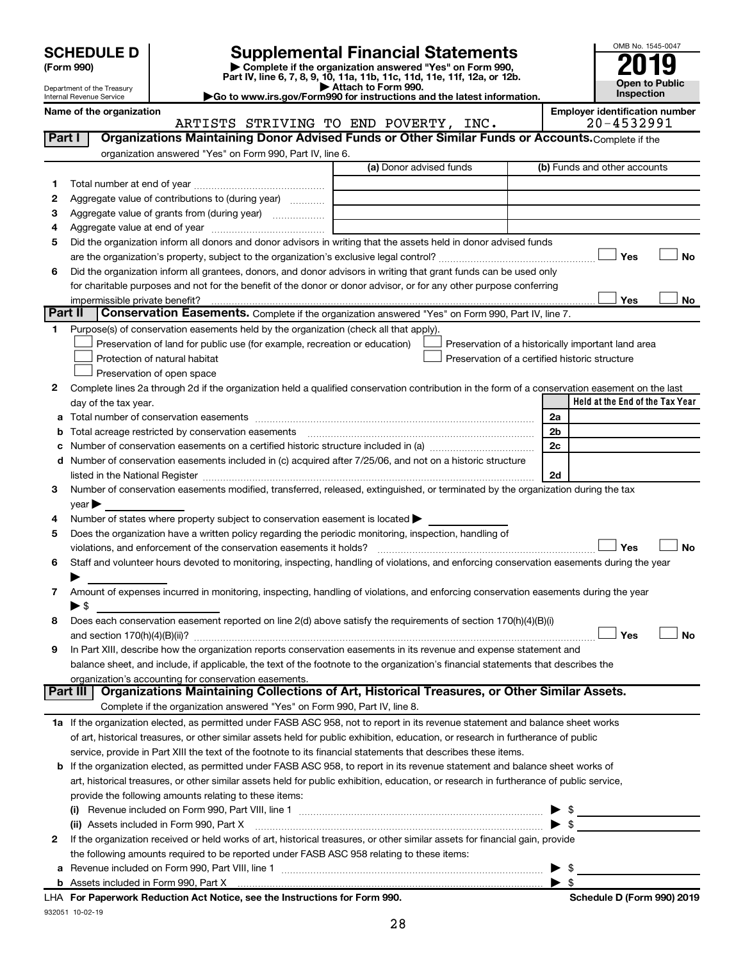| (Form 990) |  |
|------------|--|
|------------|--|

# **SCHEDULE D Supplemental Financial Statements**<br> **Form 990 2019**<br> **Part IV** line 6.7.8.9.10, 11a, 11b, 11d, 11d, 11d, 11d, 11d, 12a, 0r, 12b

**(Form 990) | Complete if the organization answered "Yes" on Form 990, Part IV, line 6, 7, 8, 9, 10, 11a, 11b, 11c, 11d, 11e, 11f, 12a, or 12b.**



Department of the Treasury Internal Revenue Service

**| Attach to Form 990. |Go to www.irs.gov/Form990 for instructions and the latest information.**

**Name of the organization Employer identification number**

|              | ARTISTS STRIVING TO END POVERTY, INC.                                                                                                          |                         | 20-4532991                                         |
|--------------|------------------------------------------------------------------------------------------------------------------------------------------------|-------------------------|----------------------------------------------------|
| Part I       | Organizations Maintaining Donor Advised Funds or Other Similar Funds or Accounts. Complete if the                                              |                         |                                                    |
|              | organization answered "Yes" on Form 990, Part IV, line 6.                                                                                      |                         |                                                    |
|              |                                                                                                                                                | (a) Donor advised funds | (b) Funds and other accounts                       |
| 1            |                                                                                                                                                |                         |                                                    |
| 2            | Aggregate value of contributions to (during year)                                                                                              |                         |                                                    |
| з            | Aggregate value of grants from (during year)                                                                                                   |                         |                                                    |
| 4            |                                                                                                                                                |                         |                                                    |
| 5            | Did the organization inform all donors and donor advisors in writing that the assets held in donor advised funds                               |                         |                                                    |
|              |                                                                                                                                                |                         | Yes<br>No                                          |
| 6            | Did the organization inform all grantees, donors, and donor advisors in writing that grant funds can be used only                              |                         |                                                    |
|              | for charitable purposes and not for the benefit of the donor or donor advisor, or for any other purpose conferring                             |                         |                                                    |
|              | impermissible private benefit?                                                                                                                 |                         | Yes<br>No                                          |
| Part II      | <b>Conservation Easements.</b> Complete if the organization answered "Yes" on Form 990, Part IV, line 7.                                       |                         |                                                    |
| 1.           | Purpose(s) of conservation easements held by the organization (check all that apply).                                                          |                         |                                                    |
|              | Preservation of land for public use (for example, recreation or education)                                                                     |                         | Preservation of a historically important land area |
|              | Protection of natural habitat                                                                                                                  |                         | Preservation of a certified historic structure     |
|              | Preservation of open space                                                                                                                     |                         |                                                    |
| 2            | Complete lines 2a through 2d if the organization held a qualified conservation contribution in the form of a conservation easement on the last |                         |                                                    |
|              | day of the tax year.                                                                                                                           |                         | Held at the End of the Tax Year                    |
| а            |                                                                                                                                                |                         | 2a                                                 |
| b            |                                                                                                                                                |                         | 2 <sub>b</sub>                                     |
|              |                                                                                                                                                |                         | 2c                                                 |
|              | d Number of conservation easements included in (c) acquired after 7/25/06, and not on a historic structure                                     |                         |                                                    |
|              |                                                                                                                                                |                         | 2d                                                 |
| 3            | Number of conservation easements modified, transferred, released, extinguished, or terminated by the organization during the tax               |                         |                                                    |
|              | year                                                                                                                                           |                         |                                                    |
|              | Number of states where property subject to conservation easement is located >                                                                  |                         |                                                    |
| 5            | Does the organization have a written policy regarding the periodic monitoring, inspection, handling of                                         |                         |                                                    |
|              | violations, and enforcement of the conservation easements it holds?                                                                            |                         | Yes<br>No                                          |
| 6            | Staff and volunteer hours devoted to monitoring, inspecting, handling of violations, and enforcing conservation easements during the year      |                         |                                                    |
|              |                                                                                                                                                |                         |                                                    |
| 7            | Amount of expenses incurred in monitoring, inspecting, handling of violations, and enforcing conservation easements during the year            |                         |                                                    |
|              | $\blacktriangleright$ \$                                                                                                                       |                         |                                                    |
| 8            | Does each conservation easement reported on line 2(d) above satisfy the requirements of section 170(h)(4)(B)(i)                                |                         |                                                    |
|              |                                                                                                                                                |                         | Yes<br>No                                          |
| 9            | In Part XIII, describe how the organization reports conservation easements in its revenue and expense statement and                            |                         |                                                    |
|              | balance sheet, and include, if applicable, the text of the footnote to the organization's financial statements that describes the              |                         |                                                    |
|              | organization's accounting for conservation easements.                                                                                          |                         |                                                    |
|              | Organizations Maintaining Collections of Art, Historical Treasures, or Other Similar Assets.<br>Part III                                       |                         |                                                    |
|              | Complete if the organization answered "Yes" on Form 990, Part IV, line 8.                                                                      |                         |                                                    |
|              | 1a If the organization elected, as permitted under FASB ASC 958, not to report in its revenue statement and balance sheet works                |                         |                                                    |
|              | of art, historical treasures, or other similar assets held for public exhibition, education, or research in furtherance of public              |                         |                                                    |
|              | service, provide in Part XIII the text of the footnote to its financial statements that describes these items.                                 |                         |                                                    |
|              | b If the organization elected, as permitted under FASB ASC 958, to report in its revenue statement and balance sheet works of                  |                         |                                                    |
|              | art, historical treasures, or other similar assets held for public exhibition, education, or research in furtherance of public service,        |                         |                                                    |
|              | provide the following amounts relating to these items:                                                                                         |                         |                                                    |
|              |                                                                                                                                                |                         | - \$<br>▶                                          |
|              | (ii) Assets included in Form 990, Part X                                                                                                       |                         | $\blacktriangleright$ s                            |
| $\mathbf{2}$ | If the organization received or held works of art, historical treasures, or other similar assets for financial gain, provide                   |                         |                                                    |
|              | the following amounts required to be reported under FASB ASC 958 relating to these items:                                                      |                         |                                                    |
| а            |                                                                                                                                                |                         | \$                                                 |
|              |                                                                                                                                                |                         | -\$                                                |
|              | LHA For Paperwork Reduction Act Notice, see the Instructions for Form 990.                                                                     |                         | Schedule D (Form 990) 2019                         |

932051 10-02-19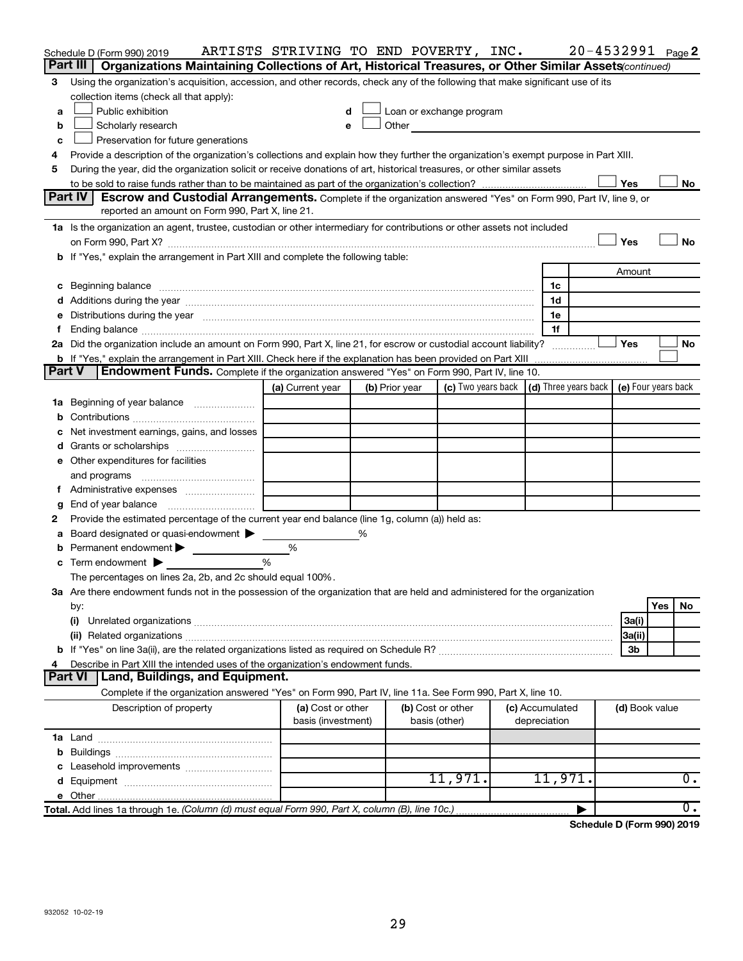|        | Schedule D (Form 990) 2019<br>Part III  <br>Organizations Maintaining Collections of Art, Historical Treasures, or Other Similar Assets (continued)                                                                            | ARTISTS STRIVING TO END POVERTY, INC.   |   |                   |                                                                                                                                                                                                                               |  |                                 |  |                | $20 - 4532991$ Page 2 |
|--------|--------------------------------------------------------------------------------------------------------------------------------------------------------------------------------------------------------------------------------|-----------------------------------------|---|-------------------|-------------------------------------------------------------------------------------------------------------------------------------------------------------------------------------------------------------------------------|--|---------------------------------|--|----------------|-----------------------|
| 3      | Using the organization's acquisition, accession, and other records, check any of the following that make significant use of its                                                                                                |                                         |   |                   |                                                                                                                                                                                                                               |  |                                 |  |                |                       |
|        | collection items (check all that apply):                                                                                                                                                                                       |                                         |   |                   |                                                                                                                                                                                                                               |  |                                 |  |                |                       |
| a      | Public exhibition                                                                                                                                                                                                              |                                         |   |                   | Loan or exchange program                                                                                                                                                                                                      |  |                                 |  |                |                       |
| b      | Scholarly research                                                                                                                                                                                                             |                                         |   |                   | Other and the contract of the contract of the contract of the contract of the contract of the contract of the contract of the contract of the contract of the contract of the contract of the contract of the contract of the |  |                                 |  |                |                       |
| c      | Preservation for future generations                                                                                                                                                                                            |                                         |   |                   |                                                                                                                                                                                                                               |  |                                 |  |                |                       |
| 4      | Provide a description of the organization's collections and explain how they further the organization's exempt purpose in Part XIII.                                                                                           |                                         |   |                   |                                                                                                                                                                                                                               |  |                                 |  |                |                       |
| 5      | During the year, did the organization solicit or receive donations of art, historical treasures, or other similar assets                                                                                                       |                                         |   |                   |                                                                                                                                                                                                                               |  |                                 |  |                |                       |
|        |                                                                                                                                                                                                                                |                                         |   |                   |                                                                                                                                                                                                                               |  |                                 |  | Yes            | No                    |
|        | Part IV<br><b>Escrow and Custodial Arrangements.</b> Complete if the organization answered "Yes" on Form 990, Part IV, line 9, or                                                                                              |                                         |   |                   |                                                                                                                                                                                                                               |  |                                 |  |                |                       |
|        | reported an amount on Form 990, Part X, line 21.                                                                                                                                                                               |                                         |   |                   |                                                                                                                                                                                                                               |  |                                 |  |                |                       |
|        | 1a Is the organization an agent, trustee, custodian or other intermediary for contributions or other assets not included                                                                                                       |                                         |   |                   |                                                                                                                                                                                                                               |  |                                 |  |                |                       |
|        |                                                                                                                                                                                                                                |                                         |   |                   |                                                                                                                                                                                                                               |  |                                 |  | Yes            | No                    |
|        | b If "Yes," explain the arrangement in Part XIII and complete the following table:                                                                                                                                             |                                         |   |                   |                                                                                                                                                                                                                               |  |                                 |  |                |                       |
|        |                                                                                                                                                                                                                                |                                         |   |                   |                                                                                                                                                                                                                               |  |                                 |  | Amount         |                       |
|        |                                                                                                                                                                                                                                |                                         |   |                   |                                                                                                                                                                                                                               |  | 1c                              |  |                |                       |
|        |                                                                                                                                                                                                                                |                                         |   |                   |                                                                                                                                                                                                                               |  | 1d                              |  |                |                       |
|        | e Distributions during the year manufactured and continuum control of the control of the control of the control of the control of the control of the control of the control of the control of the control of the control of th |                                         |   |                   |                                                                                                                                                                                                                               |  | 1е                              |  |                |                       |
| Ť.     |                                                                                                                                                                                                                                |                                         |   |                   |                                                                                                                                                                                                                               |  | 1f                              |  |                |                       |
|        | 2a Did the organization include an amount on Form 990, Part X, line 21, for escrow or custodial account liability?                                                                                                             |                                         |   |                   |                                                                                                                                                                                                                               |  |                                 |  | Yes            | No                    |
|        |                                                                                                                                                                                                                                |                                         |   |                   |                                                                                                                                                                                                                               |  |                                 |  |                |                       |
| Part V | <b>Endowment Funds.</b> Complete if the organization answered "Yes" on Form 990, Part IV, line 10.                                                                                                                             |                                         |   |                   |                                                                                                                                                                                                                               |  |                                 |  |                |                       |
|        |                                                                                                                                                                                                                                | (a) Current year                        |   | (b) Prior year    | (c) Two years back $\vert$ (d) Three years back $\vert$ (e) Four years back                                                                                                                                                   |  |                                 |  |                |                       |
|        | 1a Beginning of year balance                                                                                                                                                                                                   |                                         |   |                   |                                                                                                                                                                                                                               |  |                                 |  |                |                       |
| b      |                                                                                                                                                                                                                                |                                         |   |                   |                                                                                                                                                                                                                               |  |                                 |  |                |                       |
|        | Net investment earnings, gains, and losses                                                                                                                                                                                     |                                         |   |                   |                                                                                                                                                                                                                               |  |                                 |  |                |                       |
| d      | Grants or scholarships                                                                                                                                                                                                         |                                         |   |                   |                                                                                                                                                                                                                               |  |                                 |  |                |                       |
|        | e Other expenditures for facilities                                                                                                                                                                                            |                                         |   |                   |                                                                                                                                                                                                                               |  |                                 |  |                |                       |
|        | and programs                                                                                                                                                                                                                   |                                         |   |                   |                                                                                                                                                                                                                               |  |                                 |  |                |                       |
|        |                                                                                                                                                                                                                                |                                         |   |                   |                                                                                                                                                                                                                               |  |                                 |  |                |                       |
| g      |                                                                                                                                                                                                                                |                                         |   |                   |                                                                                                                                                                                                                               |  |                                 |  |                |                       |
| 2      | Provide the estimated percentage of the current year end balance (line 1g, column (a)) held as:                                                                                                                                |                                         |   |                   |                                                                                                                                                                                                                               |  |                                 |  |                |                       |
| а      | Board designated or quasi-endowment >                                                                                                                                                                                          |                                         | % |                   |                                                                                                                                                                                                                               |  |                                 |  |                |                       |
| b      | Permanent endowment                                                                                                                                                                                                            | %                                       |   |                   |                                                                                                                                                                                                                               |  |                                 |  |                |                       |
|        | $\mathbf c$ Term endowment $\blacktriangleright$                                                                                                                                                                               | %                                       |   |                   |                                                                                                                                                                                                                               |  |                                 |  |                |                       |
|        | The percentages on lines 2a, 2b, and 2c should equal 100%.                                                                                                                                                                     |                                         |   |                   |                                                                                                                                                                                                                               |  |                                 |  |                |                       |
|        | 3a Are there endowment funds not in the possession of the organization that are held and administered for the organization                                                                                                     |                                         |   |                   |                                                                                                                                                                                                                               |  |                                 |  |                |                       |
|        | by:                                                                                                                                                                                                                            |                                         |   |                   |                                                                                                                                                                                                                               |  |                                 |  |                | Yes<br>No             |
|        | (i)                                                                                                                                                                                                                            |                                         |   |                   |                                                                                                                                                                                                                               |  |                                 |  | 3a(i)          |                       |
|        | (ii) Related organizations [11] Related organizations [11] Maximum material contract to the contract of the contract of the contract of the contract of the contract of the contract of the contract of the contract of the co |                                         |   |                   |                                                                                                                                                                                                                               |  |                                 |  | 3a(ii)         |                       |
|        |                                                                                                                                                                                                                                |                                         |   |                   |                                                                                                                                                                                                                               |  |                                 |  | 3b             |                       |
| 4      | Describe in Part XIII the intended uses of the organization's endowment funds.<br>Land, Buildings, and Equipment.                                                                                                              |                                         |   |                   |                                                                                                                                                                                                                               |  |                                 |  |                |                       |
|        | <b>Part VI</b>                                                                                                                                                                                                                 |                                         |   |                   |                                                                                                                                                                                                                               |  |                                 |  |                |                       |
|        | Complete if the organization answered "Yes" on Form 990, Part IV, line 11a. See Form 990, Part X, line 10.                                                                                                                     |                                         |   |                   |                                                                                                                                                                                                                               |  |                                 |  |                |                       |
|        | Description of property                                                                                                                                                                                                        | (a) Cost or other<br>basis (investment) |   | (b) Cost or other |                                                                                                                                                                                                                               |  | (c) Accumulated<br>depreciation |  | (d) Book value |                       |
|        |                                                                                                                                                                                                                                |                                         |   | basis (other)     |                                                                                                                                                                                                                               |  |                                 |  |                |                       |
|        |                                                                                                                                                                                                                                |                                         |   |                   |                                                                                                                                                                                                                               |  |                                 |  |                |                       |
|        |                                                                                                                                                                                                                                |                                         |   |                   |                                                                                                                                                                                                                               |  |                                 |  |                |                       |
|        |                                                                                                                                                                                                                                |                                         |   |                   | 11,971.                                                                                                                                                                                                                       |  | 11,971.                         |  |                | 0.                    |
|        |                                                                                                                                                                                                                                |                                         |   |                   |                                                                                                                                                                                                                               |  |                                 |  |                |                       |
|        | Total. Add lines 1a through 1e. (Column (d) must equal Form 990, Part X, column (B), line 10c.)                                                                                                                                |                                         |   |                   |                                                                                                                                                                                                                               |  |                                 |  |                | $\overline{0}$ .      |
|        |                                                                                                                                                                                                                                |                                         |   |                   |                                                                                                                                                                                                                               |  |                                 |  |                |                       |

**Schedule D (Form 990) 2019**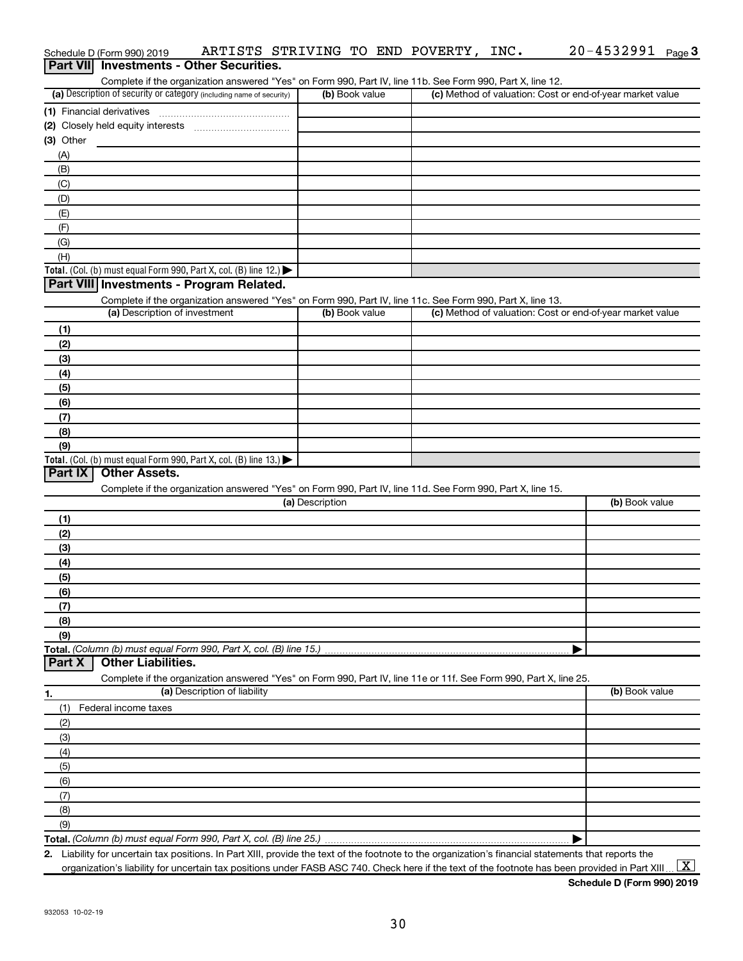| Part VII Investments - Other Securities.                                                                                                                                           |                 |                                                           |                |
|------------------------------------------------------------------------------------------------------------------------------------------------------------------------------------|-----------------|-----------------------------------------------------------|----------------|
| Complete if the organization answered "Yes" on Form 990, Part IV, line 11b. See Form 990, Part X, line 12.<br>(a) Description of security or category (including name of security) | (b) Book value  | (c) Method of valuation: Cost or end-of-year market value |                |
| (1) Financial derivatives                                                                                                                                                          |                 |                                                           |                |
|                                                                                                                                                                                    |                 |                                                           |                |
| $(3)$ Other                                                                                                                                                                        |                 |                                                           |                |
| (A)                                                                                                                                                                                |                 |                                                           |                |
| (B)                                                                                                                                                                                |                 |                                                           |                |
| (C)                                                                                                                                                                                |                 |                                                           |                |
| (D)                                                                                                                                                                                |                 |                                                           |                |
| (E)                                                                                                                                                                                |                 |                                                           |                |
| (F)                                                                                                                                                                                |                 |                                                           |                |
| (G)                                                                                                                                                                                |                 |                                                           |                |
| (H)                                                                                                                                                                                |                 |                                                           |                |
| Total. (Col. (b) must equal Form 990, Part X, col. (B) line 12.)                                                                                                                   |                 |                                                           |                |
| Part VIII Investments - Program Related.                                                                                                                                           |                 |                                                           |                |
| Complete if the organization answered "Yes" on Form 990, Part IV, line 11c. See Form 990, Part X, line 13.                                                                         |                 |                                                           |                |
| (a) Description of investment                                                                                                                                                      | (b) Book value  | (c) Method of valuation: Cost or end-of-year market value |                |
| (1)                                                                                                                                                                                |                 |                                                           |                |
| (2)                                                                                                                                                                                |                 |                                                           |                |
| (3)                                                                                                                                                                                |                 |                                                           |                |
| (4)                                                                                                                                                                                |                 |                                                           |                |
| (5)                                                                                                                                                                                |                 |                                                           |                |
| (6)                                                                                                                                                                                |                 |                                                           |                |
| (7)                                                                                                                                                                                |                 |                                                           |                |
| (8)                                                                                                                                                                                |                 |                                                           |                |
| (9)                                                                                                                                                                                |                 |                                                           |                |
| Total. (Col. (b) must equal Form 990, Part X, col. (B) line 13.) $\blacktriangleright$<br>Part IX<br><b>Other Assets.</b>                                                          |                 |                                                           |                |
| Complete if the organization answered "Yes" on Form 990, Part IV, line 11d. See Form 990, Part X, line 15.                                                                         |                 |                                                           |                |
|                                                                                                                                                                                    | (a) Description |                                                           | (b) Book value |
| (1)                                                                                                                                                                                |                 |                                                           |                |
| (2)                                                                                                                                                                                |                 |                                                           |                |
| (3)                                                                                                                                                                                |                 |                                                           |                |
| (4)                                                                                                                                                                                |                 |                                                           |                |
| (5)                                                                                                                                                                                |                 |                                                           |                |
| (6)                                                                                                                                                                                |                 |                                                           |                |
| (7)                                                                                                                                                                                |                 |                                                           |                |
| (8)                                                                                                                                                                                |                 |                                                           |                |
| (9)                                                                                                                                                                                |                 |                                                           |                |
| Total. (Column (b) must equal Form 990, Part X, col. (B) line 15.).                                                                                                                |                 |                                                           |                |
| <b>Other Liabilities.</b><br>Part X                                                                                                                                                |                 |                                                           |                |
| Complete if the organization answered "Yes" on Form 990, Part IV, line 11e or 11f. See Form 990, Part X, line 25.                                                                  |                 |                                                           |                |
| (a) Description of liability<br>1.                                                                                                                                                 |                 |                                                           | (b) Book value |
| (1)<br>Federal income taxes                                                                                                                                                        |                 |                                                           |                |
| (2)                                                                                                                                                                                |                 |                                                           |                |
| (3)                                                                                                                                                                                |                 |                                                           |                |
| (4)                                                                                                                                                                                |                 |                                                           |                |
| (5)                                                                                                                                                                                |                 |                                                           |                |
| (6)                                                                                                                                                                                |                 |                                                           |                |
| (7)                                                                                                                                                                                |                 |                                                           |                |
| (8)                                                                                                                                                                                |                 |                                                           |                |
| (9)                                                                                                                                                                                |                 |                                                           |                |
|                                                                                                                                                                                    |                 |                                                           |                |
| 2. Liability for uncertain tax positions. In Part XIII, provide the text of the footnote to the organization's financial statements that reports the                               |                 |                                                           |                |

Schedule D (Form 990) 2019  $\;$  <code>ARTISTS STRIVING TO END POVERTY</code> , <code>INC</code>  $\;$  <code>20–4532991</code> <code>Page</code>

organization's liability for uncertain tax positions under FASB ASC 740. Check here if the text of the footnote has been provided in Part XIII…  $\boxed{\mathrm{X}}$ 

20-4532991 Page 3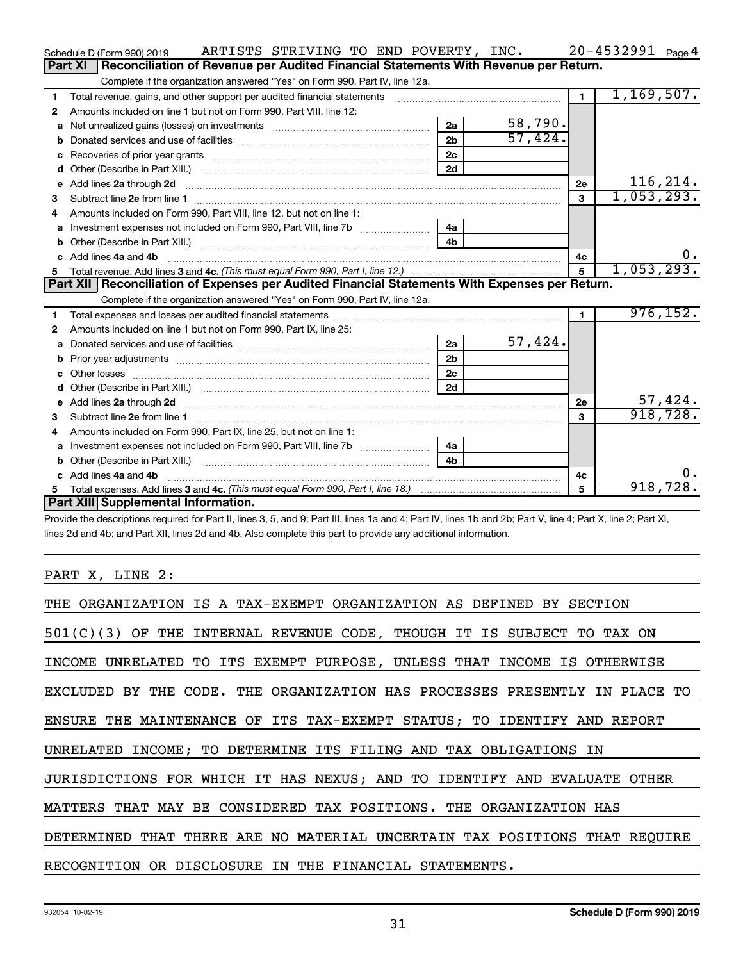|   | ARTISTS STRIVING TO END POVERTY, INC.<br>Schedule D (Form 990) 2019                                                                                                                                                                                                          |                |         |              | $20 - 4532991$ Page 4 |
|---|------------------------------------------------------------------------------------------------------------------------------------------------------------------------------------------------------------------------------------------------------------------------------|----------------|---------|--------------|-----------------------|
|   | Reconciliation of Revenue per Audited Financial Statements With Revenue per Return.<br><b>Part XI</b>                                                                                                                                                                        |                |         |              |                       |
|   | Complete if the organization answered "Yes" on Form 990, Part IV, line 12a.                                                                                                                                                                                                  |                |         |              |                       |
| 1 | Total revenue, gains, and other support per audited financial statements                                                                                                                                                                                                     |                |         | $\mathbf{1}$ | 1,169,507.            |
| 2 | Amounts included on line 1 but not on Form 990, Part VIII, line 12:                                                                                                                                                                                                          |                |         |              |                       |
| a | Net unrealized gains (losses) on investments [111] Met unrealized main states and investments [11] Metamas and the university of the unrealized main states and the unrealized main states and the unrealized main states and                                                | 2a             | 58,790. |              |                       |
|   |                                                                                                                                                                                                                                                                              | 2 <sub>b</sub> | 57,424. |              |                       |
| c |                                                                                                                                                                                                                                                                              | 2 <sub>c</sub> |         |              |                       |
| d |                                                                                                                                                                                                                                                                              | 2d             |         |              |                       |
| е | Add lines 2a through 2d <b>continuum continuum contracts</b> and an analysis of the contract of the contract of the contract of the contract of the contract of the contract of the contract of the contract of the contract of the                                          |                |         | 2e           | 116, 214.             |
| 3 |                                                                                                                                                                                                                                                                              |                |         | 3            | 1,053,293.            |
| 4 | Amounts included on Form 990, Part VIII, line 12, but not on line 1:                                                                                                                                                                                                         |                |         |              |                       |
|   |                                                                                                                                                                                                                                                                              | 4a             |         |              |                       |
|   |                                                                                                                                                                                                                                                                              | 4 <sub>b</sub> |         |              |                       |
|   | c Add lines 4a and 4b                                                                                                                                                                                                                                                        |                |         | 4с           | 0.                    |
|   |                                                                                                                                                                                                                                                                              |                |         | 5            | 1,053,293.            |
|   |                                                                                                                                                                                                                                                                              |                |         |              |                       |
|   | Part XII   Reconciliation of Expenses per Audited Financial Statements With Expenses per Return.                                                                                                                                                                             |                |         |              |                       |
|   | Complete if the organization answered "Yes" on Form 990, Part IV, line 12a.                                                                                                                                                                                                  |                |         |              |                       |
| 1 |                                                                                                                                                                                                                                                                              |                |         | $\mathbf{1}$ | 976, 152.             |
| 2 | Amounts included on line 1 but not on Form 990, Part IX, line 25:                                                                                                                                                                                                            |                |         |              |                       |
| a |                                                                                                                                                                                                                                                                              | 2a             | 57,424. |              |                       |
| b |                                                                                                                                                                                                                                                                              | 2 <sub>b</sub> |         |              |                       |
|   |                                                                                                                                                                                                                                                                              | 2 <sub>c</sub> |         |              |                       |
| d |                                                                                                                                                                                                                                                                              | 2d             |         |              |                       |
|   | e Add lines 2a through 2d <b>[10]</b> [20] <b>All and Provide 20</b> [20] <b>All and Provide 20</b> [30] <b>All and Provide 20</b> [30] <b>All and Provide 20</b> [30] <b>All and Provide 20</b> [30] <b>All and Provide 20</b> [30] <b>All and Provide 20</b> [30] <b>A</b> |                |         | 2e           | 57,424.               |
| 3 |                                                                                                                                                                                                                                                                              |                |         | 3            | 918, 728.             |
| 4 | Amounts included on Form 990, Part IX, line 25, but not on line 1:                                                                                                                                                                                                           |                |         |              |                       |
| a |                                                                                                                                                                                                                                                                              | 4a             |         |              |                       |
|   |                                                                                                                                                                                                                                                                              | 4b             |         |              |                       |
|   | c Add lines 4a and 4b                                                                                                                                                                                                                                                        |                |         | 4с           | 0.                    |
|   | Part XIII Supplemental Information.                                                                                                                                                                                                                                          |                |         | 5            | 918,728.              |

Provide the descriptions required for Part II, lines 3, 5, and 9; Part III, lines 1a and 4; Part IV, lines 1b and 2b; Part V, line 4; Part X, line 2; Part XI, lines 2d and 4b; and Part XII, lines 2d and 4b. Also complete this part to provide any additional information.

# PART X, LINE 2:

| THE ORGANIZATION IS A TAX-EXEMPT ORGANIZATION AS DEFINED BY SECTION        |
|----------------------------------------------------------------------------|
| $501(C)(3)$ OF THE INTERNAL REVENUE CODE, THOUGH IT IS SUBJECT TO TAX ON   |
| INCOME UNRELATED TO ITS EXEMPT PURPOSE, UNLESS THAT INCOME IS OTHERWISE    |
| EXCLUDED BY THE CODE. THE ORGANIZATION HAS PROCESSES PRESENTLY IN PLACE TO |
| ENSURE THE MAINTENANCE OF ITS TAX-EXEMPT STATUS; TO IDENTIFY AND REPORT    |
| UNRELATED INCOME; TO DETERMINE ITS FILING AND TAX OBLIGATIONS IN           |
| JURISDICTIONS FOR WHICH IT HAS NEXUS; AND TO IDENTIFY AND EVALUATE OTHER   |
| MATTERS THAT MAY BE CONSIDERED TAX POSITIONS. THE ORGANIZATION HAS         |
| DETERMINED THAT THERE ARE NO MATERIAL UNCERTAIN TAX POSITIONS THAT REOUIRE |
| RECOGNITION OR DISCLOSURE IN THE FINANCIAL STATEMENTS.                     |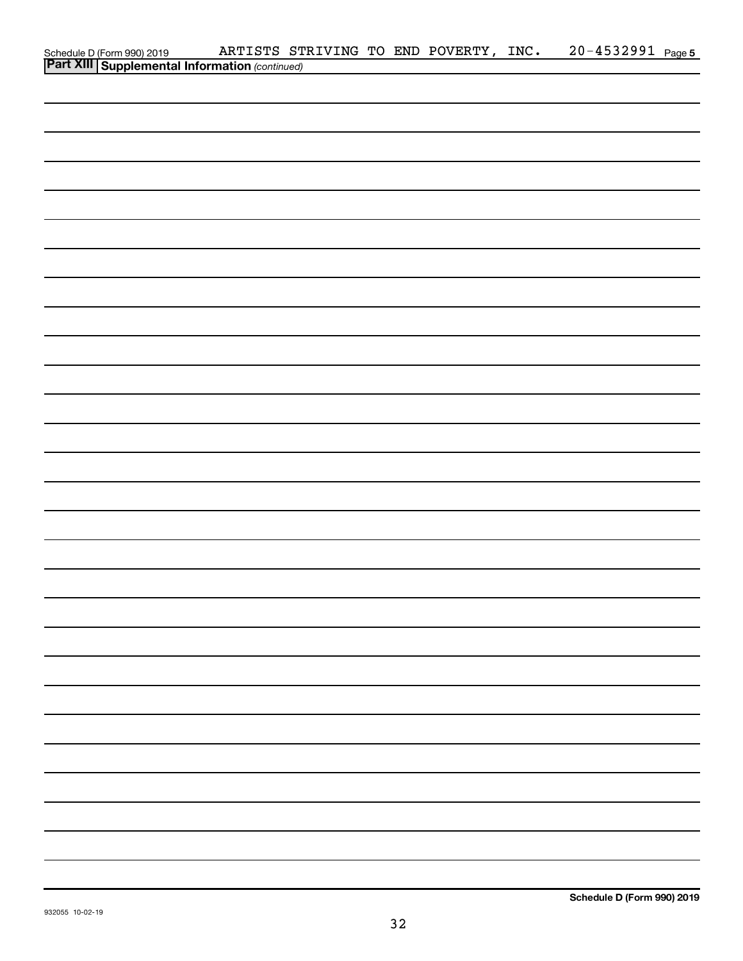|                                                                                                  |  |  | ARTISTS STRIVING TO END POVERTY, INC. | 20-4532991 Page 5 |  |
|--------------------------------------------------------------------------------------------------|--|--|---------------------------------------|-------------------|--|
| Schedule D (Form 990) 2019 ARTISTS ST<br><b>Part XIII   Supplemental Information</b> (continued) |  |  |                                       |                   |  |
|                                                                                                  |  |  |                                       |                   |  |
|                                                                                                  |  |  |                                       |                   |  |
|                                                                                                  |  |  |                                       |                   |  |
|                                                                                                  |  |  |                                       |                   |  |
|                                                                                                  |  |  |                                       |                   |  |
|                                                                                                  |  |  |                                       |                   |  |
|                                                                                                  |  |  |                                       |                   |  |
|                                                                                                  |  |  |                                       |                   |  |
|                                                                                                  |  |  |                                       |                   |  |
|                                                                                                  |  |  |                                       |                   |  |
|                                                                                                  |  |  |                                       |                   |  |
|                                                                                                  |  |  |                                       |                   |  |
|                                                                                                  |  |  |                                       |                   |  |
|                                                                                                  |  |  |                                       |                   |  |
|                                                                                                  |  |  |                                       |                   |  |
|                                                                                                  |  |  |                                       |                   |  |
|                                                                                                  |  |  |                                       |                   |  |
|                                                                                                  |  |  |                                       |                   |  |
|                                                                                                  |  |  |                                       |                   |  |
|                                                                                                  |  |  |                                       |                   |  |
|                                                                                                  |  |  |                                       |                   |  |
|                                                                                                  |  |  |                                       |                   |  |
|                                                                                                  |  |  |                                       |                   |  |
|                                                                                                  |  |  |                                       |                   |  |
|                                                                                                  |  |  |                                       |                   |  |
|                                                                                                  |  |  |                                       |                   |  |
|                                                                                                  |  |  |                                       |                   |  |
|                                                                                                  |  |  |                                       |                   |  |
|                                                                                                  |  |  |                                       |                   |  |
|                                                                                                  |  |  |                                       |                   |  |
|                                                                                                  |  |  |                                       |                   |  |
|                                                                                                  |  |  |                                       |                   |  |
|                                                                                                  |  |  |                                       |                   |  |
|                                                                                                  |  |  |                                       |                   |  |
|                                                                                                  |  |  |                                       |                   |  |
|                                                                                                  |  |  |                                       |                   |  |
|                                                                                                  |  |  |                                       |                   |  |
|                                                                                                  |  |  |                                       |                   |  |
|                                                                                                  |  |  |                                       |                   |  |
|                                                                                                  |  |  |                                       |                   |  |
|                                                                                                  |  |  |                                       |                   |  |
|                                                                                                  |  |  |                                       |                   |  |
|                                                                                                  |  |  |                                       |                   |  |
|                                                                                                  |  |  |                                       |                   |  |
|                                                                                                  |  |  |                                       |                   |  |
|                                                                                                  |  |  |                                       |                   |  |
|                                                                                                  |  |  |                                       |                   |  |
|                                                                                                  |  |  |                                       |                   |  |
|                                                                                                  |  |  |                                       |                   |  |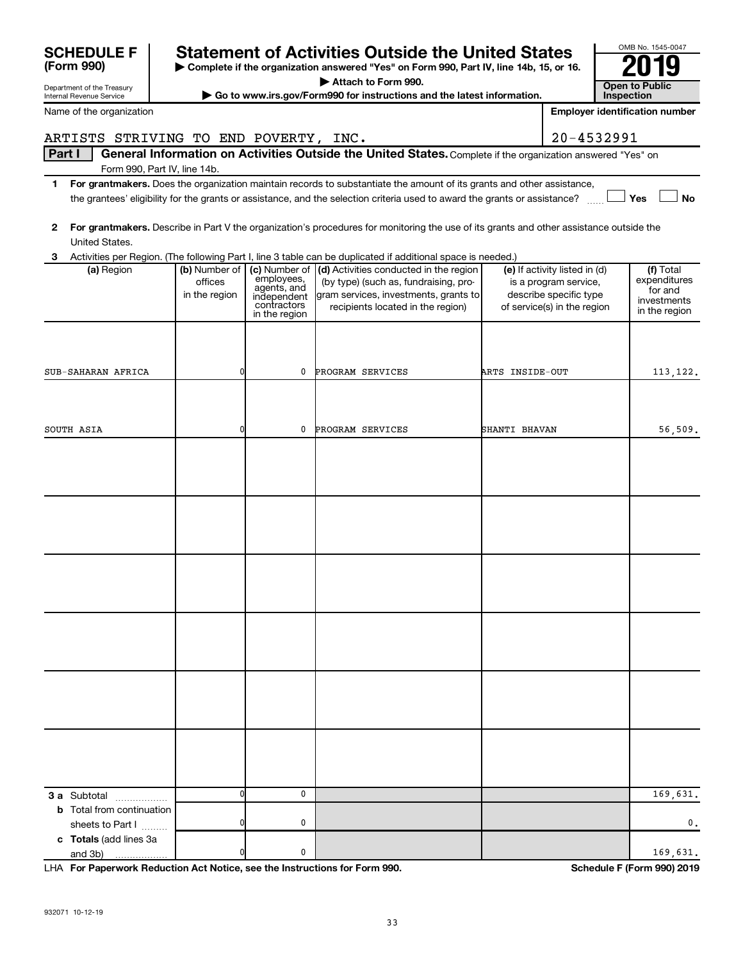|                                                        |                                           |                                                                                           | Attach to Form 990.                                                                                                                                           |                 |                                                                                                                 |  |                                                                      |
|--------------------------------------------------------|-------------------------------------------|-------------------------------------------------------------------------------------------|---------------------------------------------------------------------------------------------------------------------------------------------------------------|-----------------|-----------------------------------------------------------------------------------------------------------------|--|----------------------------------------------------------------------|
| Department of the Treasury<br>Internal Revenue Service | <b>Open to Public</b><br>Inspection       |                                                                                           |                                                                                                                                                               |                 |                                                                                                                 |  |                                                                      |
| Name of the organization                               |                                           |                                                                                           | ► Go to www.irs.gov/Form990 for instructions and the latest information.                                                                                      |                 |                                                                                                                 |  | <b>Employer identification number</b>                                |
| ARTISTS STRIVING TO END POVERTY, INC.                  |                                           |                                                                                           |                                                                                                                                                               |                 | 20-4532991                                                                                                      |  |                                                                      |
| Part I                                                 |                                           |                                                                                           | General Information on Activities Outside the United States. Complete if the organization answered "Yes" on                                                   |                 |                                                                                                                 |  |                                                                      |
|                                                        | Form 990, Part IV, line 14b.              |                                                                                           |                                                                                                                                                               |                 |                                                                                                                 |  |                                                                      |
| 1.                                                     |                                           |                                                                                           | For grantmakers. Does the organization maintain records to substantiate the amount of its grants and other assistance,                                        |                 |                                                                                                                 |  |                                                                      |
|                                                        |                                           |                                                                                           | the grantees' eligibility for the grants or assistance, and the selection criteria used to award the grants or assistance?                                    |                 |                                                                                                                 |  | Yes<br><b>No</b>                                                     |
| $\mathbf{2}$<br>United States.                         |                                           |                                                                                           | For grantmakers. Describe in Part V the organization's procedures for monitoring the use of its grants and other assistance outside the                       |                 |                                                                                                                 |  |                                                                      |
| 3                                                      |                                           |                                                                                           | Activities per Region. (The following Part I, line 3 table can be duplicated if additional space is needed.)                                                  |                 |                                                                                                                 |  |                                                                      |
| (a) Region                                             | (b) Number of<br>offices<br>in the region | (c) Number of<br>employees,<br>agents, and<br>independent<br>contractors<br>in the region | (d) Activities conducted in the region<br>(by type) (such as, fundraising, pro-<br>gram services, investments, grants to<br>recipients located in the region) |                 | (e) If activity listed in (d)<br>is a program service,<br>describe specific type<br>of service(s) in the region |  | (f) Total<br>expenditures<br>for and<br>investments<br>in the region |
|                                                        |                                           |                                                                                           |                                                                                                                                                               |                 |                                                                                                                 |  |                                                                      |
| SUB-SAHARAN AFRICA                                     | 0                                         | 0                                                                                         | PROGRAM SERVICES                                                                                                                                              | ARTS INSIDE-OUT |                                                                                                                 |  | 113, 122.                                                            |
|                                                        |                                           |                                                                                           |                                                                                                                                                               |                 |                                                                                                                 |  |                                                                      |
| SOUTH ASIA                                             | 0                                         | 0                                                                                         | PROGRAM SERVICES                                                                                                                                              | SHANTI BHAVAN   |                                                                                                                 |  | 56,509.                                                              |
|                                                        |                                           |                                                                                           |                                                                                                                                                               |                 |                                                                                                                 |  |                                                                      |
|                                                        |                                           |                                                                                           |                                                                                                                                                               |                 |                                                                                                                 |  |                                                                      |
|                                                        |                                           |                                                                                           |                                                                                                                                                               |                 |                                                                                                                 |  |                                                                      |
|                                                        |                                           |                                                                                           |                                                                                                                                                               |                 |                                                                                                                 |  |                                                                      |
|                                                        |                                           |                                                                                           |                                                                                                                                                               |                 |                                                                                                                 |  |                                                                      |
|                                                        |                                           |                                                                                           |                                                                                                                                                               |                 |                                                                                                                 |  |                                                                      |
|                                                        |                                           |                                                                                           |                                                                                                                                                               |                 |                                                                                                                 |  |                                                                      |
|                                                        |                                           |                                                                                           |                                                                                                                                                               |                 |                                                                                                                 |  |                                                                      |
|                                                        |                                           |                                                                                           |                                                                                                                                                               |                 |                                                                                                                 |  |                                                                      |
|                                                        |                                           |                                                                                           |                                                                                                                                                               |                 |                                                                                                                 |  |                                                                      |
|                                                        |                                           |                                                                                           |                                                                                                                                                               |                 |                                                                                                                 |  |                                                                      |
|                                                        |                                           |                                                                                           |                                                                                                                                                               |                 |                                                                                                                 |  |                                                                      |
|                                                        |                                           |                                                                                           |                                                                                                                                                               |                 |                                                                                                                 |  |                                                                      |
|                                                        |                                           |                                                                                           |                                                                                                                                                               |                 |                                                                                                                 |  |                                                                      |
|                                                        |                                           |                                                                                           |                                                                                                                                                               |                 |                                                                                                                 |  |                                                                      |
|                                                        |                                           |                                                                                           |                                                                                                                                                               |                 |                                                                                                                 |  |                                                                      |
| <b>3 a</b> Subtotal<br>.                               | 0                                         | 0                                                                                         |                                                                                                                                                               |                 |                                                                                                                 |  | 169,631.                                                             |
| <b>b</b> Total from continuation<br>sheets to Part I   | 0                                         | 0                                                                                         |                                                                                                                                                               |                 |                                                                                                                 |  | 0.                                                                   |
| c Totals (add lines 3a<br>and 3b)                      | $\Omega$                                  | 0                                                                                         |                                                                                                                                                               |                 |                                                                                                                 |  | 169,631.                                                             |
|                                                        |                                           |                                                                                           |                                                                                                                                                               |                 |                                                                                                                 |  |                                                                      |

SCHEDULE F Statement of Activities Outside the United States  $\frac{6008 \text{ No. }1545\cdot004}{2019}$ 

**For Paperwork Reduction Act Notice, see the Instructions for Form 990. Schedule F (Form 990) 2019** LHA

OMB No. 1545-0047

**(Form 990)**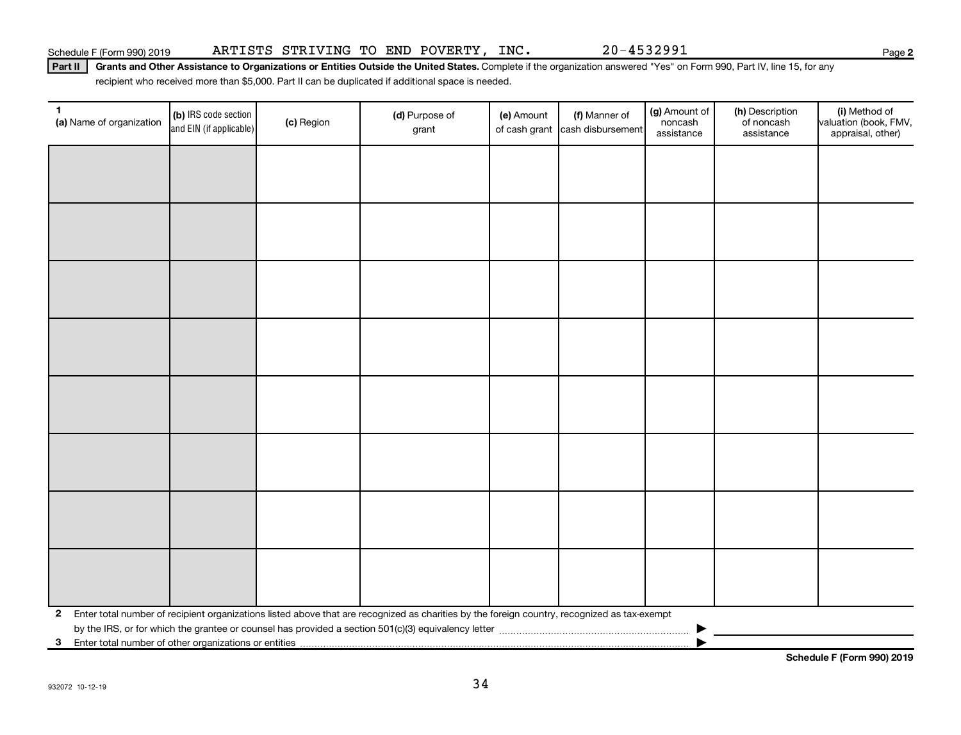Part II | Grants and Other Assistance to Organizations or Entities Outside the United States. Complete if the organization answered "Yes" on Form 990, Part IV, line 15, for any recipient who received more than \$5,000. Part II can be duplicated if additional space is needed.

| 1<br>(a) Name of organization | (b) IRS code section<br>and EIN (if applicable)                                                                                              | (c) Region | (d) Purpose of<br>grant | (e) Amount | (f) Manner of<br>of cash grant cash disbursement | (g) Amount of<br>noncash<br>assistance | (h) Description<br>of noncash<br>assistance | (i) Method of<br>valuation (book, FMV,<br>appraisal, other) |  |
|-------------------------------|----------------------------------------------------------------------------------------------------------------------------------------------|------------|-------------------------|------------|--------------------------------------------------|----------------------------------------|---------------------------------------------|-------------------------------------------------------------|--|
|                               |                                                                                                                                              |            |                         |            |                                                  |                                        |                                             |                                                             |  |
|                               |                                                                                                                                              |            |                         |            |                                                  |                                        |                                             |                                                             |  |
|                               |                                                                                                                                              |            |                         |            |                                                  |                                        |                                             |                                                             |  |
|                               |                                                                                                                                              |            |                         |            |                                                  |                                        |                                             |                                                             |  |
|                               |                                                                                                                                              |            |                         |            |                                                  |                                        |                                             |                                                             |  |
|                               |                                                                                                                                              |            |                         |            |                                                  |                                        |                                             |                                                             |  |
|                               |                                                                                                                                              |            |                         |            |                                                  |                                        |                                             |                                                             |  |
|                               |                                                                                                                                              |            |                         |            |                                                  |                                        |                                             |                                                             |  |
|                               |                                                                                                                                              |            |                         |            |                                                  |                                        |                                             |                                                             |  |
|                               |                                                                                                                                              |            |                         |            |                                                  |                                        |                                             |                                                             |  |
|                               |                                                                                                                                              |            |                         |            |                                                  |                                        |                                             |                                                             |  |
|                               |                                                                                                                                              |            |                         |            |                                                  |                                        |                                             |                                                             |  |
|                               |                                                                                                                                              |            |                         |            |                                                  |                                        |                                             |                                                             |  |
|                               |                                                                                                                                              |            |                         |            |                                                  |                                        |                                             |                                                             |  |
|                               |                                                                                                                                              |            |                         |            |                                                  |                                        |                                             |                                                             |  |
|                               |                                                                                                                                              |            |                         |            |                                                  |                                        |                                             |                                                             |  |
| $\mathbf{2}$                  | Enter total number of recipient organizations listed above that are recognized as charities by the foreign country, recognized as tax-exempt |            |                         |            |                                                  |                                        |                                             |                                                             |  |
| 3                             | Enter total number of other organizations or entities                                                                                        |            |                         |            |                                                  |                                        |                                             |                                                             |  |

**Schedule F (Form 990) 2019**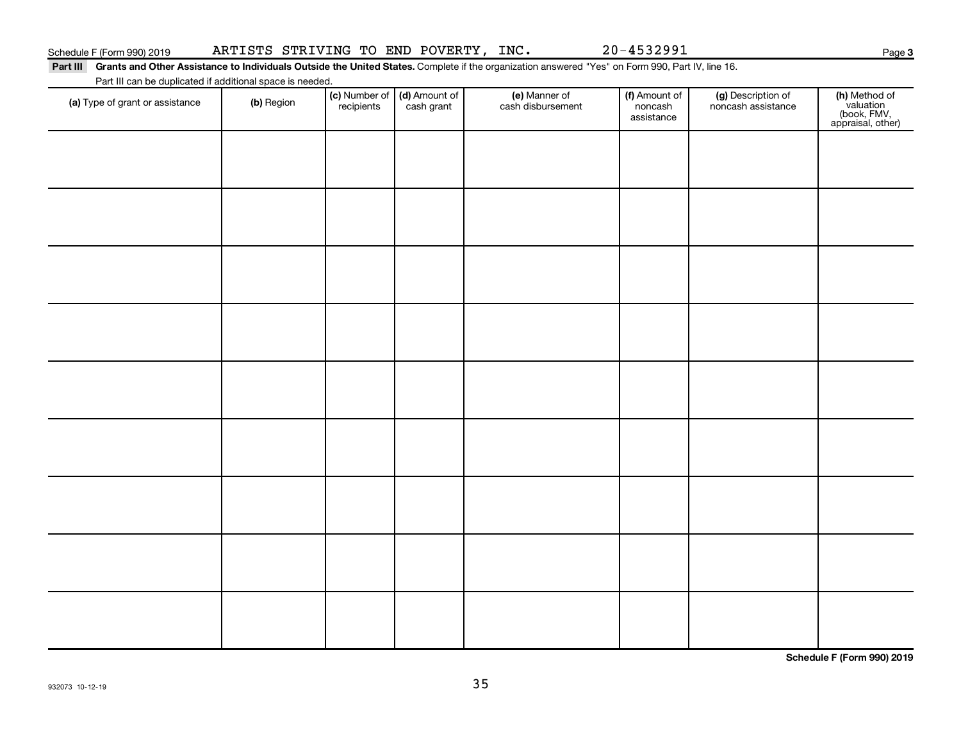## Schedule F (Form 990) 2019 Page ARTISTS STRIVING TO END POVERTY, INC. 20-4532991

**3**

Part III Grants and Other Assistance to Individuals Outside the United States. Complete if the organization answered "Yes" on Form 990, Part IV, line 16. Part III can be duplicated if additional space is needed.

| (a) Type of grant or assistance | (b) Region | (c) Number of (d) Amount of<br>recipients cash grant | (e) Manner of<br>cash disbursement | (f) Amount of<br>noncash<br>assistance | (g) Description of<br>noncash assistance | (h) Method of<br>valuation<br>(book, FMV,<br>appraisal, other) |
|---------------------------------|------------|------------------------------------------------------|------------------------------------|----------------------------------------|------------------------------------------|----------------------------------------------------------------|
|                                 |            |                                                      |                                    |                                        |                                          |                                                                |
|                                 |            |                                                      |                                    |                                        |                                          |                                                                |
|                                 |            |                                                      |                                    |                                        |                                          |                                                                |
|                                 |            |                                                      |                                    |                                        |                                          |                                                                |
|                                 |            |                                                      |                                    |                                        |                                          |                                                                |
|                                 |            |                                                      |                                    |                                        |                                          |                                                                |
|                                 |            |                                                      |                                    |                                        |                                          |                                                                |
|                                 |            |                                                      |                                    |                                        |                                          |                                                                |
|                                 |            |                                                      |                                    |                                        |                                          |                                                                |
|                                 |            |                                                      |                                    |                                        |                                          |                                                                |

**Schedule F (Form 990) 2019**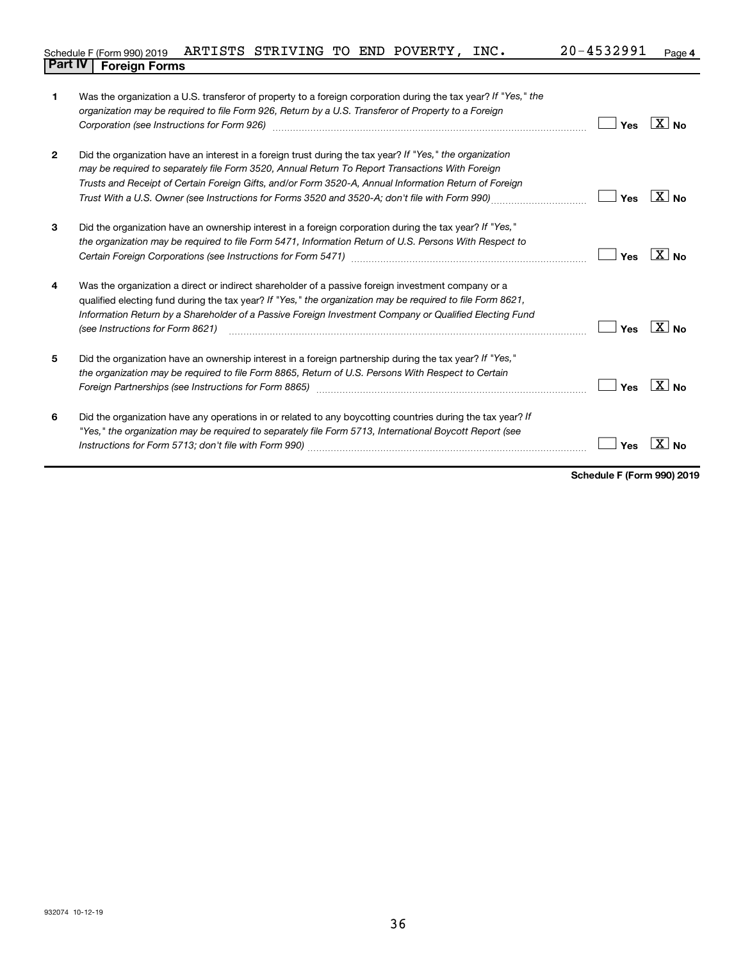| Schedule F (Form 990) 2019 ARTISTS STRIVING TO END POVERTY, INC. |  |  |  | $20 - 4532991$ Page 4 |  |
|------------------------------------------------------------------|--|--|--|-----------------------|--|
| <b>Part IV   Foreign Forms</b>                                   |  |  |  |                       |  |

| 1            | Was the organization a U.S. transferor of property to a foreign corporation during the tax year? If "Yes," the<br>organization may be required to file Form 926, Return by a U.S. Transferor of Property to a Foreign                                                                                                                                                                                                                          | Yes | $\overline{X}$ No  |
|--------------|------------------------------------------------------------------------------------------------------------------------------------------------------------------------------------------------------------------------------------------------------------------------------------------------------------------------------------------------------------------------------------------------------------------------------------------------|-----|--------------------|
| $\mathbf{2}$ | Did the organization have an interest in a foreign trust during the tax year? If "Yes," the organization<br>may be required to separately file Form 3520, Annual Return To Report Transactions With Foreign<br>Trusts and Receipt of Certain Foreign Gifts, and/or Form 3520-A, Annual Information Return of Foreign<br>Trust With a U.S. Owner (see Instructions for Forms 3520 and 3520-A, don't file with Form 990) <i>managery compart</i> | Yes | $X _{\mathsf{No}}$ |
| 3            | Did the organization have an ownership interest in a foreign corporation during the tax year? If "Yes,"<br>the organization may be required to file Form 5471, Information Return of U.S. Persons With Respect to                                                                                                                                                                                                                              | Yes | $X _{\text{No}}$   |
| 4            | Was the organization a direct or indirect shareholder of a passive foreign investment company or a<br>qualified electing fund during the tax year? If "Yes," the organization may be required to file Form 8621,<br>Information Return by a Shareholder of a Passive Foreign Investment Company or Qualified Electing Fund<br>(see Instructions for Form 8621)                                                                                 | Yes | $\overline{X}$ No  |
| 5            | Did the organization have an ownership interest in a foreign partnership during the tax year? If "Yes,"<br>the organization may be required to file Form 8865, Return of U.S. Persons With Respect to Certain<br>Foreign Partnerships (see Instructions for Form 8865)                                                                                                                                                                         | Yes | $X_{\text{No}}$    |
| 6            | Did the organization have any operations in or related to any boycotting countries during the tax year? If<br>"Yes," the organization may be required to separately file Form 5713, International Boycott Report (see                                                                                                                                                                                                                          | Yes | <b>No</b>          |

**Schedule F (Form 990) 2019**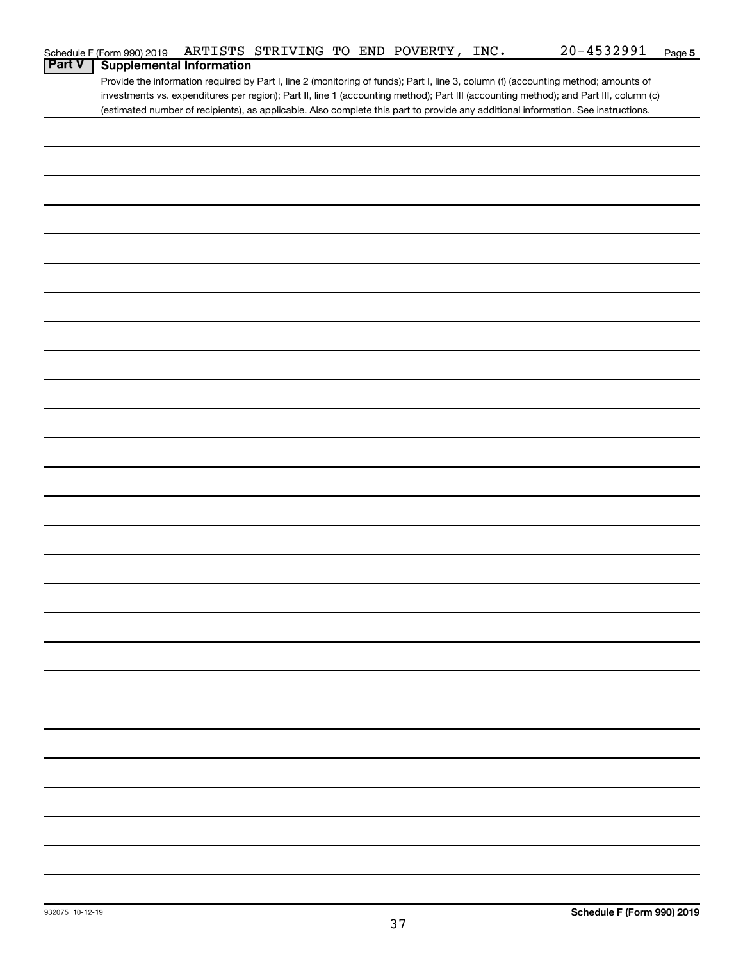|        | Schedule F (Form 990) 2019      |  | ARTISTS STRIVING TO END POVERTY, | INC. | $20 - 4532991$                                                                                                                        | Page 5 |
|--------|---------------------------------|--|----------------------------------|------|---------------------------------------------------------------------------------------------------------------------------------------|--------|
| Part V | <b>Supplemental Information</b> |  |                                  |      |                                                                                                                                       |        |
|        |                                 |  |                                  |      | Provide the information required by Part I, line 2 (monitoring of funds); Part I, line 3, column (f) (accounting method; amounts of   |        |
|        |                                 |  |                                  |      | investments vs. expenditures per region); Part II, line 1 (accounting method); Part III (accounting method); and Part III, column (c) |        |
|        |                                 |  |                                  |      | (estimated number of recipients), as applicable. Also complete this part to provide any additional information. See instructions.     |        |
|        |                                 |  |                                  |      |                                                                                                                                       |        |
|        |                                 |  |                                  |      |                                                                                                                                       |        |
|        |                                 |  |                                  |      |                                                                                                                                       |        |
|        |                                 |  |                                  |      |                                                                                                                                       |        |
|        |                                 |  |                                  |      |                                                                                                                                       |        |
|        |                                 |  |                                  |      |                                                                                                                                       |        |
|        |                                 |  |                                  |      |                                                                                                                                       |        |
|        |                                 |  |                                  |      |                                                                                                                                       |        |
|        |                                 |  |                                  |      |                                                                                                                                       |        |
|        |                                 |  |                                  |      |                                                                                                                                       |        |
|        |                                 |  |                                  |      |                                                                                                                                       |        |
|        |                                 |  |                                  |      |                                                                                                                                       |        |
|        |                                 |  |                                  |      |                                                                                                                                       |        |
|        |                                 |  |                                  |      |                                                                                                                                       |        |
|        |                                 |  |                                  |      |                                                                                                                                       |        |
|        |                                 |  |                                  |      |                                                                                                                                       |        |
|        |                                 |  |                                  |      |                                                                                                                                       |        |
|        |                                 |  |                                  |      |                                                                                                                                       |        |
|        |                                 |  |                                  |      |                                                                                                                                       |        |
|        |                                 |  |                                  |      |                                                                                                                                       |        |
|        |                                 |  |                                  |      |                                                                                                                                       |        |
|        |                                 |  |                                  |      |                                                                                                                                       |        |
|        |                                 |  |                                  |      |                                                                                                                                       |        |
|        |                                 |  |                                  |      |                                                                                                                                       |        |
|        |                                 |  |                                  |      |                                                                                                                                       |        |
|        |                                 |  |                                  |      |                                                                                                                                       |        |
|        |                                 |  |                                  |      |                                                                                                                                       |        |
|        |                                 |  |                                  |      |                                                                                                                                       |        |
|        |                                 |  |                                  |      |                                                                                                                                       |        |
|        |                                 |  |                                  |      |                                                                                                                                       |        |
|        |                                 |  |                                  |      |                                                                                                                                       |        |
|        |                                 |  |                                  |      |                                                                                                                                       |        |
|        |                                 |  |                                  |      |                                                                                                                                       |        |
|        |                                 |  |                                  |      |                                                                                                                                       |        |
|        |                                 |  |                                  |      |                                                                                                                                       |        |
|        |                                 |  |                                  |      |                                                                                                                                       |        |
|        |                                 |  |                                  |      |                                                                                                                                       |        |
|        |                                 |  |                                  |      |                                                                                                                                       |        |
|        |                                 |  |                                  |      |                                                                                                                                       |        |
|        |                                 |  |                                  |      |                                                                                                                                       |        |
|        |                                 |  |                                  |      |                                                                                                                                       |        |
|        |                                 |  |                                  |      |                                                                                                                                       |        |
|        |                                 |  |                                  |      |                                                                                                                                       |        |
|        |                                 |  |                                  |      |                                                                                                                                       |        |
|        |                                 |  |                                  |      |                                                                                                                                       |        |
|        |                                 |  |                                  |      |                                                                                                                                       |        |
|        |                                 |  |                                  |      |                                                                                                                                       |        |
|        |                                 |  |                                  |      |                                                                                                                                       |        |
|        |                                 |  |                                  |      |                                                                                                                                       |        |
|        |                                 |  |                                  |      |                                                                                                                                       |        |
|        |                                 |  |                                  |      |                                                                                                                                       |        |
|        |                                 |  |                                  |      |                                                                                                                                       |        |
|        |                                 |  |                                  |      |                                                                                                                                       |        |
|        |                                 |  |                                  |      |                                                                                                                                       |        |
|        |                                 |  |                                  |      |                                                                                                                                       |        |
|        |                                 |  |                                  |      |                                                                                                                                       |        |
|        |                                 |  |                                  |      |                                                                                                                                       |        |
|        |                                 |  |                                  |      |                                                                                                                                       |        |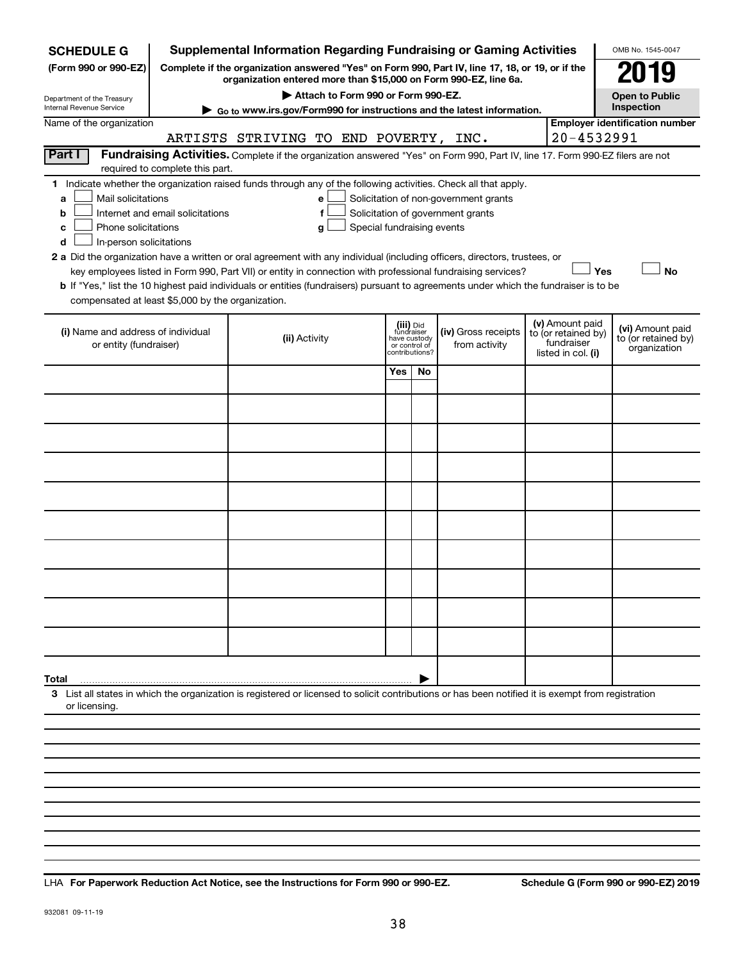| (Form 990 or 990-EZ)<br>Complete if the organization answered "Yes" on Form 990, Part IV, line 17, 18, or 19, or if the<br>organization entered more than \$15,000 on Form 990-EZ, line 6a.<br>Attach to Form 990 or Form 990-EZ.<br><b>Open to Public</b><br>Department of the Treasury<br>Inspection<br>Internal Revenue Service<br>Go to www.irs.gov/Form990 for instructions and the latest information.<br><b>Employer identification number</b><br>Name of the organization<br>20-4532991<br>ARTISTS STRIVING TO END POVERTY, INC.<br>Part I<br>Fundraising Activities. Complete if the organization answered "Yes" on Form 990, Part IV, line 17. Form 990-EZ filers are not<br>required to complete this part.<br>1 Indicate whether the organization raised funds through any of the following activities. Check all that apply.<br>Mail solicitations<br>Solicitation of non-government grants<br>a<br>е<br>Internet and email solicitations<br>Solicitation of government grants<br>b<br>f<br>Phone solicitations<br>Special fundraising events<br>с<br>g<br>In-person solicitations<br>d<br>2 a Did the organization have a written or oral agreement with any individual (including officers, directors, trustees, or<br><b>No</b><br>key employees listed in Form 990, Part VII) or entity in connection with professional fundraising services?<br>Yes<br>b If "Yes," list the 10 highest paid individuals or entities (fundraisers) pursuant to agreements under which the fundraiser is to be<br>compensated at least \$5,000 by the organization.<br>(v) Amount paid<br>(iii) Did<br>fundraiser<br>(vi) Amount paid<br>(i) Name and address of individual<br>(iv) Gross receipts<br>to (or retained by)<br>to (or retained by)<br>(ii) Activity<br>have custody<br>fundraiser<br>from activity<br>or entity (fundraiser)<br>or control of<br>organization<br>contributions?<br>listed in col. (i)<br>Yes<br>No<br>Total<br>3 List all states in which the organization is registered or licensed to solicit contributions or has been notified it is exempt from registration<br>or licensing. | <b>SCHEDULE G</b> |  |  |  |  |  |  | <b>Supplemental Information Regarding Fundraising or Gaming Activities</b> |  |  | OMB No. 1545-0047 |  |
|------------------------------------------------------------------------------------------------------------------------------------------------------------------------------------------------------------------------------------------------------------------------------------------------------------------------------------------------------------------------------------------------------------------------------------------------------------------------------------------------------------------------------------------------------------------------------------------------------------------------------------------------------------------------------------------------------------------------------------------------------------------------------------------------------------------------------------------------------------------------------------------------------------------------------------------------------------------------------------------------------------------------------------------------------------------------------------------------------------------------------------------------------------------------------------------------------------------------------------------------------------------------------------------------------------------------------------------------------------------------------------------------------------------------------------------------------------------------------------------------------------------------------------------------------------------------------------------------------------------------------------------------------------------------------------------------------------------------------------------------------------------------------------------------------------------------------------------------------------------------------------------------------------------------------------------------------------------------------------------------------------------------------------------------------------------------------------------------------------------|-------------------|--|--|--|--|--|--|----------------------------------------------------------------------------|--|--|-------------------|--|
|                                                                                                                                                                                                                                                                                                                                                                                                                                                                                                                                                                                                                                                                                                                                                                                                                                                                                                                                                                                                                                                                                                                                                                                                                                                                                                                                                                                                                                                                                                                                                                                                                                                                                                                                                                                                                                                                                                                                                                                                                                                                                                                  |                   |  |  |  |  |  |  |                                                                            |  |  |                   |  |
|                                                                                                                                                                                                                                                                                                                                                                                                                                                                                                                                                                                                                                                                                                                                                                                                                                                                                                                                                                                                                                                                                                                                                                                                                                                                                                                                                                                                                                                                                                                                                                                                                                                                                                                                                                                                                                                                                                                                                                                                                                                                                                                  |                   |  |  |  |  |  |  |                                                                            |  |  |                   |  |
|                                                                                                                                                                                                                                                                                                                                                                                                                                                                                                                                                                                                                                                                                                                                                                                                                                                                                                                                                                                                                                                                                                                                                                                                                                                                                                                                                                                                                                                                                                                                                                                                                                                                                                                                                                                                                                                                                                                                                                                                                                                                                                                  |                   |  |  |  |  |  |  |                                                                            |  |  |                   |  |
|                                                                                                                                                                                                                                                                                                                                                                                                                                                                                                                                                                                                                                                                                                                                                                                                                                                                                                                                                                                                                                                                                                                                                                                                                                                                                                                                                                                                                                                                                                                                                                                                                                                                                                                                                                                                                                                                                                                                                                                                                                                                                                                  |                   |  |  |  |  |  |  |                                                                            |  |  |                   |  |
|                                                                                                                                                                                                                                                                                                                                                                                                                                                                                                                                                                                                                                                                                                                                                                                                                                                                                                                                                                                                                                                                                                                                                                                                                                                                                                                                                                                                                                                                                                                                                                                                                                                                                                                                                                                                                                                                                                                                                                                                                                                                                                                  |                   |  |  |  |  |  |  |                                                                            |  |  |                   |  |
|                                                                                                                                                                                                                                                                                                                                                                                                                                                                                                                                                                                                                                                                                                                                                                                                                                                                                                                                                                                                                                                                                                                                                                                                                                                                                                                                                                                                                                                                                                                                                                                                                                                                                                                                                                                                                                                                                                                                                                                                                                                                                                                  |                   |  |  |  |  |  |  |                                                                            |  |  |                   |  |
|                                                                                                                                                                                                                                                                                                                                                                                                                                                                                                                                                                                                                                                                                                                                                                                                                                                                                                                                                                                                                                                                                                                                                                                                                                                                                                                                                                                                                                                                                                                                                                                                                                                                                                                                                                                                                                                                                                                                                                                                                                                                                                                  |                   |  |  |  |  |  |  |                                                                            |  |  |                   |  |
|                                                                                                                                                                                                                                                                                                                                                                                                                                                                                                                                                                                                                                                                                                                                                                                                                                                                                                                                                                                                                                                                                                                                                                                                                                                                                                                                                                                                                                                                                                                                                                                                                                                                                                                                                                                                                                                                                                                                                                                                                                                                                                                  |                   |  |  |  |  |  |  |                                                                            |  |  |                   |  |
|                                                                                                                                                                                                                                                                                                                                                                                                                                                                                                                                                                                                                                                                                                                                                                                                                                                                                                                                                                                                                                                                                                                                                                                                                                                                                                                                                                                                                                                                                                                                                                                                                                                                                                                                                                                                                                                                                                                                                                                                                                                                                                                  |                   |  |  |  |  |  |  |                                                                            |  |  |                   |  |
|                                                                                                                                                                                                                                                                                                                                                                                                                                                                                                                                                                                                                                                                                                                                                                                                                                                                                                                                                                                                                                                                                                                                                                                                                                                                                                                                                                                                                                                                                                                                                                                                                                                                                                                                                                                                                                                                                                                                                                                                                                                                                                                  |                   |  |  |  |  |  |  |                                                                            |  |  |                   |  |
|                                                                                                                                                                                                                                                                                                                                                                                                                                                                                                                                                                                                                                                                                                                                                                                                                                                                                                                                                                                                                                                                                                                                                                                                                                                                                                                                                                                                                                                                                                                                                                                                                                                                                                                                                                                                                                                                                                                                                                                                                                                                                                                  |                   |  |  |  |  |  |  |                                                                            |  |  |                   |  |
|                                                                                                                                                                                                                                                                                                                                                                                                                                                                                                                                                                                                                                                                                                                                                                                                                                                                                                                                                                                                                                                                                                                                                                                                                                                                                                                                                                                                                                                                                                                                                                                                                                                                                                                                                                                                                                                                                                                                                                                                                                                                                                                  |                   |  |  |  |  |  |  |                                                                            |  |  |                   |  |
|                                                                                                                                                                                                                                                                                                                                                                                                                                                                                                                                                                                                                                                                                                                                                                                                                                                                                                                                                                                                                                                                                                                                                                                                                                                                                                                                                                                                                                                                                                                                                                                                                                                                                                                                                                                                                                                                                                                                                                                                                                                                                                                  |                   |  |  |  |  |  |  |                                                                            |  |  |                   |  |
|                                                                                                                                                                                                                                                                                                                                                                                                                                                                                                                                                                                                                                                                                                                                                                                                                                                                                                                                                                                                                                                                                                                                                                                                                                                                                                                                                                                                                                                                                                                                                                                                                                                                                                                                                                                                                                                                                                                                                                                                                                                                                                                  |                   |  |  |  |  |  |  |                                                                            |  |  |                   |  |
|                                                                                                                                                                                                                                                                                                                                                                                                                                                                                                                                                                                                                                                                                                                                                                                                                                                                                                                                                                                                                                                                                                                                                                                                                                                                                                                                                                                                                                                                                                                                                                                                                                                                                                                                                                                                                                                                                                                                                                                                                                                                                                                  |                   |  |  |  |  |  |  |                                                                            |  |  |                   |  |
|                                                                                                                                                                                                                                                                                                                                                                                                                                                                                                                                                                                                                                                                                                                                                                                                                                                                                                                                                                                                                                                                                                                                                                                                                                                                                                                                                                                                                                                                                                                                                                                                                                                                                                                                                                                                                                                                                                                                                                                                                                                                                                                  |                   |  |  |  |  |  |  |                                                                            |  |  |                   |  |
|                                                                                                                                                                                                                                                                                                                                                                                                                                                                                                                                                                                                                                                                                                                                                                                                                                                                                                                                                                                                                                                                                                                                                                                                                                                                                                                                                                                                                                                                                                                                                                                                                                                                                                                                                                                                                                                                                                                                                                                                                                                                                                                  |                   |  |  |  |  |  |  |                                                                            |  |  |                   |  |
|                                                                                                                                                                                                                                                                                                                                                                                                                                                                                                                                                                                                                                                                                                                                                                                                                                                                                                                                                                                                                                                                                                                                                                                                                                                                                                                                                                                                                                                                                                                                                                                                                                                                                                                                                                                                                                                                                                                                                                                                                                                                                                                  |                   |  |  |  |  |  |  |                                                                            |  |  |                   |  |
|                                                                                                                                                                                                                                                                                                                                                                                                                                                                                                                                                                                                                                                                                                                                                                                                                                                                                                                                                                                                                                                                                                                                                                                                                                                                                                                                                                                                                                                                                                                                                                                                                                                                                                                                                                                                                                                                                                                                                                                                                                                                                                                  |                   |  |  |  |  |  |  |                                                                            |  |  |                   |  |
|                                                                                                                                                                                                                                                                                                                                                                                                                                                                                                                                                                                                                                                                                                                                                                                                                                                                                                                                                                                                                                                                                                                                                                                                                                                                                                                                                                                                                                                                                                                                                                                                                                                                                                                                                                                                                                                                                                                                                                                                                                                                                                                  |                   |  |  |  |  |  |  |                                                                            |  |  |                   |  |
|                                                                                                                                                                                                                                                                                                                                                                                                                                                                                                                                                                                                                                                                                                                                                                                                                                                                                                                                                                                                                                                                                                                                                                                                                                                                                                                                                                                                                                                                                                                                                                                                                                                                                                                                                                                                                                                                                                                                                                                                                                                                                                                  |                   |  |  |  |  |  |  |                                                                            |  |  |                   |  |
|                                                                                                                                                                                                                                                                                                                                                                                                                                                                                                                                                                                                                                                                                                                                                                                                                                                                                                                                                                                                                                                                                                                                                                                                                                                                                                                                                                                                                                                                                                                                                                                                                                                                                                                                                                                                                                                                                                                                                                                                                                                                                                                  |                   |  |  |  |  |  |  |                                                                            |  |  |                   |  |
|                                                                                                                                                                                                                                                                                                                                                                                                                                                                                                                                                                                                                                                                                                                                                                                                                                                                                                                                                                                                                                                                                                                                                                                                                                                                                                                                                                                                                                                                                                                                                                                                                                                                                                                                                                                                                                                                                                                                                                                                                                                                                                                  |                   |  |  |  |  |  |  |                                                                            |  |  |                   |  |

**For Paperwork Reduction Act Notice, see the Instructions for Form 990 or 990-EZ. Schedule G (Form 990 or 990-EZ) 2019** LHA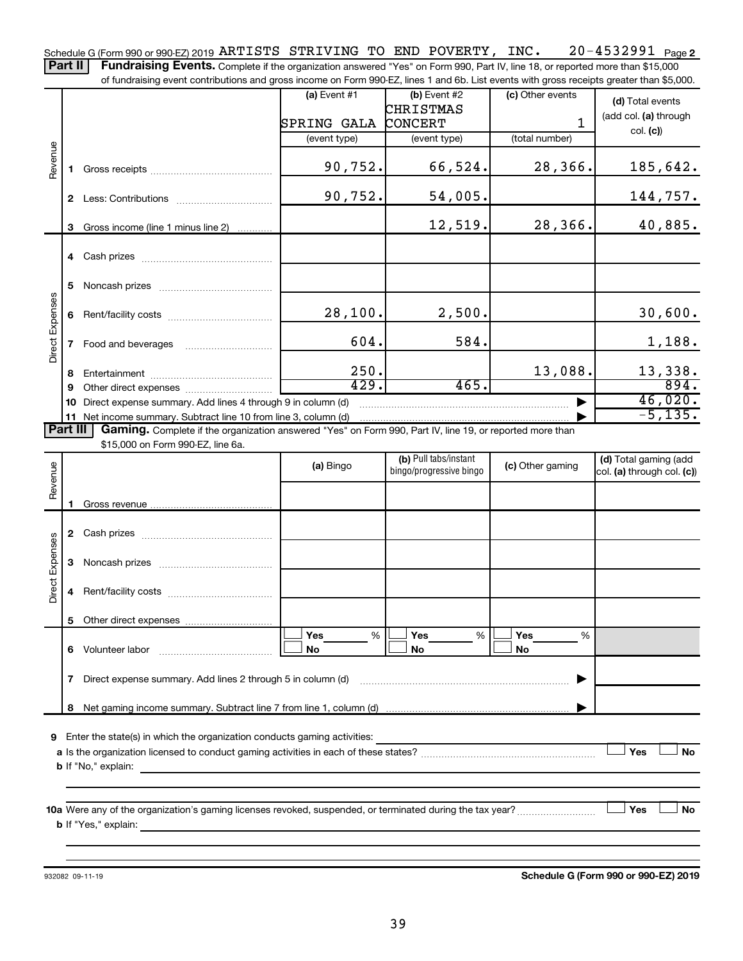20-4532991 Page 2 Schedule G (Form 990 or 990-EZ) 2019  $\mathtt{ARTISTS}$   $\mathtt{STRIVING}$  to  $\mathtt{END}$   $\mathtt{POVERTY}$  ,  $\mathtt{INC.}$   $20$  –  $4532991$   $\mathtt{Page}$ 

Part II | Fundraising Events. Complete if the organization answered "Yes" on Form 990, Part IV, line 18, or reported more than \$15,000 of fundraising event contributions and gross income on Form 990-EZ, lines 1 and 6b. List events with gross receipts greater than \$5,000.

|                        |                                                                                                                                                                                                      |                                                                                                           | $(a)$ Event #1 | $(b)$ Event #2          | (c) Other events | (d) Total events           |  |  |  |  |  |
|------------------------|------------------------------------------------------------------------------------------------------------------------------------------------------------------------------------------------------|-----------------------------------------------------------------------------------------------------------|----------------|-------------------------|------------------|----------------------------|--|--|--|--|--|
|                        |                                                                                                                                                                                                      |                                                                                                           |                | CHRISTMAS               |                  | (add col. (a) through      |  |  |  |  |  |
|                        |                                                                                                                                                                                                      |                                                                                                           | SPRING GALA    | CONCERT                 | 1                | col. (c)                   |  |  |  |  |  |
|                        |                                                                                                                                                                                                      |                                                                                                           | (event type)   | (event type)            | (total number)   |                            |  |  |  |  |  |
| Revenue                |                                                                                                                                                                                                      |                                                                                                           |                |                         |                  |                            |  |  |  |  |  |
|                        |                                                                                                                                                                                                      |                                                                                                           | 90,752.        | 66,524.                 | 28,366.          | 185,642.                   |  |  |  |  |  |
|                        |                                                                                                                                                                                                      |                                                                                                           |                |                         |                  |                            |  |  |  |  |  |
|                        |                                                                                                                                                                                                      |                                                                                                           | 90,752.        | 54,005.                 |                  | 144,757.                   |  |  |  |  |  |
|                        |                                                                                                                                                                                                      | 3 Gross income (line 1 minus line 2)                                                                      |                | 12,519.                 | 28,366.          | 40,885.                    |  |  |  |  |  |
|                        |                                                                                                                                                                                                      |                                                                                                           |                |                         |                  |                            |  |  |  |  |  |
|                        |                                                                                                                                                                                                      |                                                                                                           |                |                         |                  |                            |  |  |  |  |  |
|                        |                                                                                                                                                                                                      |                                                                                                           |                |                         |                  |                            |  |  |  |  |  |
|                        | 5.                                                                                                                                                                                                   |                                                                                                           |                |                         |                  |                            |  |  |  |  |  |
|                        |                                                                                                                                                                                                      |                                                                                                           |                |                         |                  |                            |  |  |  |  |  |
| Direct Expenses        |                                                                                                                                                                                                      |                                                                                                           | 28,100.        | 2,500.                  |                  | 30,600.                    |  |  |  |  |  |
|                        |                                                                                                                                                                                                      |                                                                                                           |                |                         |                  |                            |  |  |  |  |  |
|                        | 7                                                                                                                                                                                                    | Food and beverages                                                                                        | 604.           | 584.                    |                  | 1,188.                     |  |  |  |  |  |
|                        |                                                                                                                                                                                                      |                                                                                                           |                |                         |                  |                            |  |  |  |  |  |
|                        | 8                                                                                                                                                                                                    |                                                                                                           | 250.           |                         | 13,088.          | 13,338.                    |  |  |  |  |  |
|                        | 9                                                                                                                                                                                                    |                                                                                                           | 429.           | 465.                    |                  | 894.                       |  |  |  |  |  |
|                        | 10                                                                                                                                                                                                   | Direct expense summary. Add lines 4 through 9 in column (d)                                               |                |                         |                  | 46,020.                    |  |  |  |  |  |
|                        | $-5,135.$<br>11 Net income summary. Subtract line 10 from line 3, column (d)<br>Part III<br>Gaming. Complete if the organization answered "Yes" on Form 990, Part IV, line 19, or reported more than |                                                                                                           |                |                         |                  |                            |  |  |  |  |  |
|                        |                                                                                                                                                                                                      |                                                                                                           |                |                         |                  |                            |  |  |  |  |  |
|                        |                                                                                                                                                                                                      | \$15,000 on Form 990-EZ, line 6a.                                                                         |                | (b) Pull tabs/instant   |                  | (d) Total gaming (add      |  |  |  |  |  |
|                        |                                                                                                                                                                                                      |                                                                                                           | (a) Bingo      | bingo/progressive bingo | (c) Other gaming | col. (a) through col. (c)) |  |  |  |  |  |
| Revenue                |                                                                                                                                                                                                      |                                                                                                           |                |                         |                  |                            |  |  |  |  |  |
|                        |                                                                                                                                                                                                      |                                                                                                           |                |                         |                  |                            |  |  |  |  |  |
|                        |                                                                                                                                                                                                      |                                                                                                           |                |                         |                  |                            |  |  |  |  |  |
|                        |                                                                                                                                                                                                      |                                                                                                           |                |                         |                  |                            |  |  |  |  |  |
|                        |                                                                                                                                                                                                      |                                                                                                           |                |                         |                  |                            |  |  |  |  |  |
|                        | 3                                                                                                                                                                                                    |                                                                                                           |                |                         |                  |                            |  |  |  |  |  |
| <b>Direct Expenses</b> |                                                                                                                                                                                                      |                                                                                                           |                |                         |                  |                            |  |  |  |  |  |
|                        | 4                                                                                                                                                                                                    |                                                                                                           |                |                         |                  |                            |  |  |  |  |  |
|                        |                                                                                                                                                                                                      |                                                                                                           |                |                         |                  |                            |  |  |  |  |  |
|                        |                                                                                                                                                                                                      |                                                                                                           |                |                         |                  |                            |  |  |  |  |  |
|                        |                                                                                                                                                                                                      |                                                                                                           | Yes<br>%       | Yes<br>%                | <b>Yes</b><br>%  |                            |  |  |  |  |  |
|                        | 6.                                                                                                                                                                                                   | Volunteer labor                                                                                           | No             | No                      | No               |                            |  |  |  |  |  |
|                        |                                                                                                                                                                                                      |                                                                                                           |                |                         |                  |                            |  |  |  |  |  |
|                        | 7                                                                                                                                                                                                    | Direct expense summary. Add lines 2 through 5 in column (d)                                               |                |                         |                  |                            |  |  |  |  |  |
|                        |                                                                                                                                                                                                      |                                                                                                           |                |                         |                  |                            |  |  |  |  |  |
|                        | 8                                                                                                                                                                                                    |                                                                                                           |                |                         |                  |                            |  |  |  |  |  |
| 9                      |                                                                                                                                                                                                      | Enter the state(s) in which the organization conducts gaming activities:                                  |                |                         |                  |                            |  |  |  |  |  |
|                        |                                                                                                                                                                                                      |                                                                                                           |                |                         |                  | Yes<br>No                  |  |  |  |  |  |
|                        |                                                                                                                                                                                                      | <b>b</b> If "No," explain:                                                                                |                |                         |                  |                            |  |  |  |  |  |
|                        |                                                                                                                                                                                                      |                                                                                                           |                |                         |                  |                            |  |  |  |  |  |
|                        |                                                                                                                                                                                                      |                                                                                                           |                |                         |                  |                            |  |  |  |  |  |
|                        |                                                                                                                                                                                                      | 10a Were any of the organization's gaming licenses revoked, suspended, or terminated during the tax year? |                |                         |                  | Yes<br>No                  |  |  |  |  |  |
|                        |                                                                                                                                                                                                      | <b>b</b> If "Yes," explain:                                                                               |                |                         |                  |                            |  |  |  |  |  |
|                        |                                                                                                                                                                                                      |                                                                                                           |                |                         |                  |                            |  |  |  |  |  |
|                        |                                                                                                                                                                                                      |                                                                                                           |                |                         |                  |                            |  |  |  |  |  |

932082 09-11-19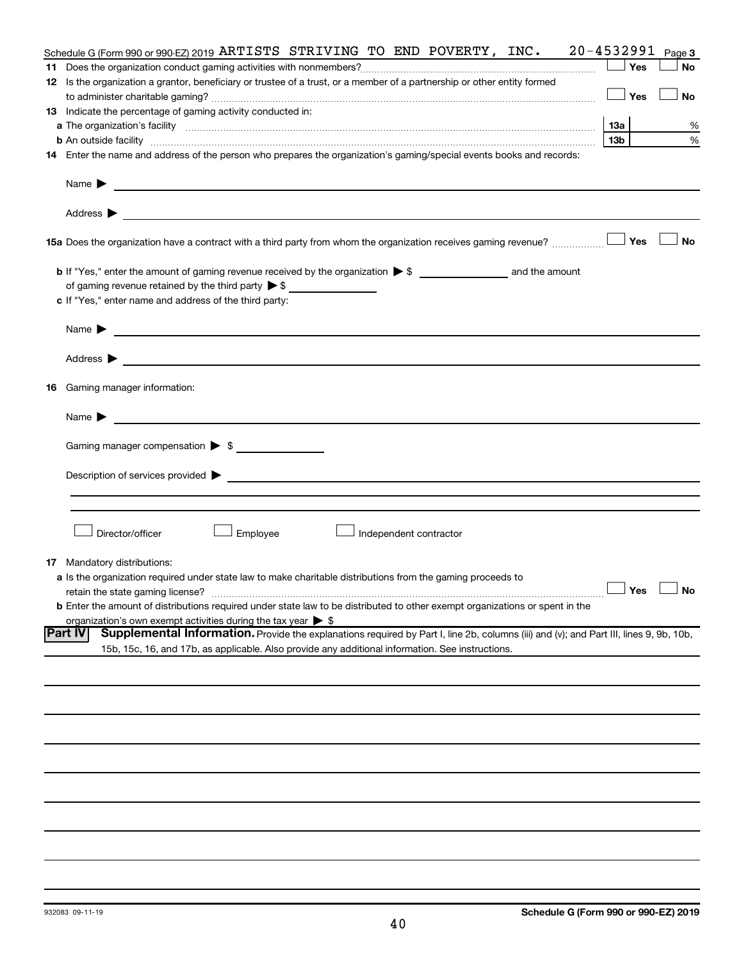| Schedule G (Form 990 or 990-EZ) 2019 ARTISTS STRIVING TO END POVERTY, INC.                                                                                                                                                                                         | 20-4532991           | Page 3    |
|--------------------------------------------------------------------------------------------------------------------------------------------------------------------------------------------------------------------------------------------------------------------|----------------------|-----------|
|                                                                                                                                                                                                                                                                    | Yes                  | <b>No</b> |
| 12 Is the organization a grantor, beneficiary or trustee of a trust, or a member of a partnership or other entity formed                                                                                                                                           |                      |           |
|                                                                                                                                                                                                                                                                    | Yes                  | <b>No</b> |
| 13 Indicate the percentage of gaming activity conducted in:                                                                                                                                                                                                        |                      |           |
|                                                                                                                                                                                                                                                                    | 13a                  | %         |
| <b>b</b> An outside facility <i>www.communicality.communicality.communicality www.communicality.communicality.communicality.com</i>                                                                                                                                | 13 <sub>b</sub>      | %         |
| 14 Enter the name and address of the person who prepares the organization's gaming/special events books and records:                                                                                                                                               |                      |           |
| Name $\blacktriangleright$<br><u>and the state of the state of the state of the state of the state of the state of the state of the state of the state of the state of the state of the state of the state of the state of the state of the state of the state</u> |                      |           |
|                                                                                                                                                                                                                                                                    |                      |           |
| 15a Does the organization have a contract with a third party from whom the organization receives gaming revenue?                                                                                                                                                   | Yes                  | <b>No</b> |
|                                                                                                                                                                                                                                                                    |                      |           |
| of gaming revenue retained by the third party $\triangleright$ \$                                                                                                                                                                                                  |                      |           |
| c If "Yes," enter name and address of the third party:                                                                                                                                                                                                             |                      |           |
| Name $\blacktriangleright$ $\blacksquare$                                                                                                                                                                                                                          |                      |           |
|                                                                                                                                                                                                                                                                    |                      |           |
|                                                                                                                                                                                                                                                                    |                      |           |
| <b>16</b> Gaming manager information:                                                                                                                                                                                                                              |                      |           |
| Name $\blacktriangleright$                                                                                                                                                                                                                                         |                      |           |
| Gaming manager compensation > \$                                                                                                                                                                                                                                   |                      |           |
| Description of services provided > example and the contract of the contract of the contract of the contract of                                                                                                                                                     |                      |           |
|                                                                                                                                                                                                                                                                    |                      |           |
|                                                                                                                                                                                                                                                                    |                      |           |
|                                                                                                                                                                                                                                                                    |                      |           |
| Director/officer<br>Employee<br>Independent contractor                                                                                                                                                                                                             |                      |           |
| <b>17</b> Mandatory distributions:                                                                                                                                                                                                                                 |                      |           |
| a Is the organization required under state law to make charitable distributions from the gaming proceeds to                                                                                                                                                        |                      |           |
|                                                                                                                                                                                                                                                                    | $\Box$ Yes $\Box$ No |           |
| b Enter the amount of distributions required under state law to be distributed to other exempt organizations or spent in the                                                                                                                                       |                      |           |
| organization's own exempt activities during the tax year $\triangleright$ \$                                                                                                                                                                                       |                      |           |
| Part IV<br>Supplemental Information. Provide the explanations required by Part I, line 2b, columns (iii) and (v); and Part III, lines 9, 9b, 10b,                                                                                                                  |                      |           |
| 15b, 15c, 16, and 17b, as applicable. Also provide any additional information. See instructions.                                                                                                                                                                   |                      |           |
|                                                                                                                                                                                                                                                                    |                      |           |
|                                                                                                                                                                                                                                                                    |                      |           |
|                                                                                                                                                                                                                                                                    |                      |           |
|                                                                                                                                                                                                                                                                    |                      |           |
|                                                                                                                                                                                                                                                                    |                      |           |
|                                                                                                                                                                                                                                                                    |                      |           |
|                                                                                                                                                                                                                                                                    |                      |           |
|                                                                                                                                                                                                                                                                    |                      |           |
|                                                                                                                                                                                                                                                                    |                      |           |
|                                                                                                                                                                                                                                                                    |                      |           |
|                                                                                                                                                                                                                                                                    |                      |           |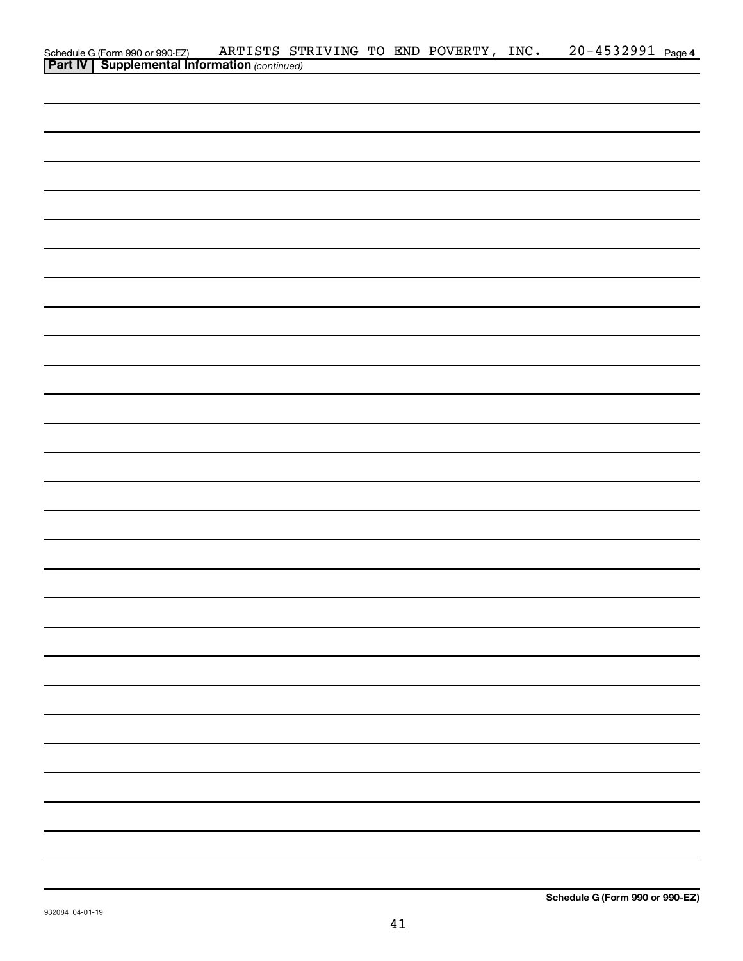| Schedule G (Form 990 or 990-EZ) ARTISTS ST<br><b>Part IV   Supplemental Information</b> (continued) |  |  | ARTISTS STRIVING TO END POVERTY, INC. | 20-4532991 Page 4 |
|-----------------------------------------------------------------------------------------------------|--|--|---------------------------------------|-------------------|
|                                                                                                     |  |  |                                       |                   |
|                                                                                                     |  |  |                                       |                   |
|                                                                                                     |  |  |                                       |                   |
|                                                                                                     |  |  |                                       |                   |
|                                                                                                     |  |  |                                       |                   |
|                                                                                                     |  |  |                                       |                   |
|                                                                                                     |  |  |                                       |                   |
|                                                                                                     |  |  |                                       |                   |
|                                                                                                     |  |  |                                       |                   |
|                                                                                                     |  |  |                                       |                   |
|                                                                                                     |  |  |                                       |                   |
|                                                                                                     |  |  |                                       |                   |
|                                                                                                     |  |  |                                       |                   |
|                                                                                                     |  |  |                                       |                   |
|                                                                                                     |  |  |                                       |                   |
|                                                                                                     |  |  |                                       |                   |
|                                                                                                     |  |  |                                       |                   |
|                                                                                                     |  |  |                                       |                   |
|                                                                                                     |  |  |                                       |                   |
|                                                                                                     |  |  |                                       |                   |
|                                                                                                     |  |  |                                       |                   |
|                                                                                                     |  |  |                                       |                   |
|                                                                                                     |  |  |                                       |                   |
|                                                                                                     |  |  |                                       |                   |
|                                                                                                     |  |  |                                       |                   |
|                                                                                                     |  |  |                                       |                   |
|                                                                                                     |  |  |                                       |                   |
|                                                                                                     |  |  |                                       |                   |
|                                                                                                     |  |  |                                       |                   |
|                                                                                                     |  |  |                                       |                   |
|                                                                                                     |  |  |                                       |                   |
|                                                                                                     |  |  |                                       |                   |
|                                                                                                     |  |  |                                       |                   |
|                                                                                                     |  |  |                                       |                   |
|                                                                                                     |  |  |                                       |                   |
|                                                                                                     |  |  |                                       |                   |
|                                                                                                     |  |  |                                       |                   |
|                                                                                                     |  |  |                                       |                   |
|                                                                                                     |  |  |                                       |                   |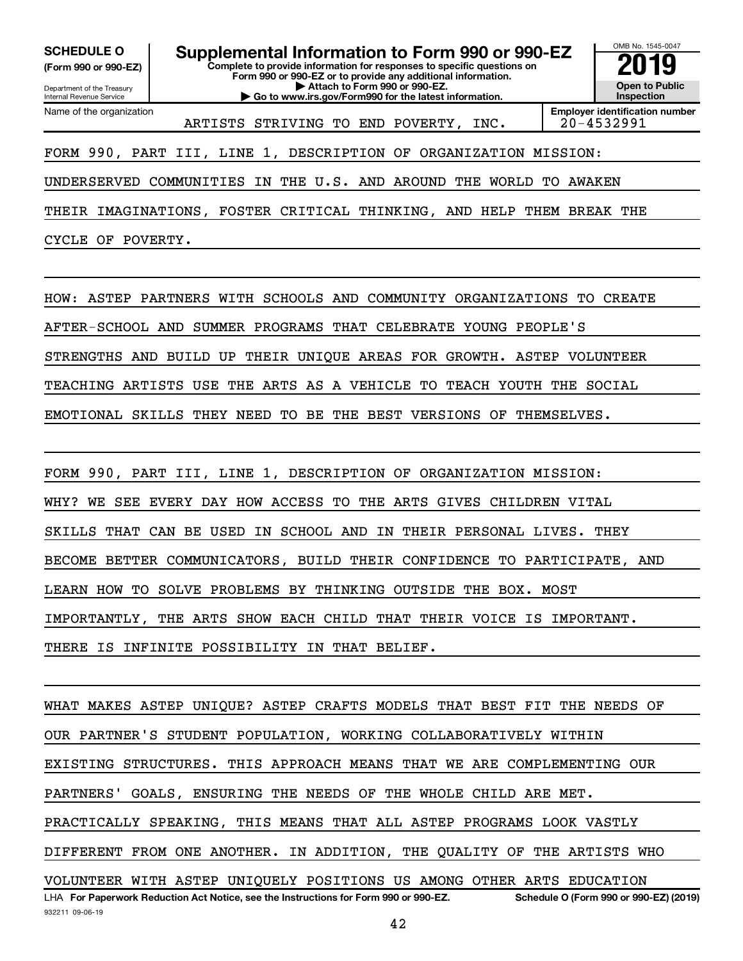**(Form 990 or 990-EZ)**

Department of the Treasury Internal Revenue Service Name of the organization

**Complete to provide information for responses to specific questions on Form 990 or 990-EZ or to provide any additional information. | Attach to Form 990 or 990-EZ. | Go to www.irs.gov/Form990 for the latest information. SCHEDULE O Supplemental Information to Form 990 or 990-EZ 2019** 



ARTISTS STRIVING TO END POVERTY, INC. 20-4532991

FORM 990, PART III, LINE 1, DESCRIPTION OF ORGANIZATION MISSION:

UNDERSERVED COMMUNITIES IN THE U.S. AND AROUND THE WORLD TO AWAKEN

THEIR IMAGINATIONS, FOSTER CRITICAL THINKING, AND HELP THEM BREAK THE

CYCLE OF POVERTY.

HOW: ASTEP PARTNERS WITH SCHOOLS AND COMMUNITY ORGANIZATIONS TO CREATE AFTER-SCHOOL AND SUMMER PROGRAMS THAT CELEBRATE YOUNG PEOPLE'S STRENGTHS AND BUILD UP THEIR UNIQUE AREAS FOR GROWTH. ASTEP VOLUNTEER TEACHING ARTISTS USE THE ARTS AS A VEHICLE TO TEACH YOUTH THE SOCIAL EMOTIONAL SKILLS THEY NEED TO BE THE BEST VERSIONS OF THEMSELVES.

FORM 990, PART III, LINE 1, DESCRIPTION OF ORGANIZATION MISSION: WHY? WE SEE EVERY DAY HOW ACCESS TO THE ARTS GIVES CHILDREN VITAL SKILLS THAT CAN BE USED IN SCHOOL AND IN THEIR PERSONAL LIVES. THEY BECOME BETTER COMMUNICATORS, BUILD THEIR CONFIDENCE TO PARTICIPATE, AND LEARN HOW TO SOLVE PROBLEMS BY THINKING OUTSIDE THE BOX. MOST IMPORTANTLY, THE ARTS SHOW EACH CHILD THAT THEIR VOICE IS IMPORTANT. THERE IS INFINITE POSSIBILITY IN THAT BELIEF.

932211 09-06-19 LHA For Paperwork Reduction Act Notice, see the Instructions for Form 990 or 990-EZ. Schedule O (Form 990 or 990-EZ) (2019) WHAT MAKES ASTEP UNIQUE? ASTEP CRAFTS MODELS THAT BEST FIT THE NEEDS OF OUR PARTNER'S STUDENT POPULATION, WORKING COLLABORATIVELY WITHIN EXISTING STRUCTURES. THIS APPROACH MEANS THAT WE ARE COMPLEMENTING OUR PARTNERS' GOALS, ENSURING THE NEEDS OF THE WHOLE CHILD ARE MET. PRACTICALLY SPEAKING, THIS MEANS THAT ALL ASTEP PROGRAMS LOOK VASTLY DIFFERENT FROM ONE ANOTHER. IN ADDITION, THE QUALITY OF THE ARTISTS WHO VOLUNTEER WITH ASTEP UNIQUELY POSITIONS US AMONG OTHER ARTS EDUCATION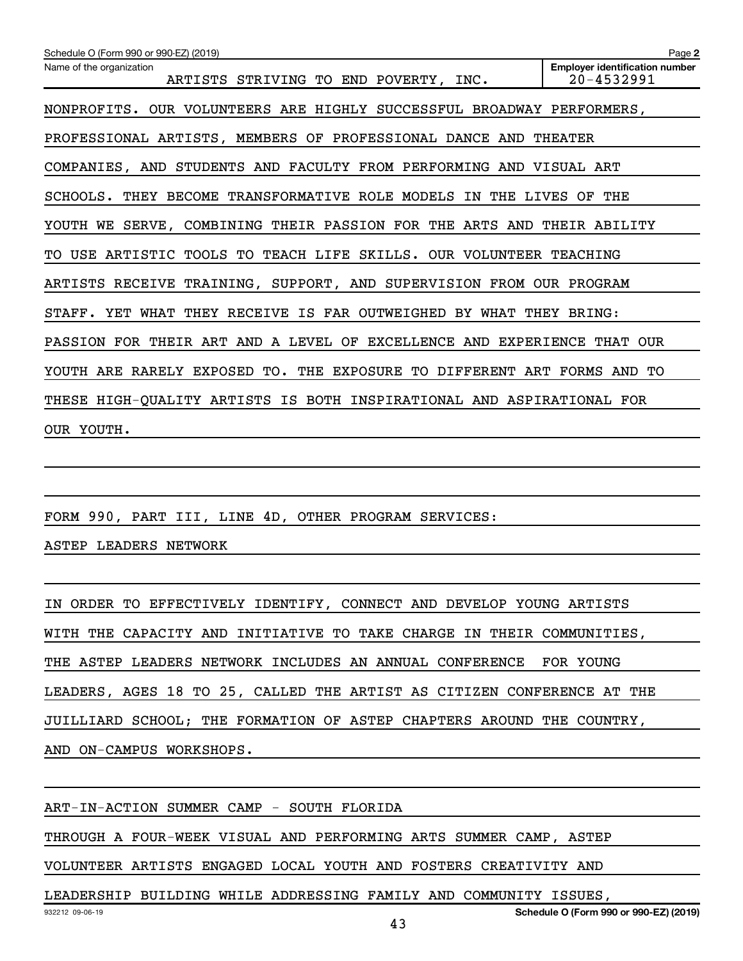| Schedule O (Form 990 or 990-EZ) (2019)                                  | Page 2                                              |
|-------------------------------------------------------------------------|-----------------------------------------------------|
| Name of the organization<br>ARTISTS STRIVING TO END POVERTY, INC.       | <b>Employer identification number</b><br>20-4532991 |
| NONPROFITS. OUR VOLUNTEERS ARE HIGHLY SUCCESSFUL BROADWAY PERFORMERS,   |                                                     |
| PROFESSIONAL ARTISTS, MEMBERS OF PROFESSIONAL DANCE AND THEATER         |                                                     |
| COMPANIES, AND STUDENTS AND FACULTY FROM PERFORMING AND VISUAL ART      |                                                     |
| SCHOOLS. THEY BECOME TRANSFORMATIVE ROLE MODELS IN THE LIVES OF         | THE                                                 |
| YOUTH WE SERVE, COMBINING THEIR PASSION FOR THE ARTS AND THEIR ABILITY  |                                                     |
| USE ARTISTIC TOOLS TO TEACH LIFE SKILLS. OUR VOLUNTEER TEACHING<br>TO.  |                                                     |
| ARTISTS RECEIVE TRAINING, SUPPORT, AND SUPERVISION FROM OUR PROGRAM     |                                                     |
| STAFF. YET WHAT THEY RECEIVE IS FAR OUTWEIGHED BY WHAT THEY BRING:      |                                                     |
| PASSION FOR THEIR ART AND A LEVEL OF EXCELLENCE AND EXPERIENCE THAT OUR |                                                     |
| YOUTH ARE RARELY EXPOSED TO. THE EXPOSURE TO DIFFERENT ART FORMS AND TO |                                                     |
| THESE HIGH-QUALITY ARTISTS IS BOTH INSPIRATIONAL AND ASPIRATIONAL FOR   |                                                     |
| OUR YOUTH.                                                              |                                                     |

FORM 990, PART III, LINE 4D, OTHER PROGRAM SERVICES:

ASTEP LEADERS NETWORK

IN ORDER TO EFFECTIVELY IDENTIFY, CONNECT AND DEVELOP YOUNG ARTISTS WITH THE CAPACITY AND INITIATIVE TO TAKE CHARGE IN THEIR COMMUNITIES, THE ASTEP LEADERS NETWORK INCLUDES AN ANNUAL CONFERENCE FOR YOUNG LEADERS, AGES 18 TO 25, CALLED THE ARTIST AS CITIZEN CONFERENCE AT THE JUILLIARD SCHOOL; THE FORMATION OF ASTEP CHAPTERS AROUND THE COUNTRY, AND ON-CAMPUS WORKSHOPS.

ART-IN-ACTION SUMMER CAMP - SOUTH FLORIDA THROUGH A FOUR-WEEK VISUAL AND PERFORMING ARTS SUMMER CAMP, ASTEP VOLUNTEER ARTISTS ENGAGED LOCAL YOUTH AND FOSTERS CREATIVITY AND

LEADERSHIP BUILDING WHILE ADDRESSING FAMILY AND COMMUNITY ISSUES,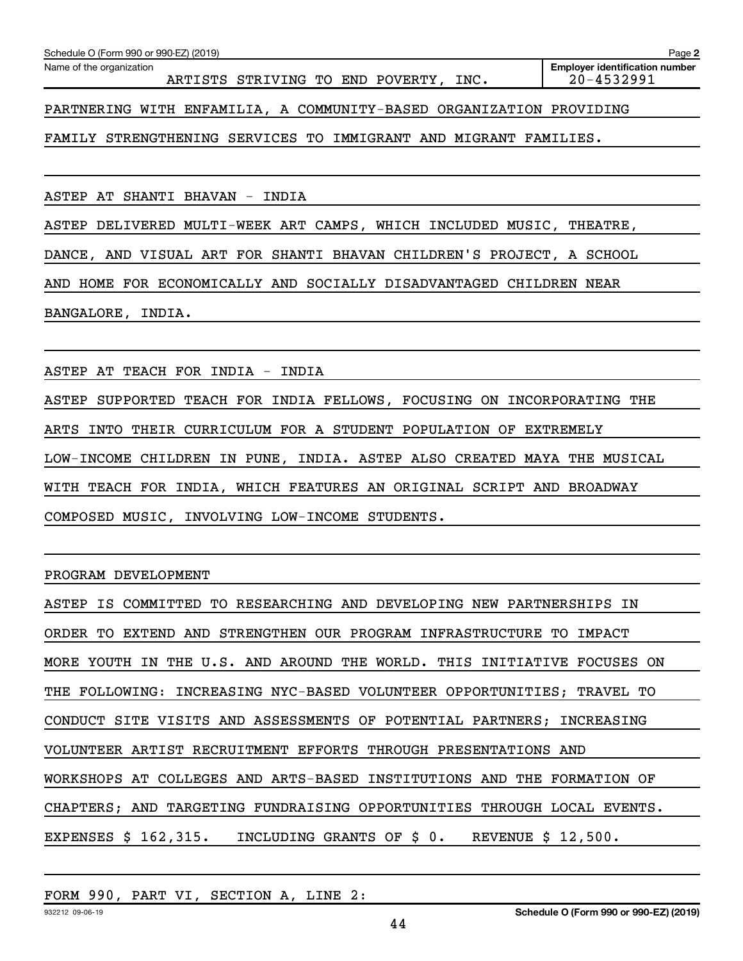| Schedule O (Form 990 or 990-EZ) (2019)<br>Page 2                    |                                                     |  |  |  |  |  |  |  |
|---------------------------------------------------------------------|-----------------------------------------------------|--|--|--|--|--|--|--|
| Name of the organization<br>ARTISTS STRIVING TO END POVERTY, INC.   | <b>Employer identification number</b><br>20-4532991 |  |  |  |  |  |  |  |
| PARTNERING WITH ENFAMILIA, A COMMUNITY-BASED ORGANIZATION PROVIDING |                                                     |  |  |  |  |  |  |  |
| FAMILY STRENGTHENING SERVICES TO IMMIGRANT AND MIGRANT FAMILIES.    |                                                     |  |  |  |  |  |  |  |

ASTEP AT SHANTI BHAVAN - INDIA

ASTEP DELIVERED MULTI-WEEK ART CAMPS, WHICH INCLUDED MUSIC, THEATRE,

DANCE, AND VISUAL ART FOR SHANTI BHAVAN CHILDREN'S PROJECT, A SCHOOL

AND HOME FOR ECONOMICALLY AND SOCIALLY DISADVANTAGED CHILDREN NEAR

BANGALORE, INDIA.

ASTEP AT TEACH FOR INDIA - INDIA

ASTEP SUPPORTED TEACH FOR INDIA FELLOWS, FOCUSING ON INCORPORATING THE ARTS INTO THEIR CURRICULUM FOR A STUDENT POPULATION OF EXTREMELY LOW-INCOME CHILDREN IN PUNE, INDIA. ASTEP ALSO CREATED MAYA THE MUSICAL WITH TEACH FOR INDIA, WHICH FEATURES AN ORIGINAL SCRIPT AND BROADWAY COMPOSED MUSIC, INVOLVING LOW-INCOME STUDENTS.

PROGRAM DEVELOPMENT

| ASTEP IS COMMITTED TO RESEARCHING AND DEVELOPING NEW PARTNERSHIPS IN    |
|-------------------------------------------------------------------------|
| ORDER TO EXTEND AND STRENGTHEN OUR PROGRAM INFRASTRUCTURE TO IMPACT     |
| MORE YOUTH IN THE U.S. AND AROUND THE WORLD. THIS INITIATIVE FOCUSES ON |
| THE FOLLOWING: INCREASING NYC-BASED VOLUNTEER OPPORTUNITIES; TRAVEL TO  |
| CONDUCT SITE VISITS AND ASSESSMENTS OF POTENTIAL PARTNERS; INCREASING   |
| VOLUNTEER ARTIST RECRUITMENT EFFORTS THROUGH PRESENTATIONS AND          |
| WORKSHOPS AT COLLEGES AND ARTS-BASED INSTITUTIONS AND THE FORMATION OF  |
| CHAPTERS; AND TARGETING FUNDRAISING OPPORTUNITIES THROUGH LOCAL EVENTS. |
| EXPENSES \$ 162,315. INCLUDING GRANTS OF \$ 0. REVENUE \$ 12,500.       |

### FORM 990, PART VI, SECTION A, LINE 2: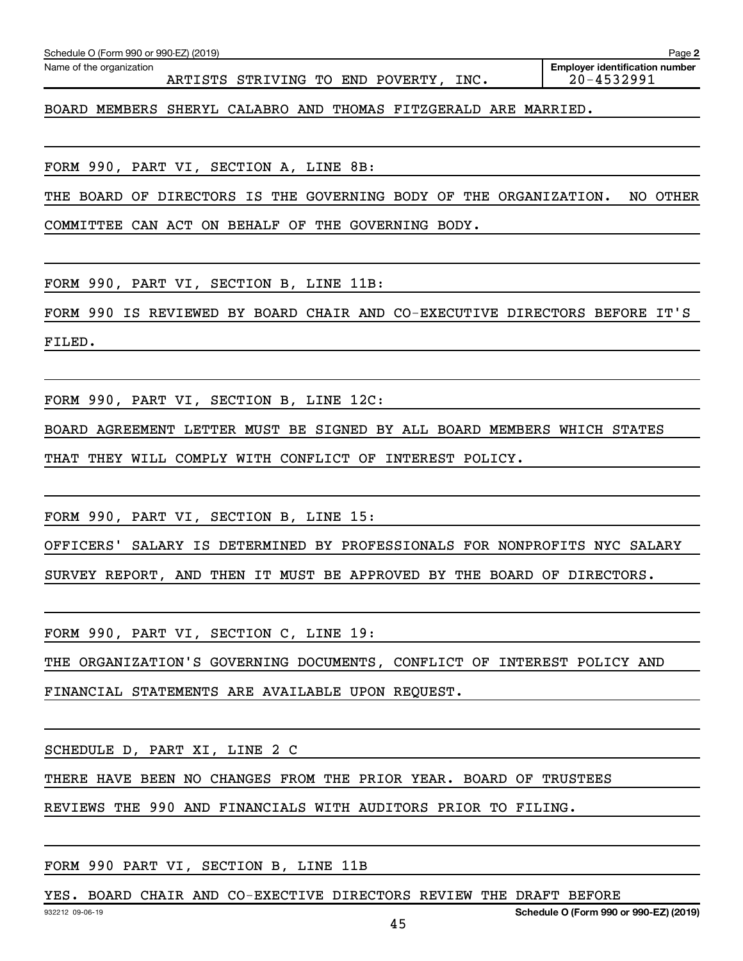| BOARD MEMBERS SHERYL CALABRO AND THOMAS FITZGERALD ARE MARRIED.            |
|----------------------------------------------------------------------------|
|                                                                            |
| FORM 990, PART VI, SECTION A, LINE 8B:                                     |
| THE BOARD OF DIRECTORS IS THE GOVERNING BODY OF THE ORGANIZATION. NO OTHER |
| COMMITTEE CAN ACT ON BEHALF OF THE GOVERNING BODY.                         |
|                                                                            |
| FORM 990, PART VI, SECTION B, LINE 11B:                                    |
| FORM 990 IS REVIEWED BY BOARD CHAIR AND CO-EXECUTIVE DIRECTORS BEFORE IT'S |
| FILED.                                                                     |
|                                                                            |
| FORM 990, PART VI, SECTION B, LINE 12C:                                    |
| BOARD AGREEMENT LETTER MUST BE SIGNED BY ALL BOARD MEMBERS WHICH STATES    |
| THAT THEY WILL COMPLY WITH CONFLICT OF INTEREST POLICY.                    |
|                                                                            |
| FORM 990, PART VI, SECTION B, LINE 15:                                     |
| OFFICERS' SALARY IS DETERMINED BY PROFESSIONALS FOR NONPROFITS NYC SALARY  |
| SURVEY REPORT, AND THEN IT MUST BE APPROVED BY THE BOARD OF DIRECTORS.     |
|                                                                            |
| FORM 990, PART VI, SECTION C, LINE 19:                                     |
| THE ORGANIZATION'S GOVERNING DOCUMENTS, CONFLICT OF INTEREST POLICY AND    |
| FINANCIAL STATEMENTS ARE AVAILABLE UPON REQUEST.                           |
|                                                                            |
| SCHEDULE D, PART XI, LINE 2 C                                              |
| THERE HAVE BEEN NO CHANGES FROM THE PRIOR YEAR. BOARD OF TRUSTEES          |
| REVIEWS THE 990 AND FINANCIALS WITH AUDITORS PRIOR TO FILING.              |
|                                                                            |
| FORM 990 PART VI, SECTION B, LINE 11B                                      |
| YES. BOARD CHAIR AND CO-EXECTIVE DIRECTORS REVIEW THE DRAFT BEFORE         |
| Schedule O (Form 990 or 990-EZ) (2019)<br>932212 09-06-19<br>45            |

ARTISTS STRIVING TO END POVERTY, INC.

Schedule O (Form 990 or 990-EZ) (2019)

Name of the organization

**2**

Employer identification number<br>20-4532991